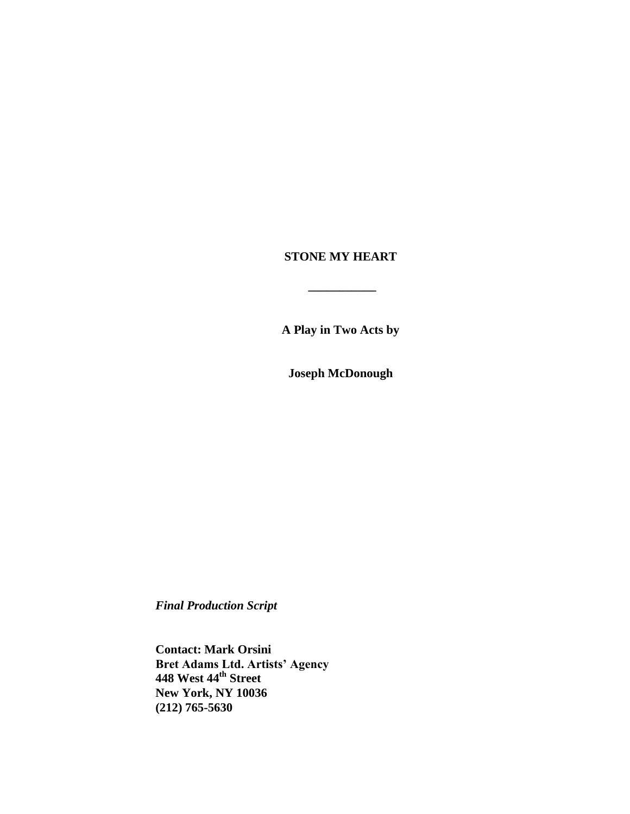# **STONE MY HEART**

**\_\_\_\_\_\_\_\_\_\_\_**

**A Play in Two Acts by**

**Joseph McDonough**

*Final Production Script*

**Contact: Mark Orsini Bret Adams Ltd. Artists' Agency 448 West 44th Street New York, NY 10036 (212) 765-5630**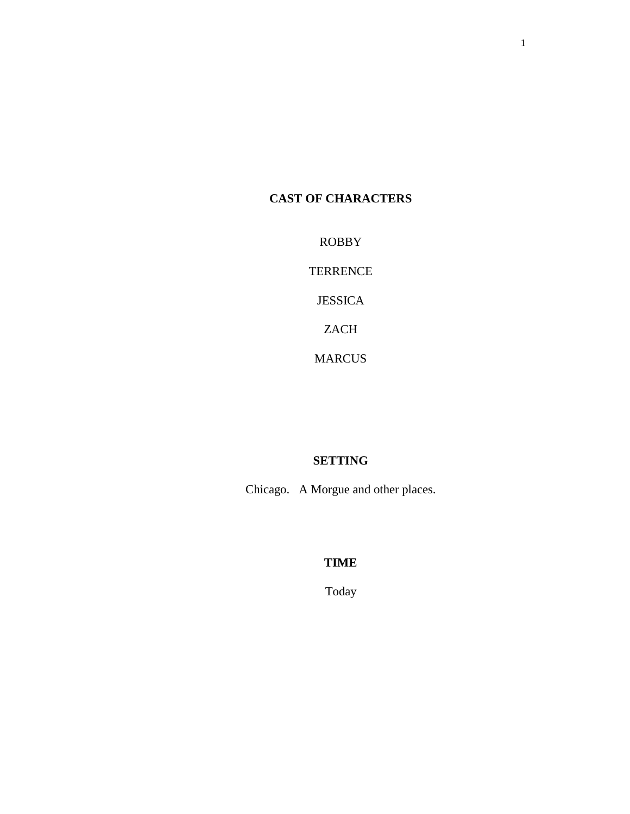# **CAST OF CHARACTERS**

ROBBY

TERRENCE

JESSICA

ZACH

MARCUS

# **SETTING**

Chicago. A Morgue and other places.

# **TIME**

Today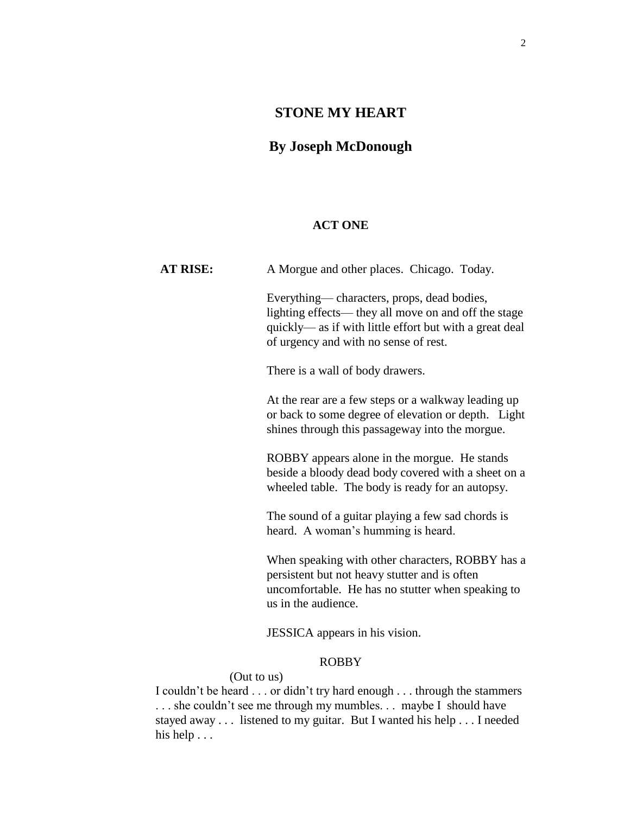# **STONE MY HEART**

# **By Joseph McDonough**

### **ACT ONE**

AT RISE: A Morgue and other places. Chicago. Today. Everything— characters, props, dead bodies, lighting effects— they all move on and off the stage quickly— as if with little effort but with a great deal of urgency and with no sense of rest. There is a wall of body drawers. At the rear are a few steps or a walkway leading up or back to some degree of elevation or depth. Light shines through this passageway into the morgue. ROBBY appears alone in the morgue. He stands beside a bloody dead body covered with a sheet on a wheeled table. The body is ready for an autopsy. The sound of a guitar playing a few sad chords is heard. A woman's humming is heard. When speaking with other characters, ROBBY has a persistent but not heavy stutter and is often uncomfortable. He has no stutter when speaking to us in the audience.

JESSICA appears in his vision.

# ROBBY

(Out to us)

I couldn't be heard . . . or didn't try hard enough . . . through the stammers ... she couldn't see me through my mumbles... maybe I should have stayed away . . . listened to my guitar. But I wanted his help . . . I needed his help . . .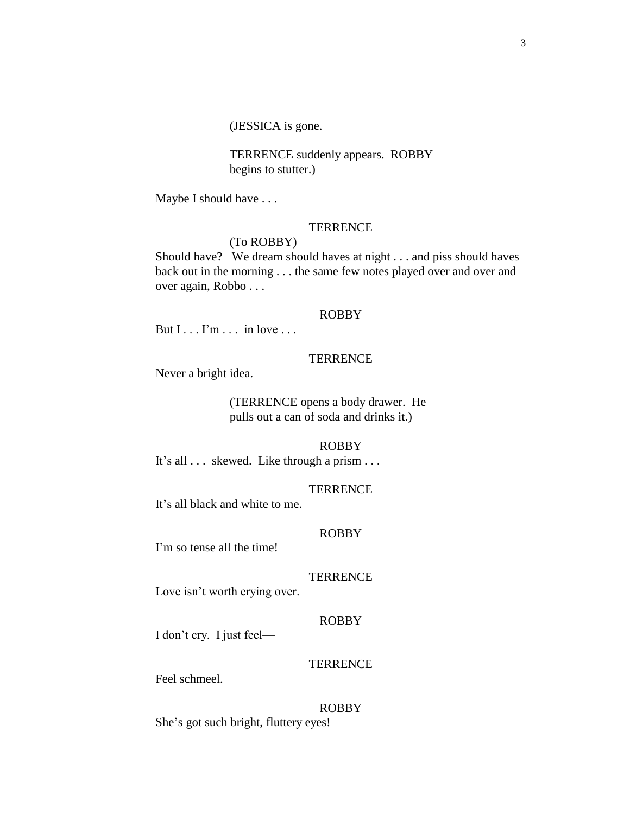(JESSICA is gone.

 TERRENCE suddenly appears. ROBBY begins to stutter.)

Maybe I should have . . .

### **TERRENCE**

# (To ROBBY)

Should have? We dream should haves at night . . . and piss should haves back out in the morning . . . the same few notes played over and over and over again, Robbo . . .

#### ROBBY

But  $I \dots I'm \dots$  in love  $\dots$ 

### **TERRENCE**

Never a bright idea.

(TERRENCE opens a body drawer. He pulls out a can of soda and drinks it.)

#### ROBBY

It's all . . . skewed. Like through a prism . . .

#### **TERRENCE**

It's all black and white to me.

#### ROBBY

I'm so tense all the time!

### **TERRENCE**

Love isn't worth crying over.

#### ROBBY

I don't cry. I just feel—

## **TERRENCE**

Feel schmeel.

#### ROBBY

She's got such bright, fluttery eyes!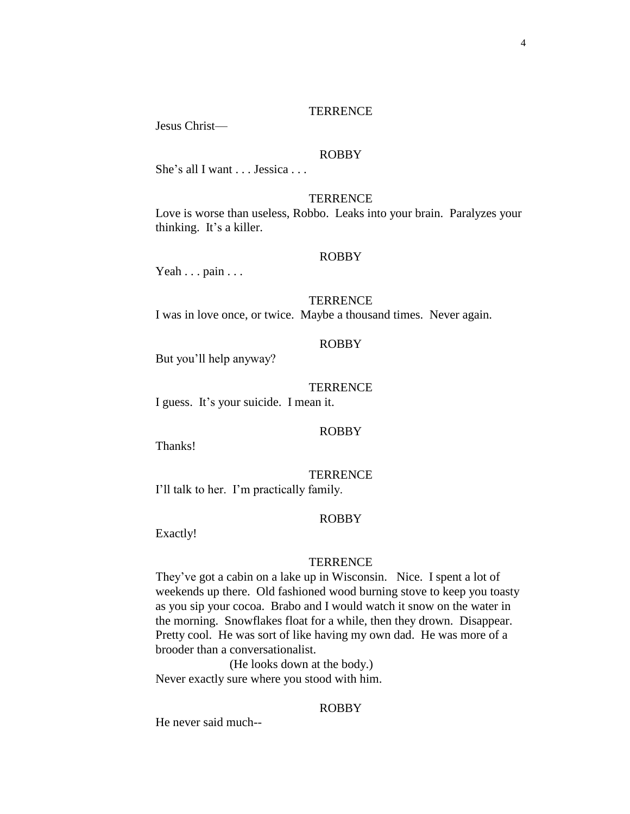Jesus Christ—

### ROBBY

She's all I want . . . Jessica . . .

# **TERRENCE**

Love is worse than useless, Robbo. Leaks into your brain. Paralyzes your thinking. It's a killer.

### ROBBY

Yeah . . . pain . . .

#### **TERRENCE**

I was in love once, or twice. Maybe a thousand times. Never again.

### ROBBY

But you'll help anyway?

#### **TERRENCE**

I guess. It's your suicide. I mean it.

#### ROBBY

Thanks!

**TERRENCE** I'll talk to her. I'm practically family.

#### ROBBY

Exactly!

#### **TERRENCE**

They've got a cabin on a lake up in Wisconsin. Nice. I spent a lot of weekends up there. Old fashioned wood burning stove to keep you toasty as you sip your cocoa. Brabo and I would watch it snow on the water in the morning. Snowflakes float for a while, then they drown. Disappear. Pretty cool. He was sort of like having my own dad. He was more of a brooder than a conversationalist.

(He looks down at the body.) Never exactly sure where you stood with him.

### ROBBY

He never said much--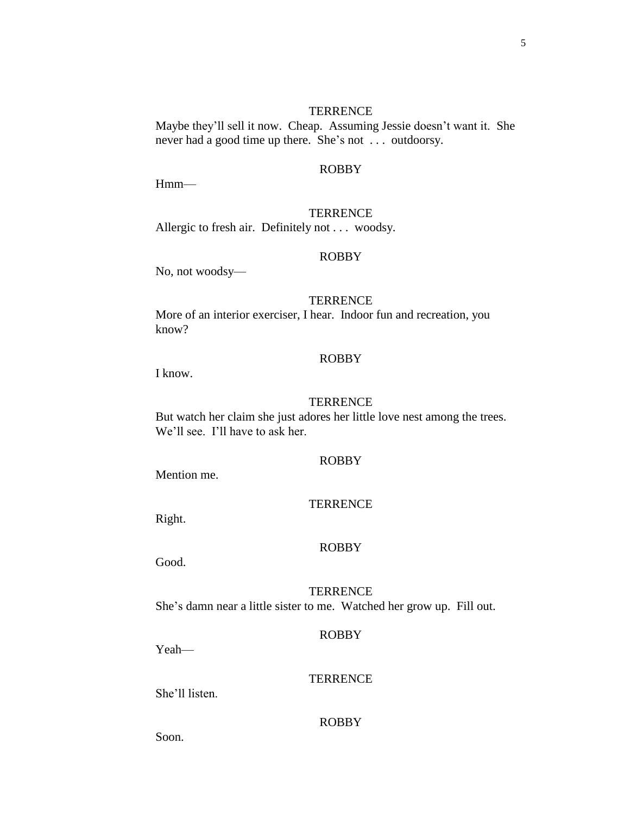Maybe they'll sell it now. Cheap. Assuming Jessie doesn't want it. She never had a good time up there. She's not . . . outdoorsy.

# ROBBY

Hmm—

#### **TERRENCE**

Allergic to fresh air. Definitely not . . . woodsy.

### ROBBY

No, not woodsy—

## **TERRENCE**

More of an interior exerciser, I hear. Indoor fun and recreation, you know?

### ROBBY

I know.

### **TERRENCE**

But watch her claim she just adores her little love nest among the trees. We'll see. I'll have to ask her.

## ROBBY

Mention me.

### **TERRENCE**

Right.

#### ROBBY

Good.

# **TERRENCE**

She's damn near a little sister to me. Watched her grow up. Fill out.

#### ROBBY

Yeah—

# **TERRENCE**

She'll listen.

#### ROBBY

Soon.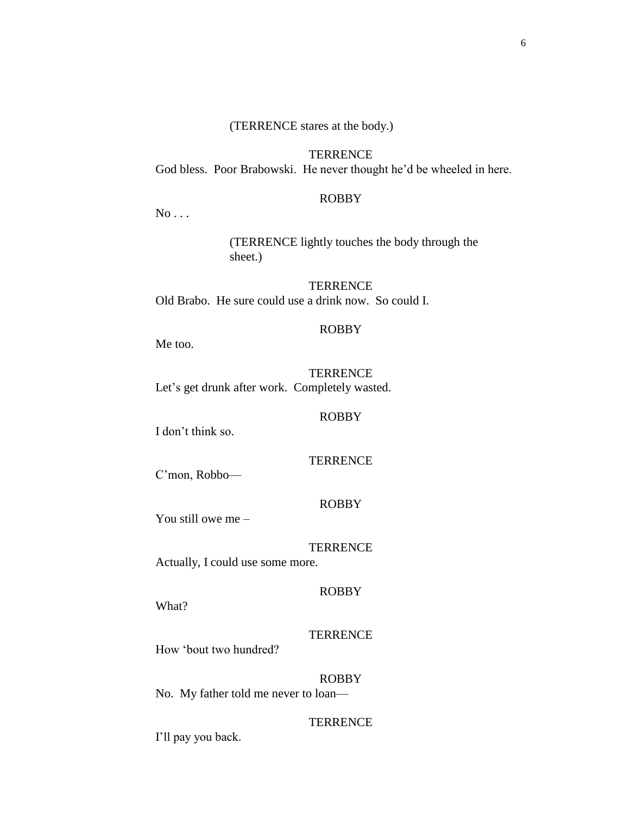# (TERRENCE stares at the body.)

**TERRENCE** God bless. Poor Brabowski. He never thought he'd be wheeled in here.

### ROBBY

No . . .

(TERRENCE lightly touches the body through the sheet.)

**TERRENCE** Old Brabo. He sure could use a drink now. So could I.

### ROBBY

Me too.

**TERRENCE** Let's get drunk after work. Completely wasted.

#### ROBBY

I don't think so.

# **TERRENCE**

C'mon, Robbo—

### ROBBY

You still owe me –

#### **TERRENCE**

Actually, I could use some more.

### ROBBY

What?

# **TERRENCE**

How 'bout two hundred?

### ROBBY

No. My father told me never to loan—

### **TERRENCE**

I'll pay you back.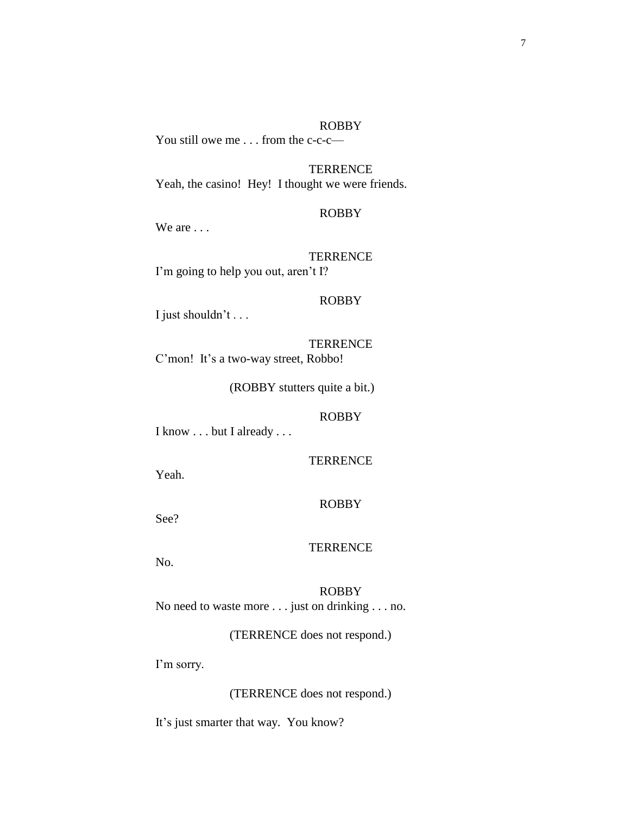### ROBBY

You still owe me . . . from the c-c-c—

**TERRENCE** Yeah, the casino! Hey! I thought we were friends.

#### ROBBY

We are . . .

**TERRENCE** I'm going to help you out, aren't I?

### ROBBY

I just shouldn't . . .

**TERRENCE** C'mon! It's a two-way street, Robbo!

(ROBBY stutters quite a bit.)

### ROBBY

I know . . . but I already . . .

## **TERRENCE**

Yeah.

# ROBBY

See?

#### **TERRENCE**

No.

ROBBY No need to waste more . . . just on drinking . . . no.

(TERRENCE does not respond.)

I'm sorry.

(TERRENCE does not respond.)

It's just smarter that way. You know?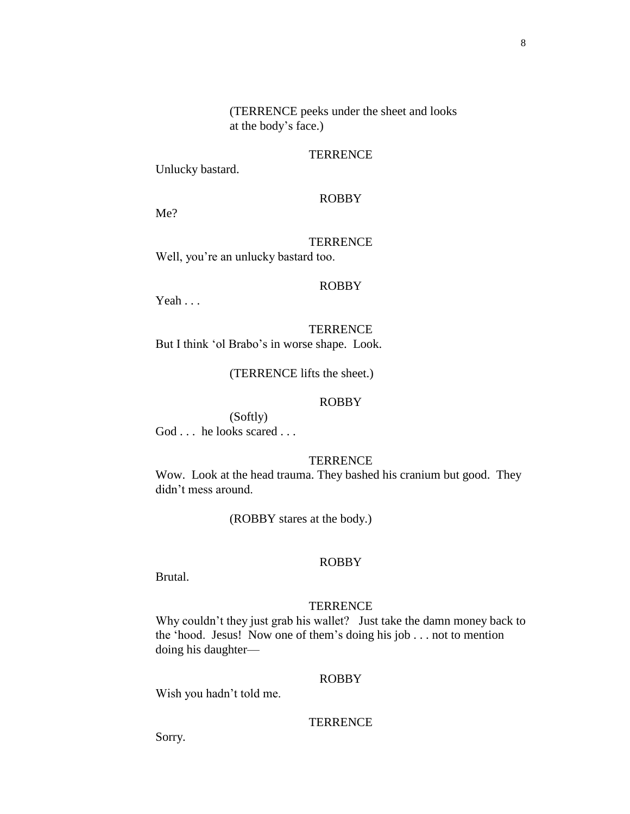(TERRENCE peeks under the sheet and looks at the body's face.)

### **TERRENCE**

Unlucky bastard.

# ROBBY

Me?

# **TERRENCE** Well, you're an unlucky bastard too.

### ROBBY

Yeah . . .

**TERRENCE** But I think 'ol Brabo's in worse shape. Look.

(TERRENCE lifts the sheet.)

#### ROBBY

(Softly) God . . . he looks scared . . .

# **TERRENCE**

Wow. Look at the head trauma. They bashed his cranium but good. They didn't mess around.

(ROBBY stares at the body.)

#### ROBBY

Brutal.

#### **TERRENCE**

Why couldn't they just grab his wallet? Just take the damn money back to the 'hood. Jesus! Now one of them's doing his job . . . not to mention doing his daughter—

### ROBBY

Wish you hadn't told me.

#### **TERRENCE**

Sorry.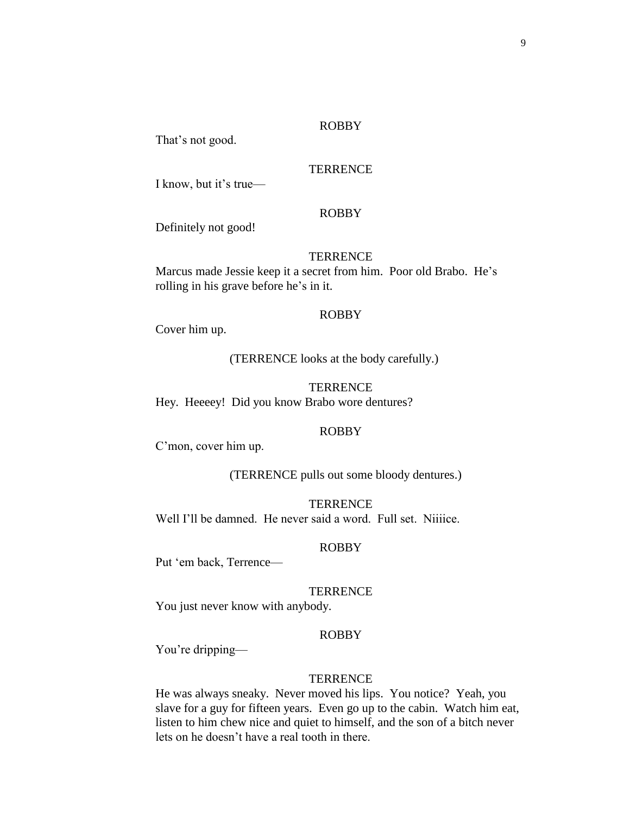#### ROBBY

That's not good.

# **TERRENCE**

I know, but it's true—

### ROBBY

Definitely not good!

### **TERRENCE**

Marcus made Jessie keep it a secret from him. Poor old Brabo. He's rolling in his grave before he's in it.

#### ROBBY

Cover him up.

(TERRENCE looks at the body carefully.)

#### **TERRENCE**

Hey. Heeeey! Did you know Brabo wore dentures?

#### ROBBY

C'mon, cover him up.

(TERRENCE pulls out some bloody dentures.)

**TERRENCE** Well I'll be damned. He never said a word. Full set. Niiiice.

#### ROBBY

Put 'em back, Terrence—

### **TERRENCE**

You just never know with anybody.

### ROBBY

You're dripping—

### **TERRENCE**

He was always sneaky. Never moved his lips. You notice? Yeah, you slave for a guy for fifteen years. Even go up to the cabin. Watch him eat, listen to him chew nice and quiet to himself, and the son of a bitch never lets on he doesn't have a real tooth in there.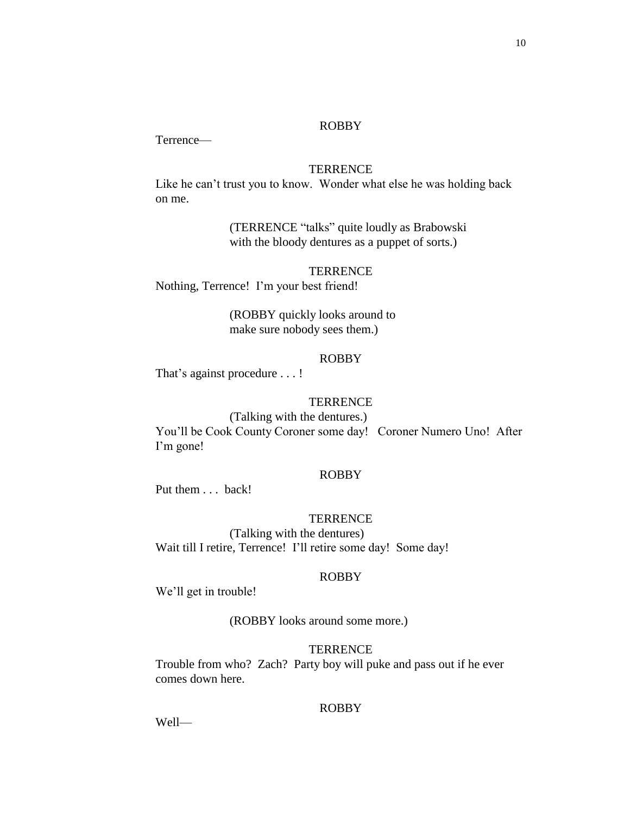# ROBBY

Terrence—

# **TERRENCE**

Like he can't trust you to know. Wonder what else he was holding back on me.

> (TERRENCE "talks" quite loudly as Brabowski with the bloody dentures as a puppet of sorts.)

#### **TERRENCE**

Nothing, Terrence! I'm your best friend!

(ROBBY quickly looks around to make sure nobody sees them.)

## ROBBY

That's against procedure . . . !

# **TERRENCE**

(Talking with the dentures.) You'll be Cook County Coroner some day! Coroner Numero Uno! After I'm gone!

### ROBBY

Put them . . . back!

#### **TERRENCE**

(Talking with the dentures) Wait till I retire, Terrence! I'll retire some day! Some day!

# ROBBY

We'll get in trouble!

(ROBBY looks around some more.)

#### **TERRENCE**

Trouble from who? Zach? Party boy will puke and pass out if he ever comes down here.

# ROBBY

Well—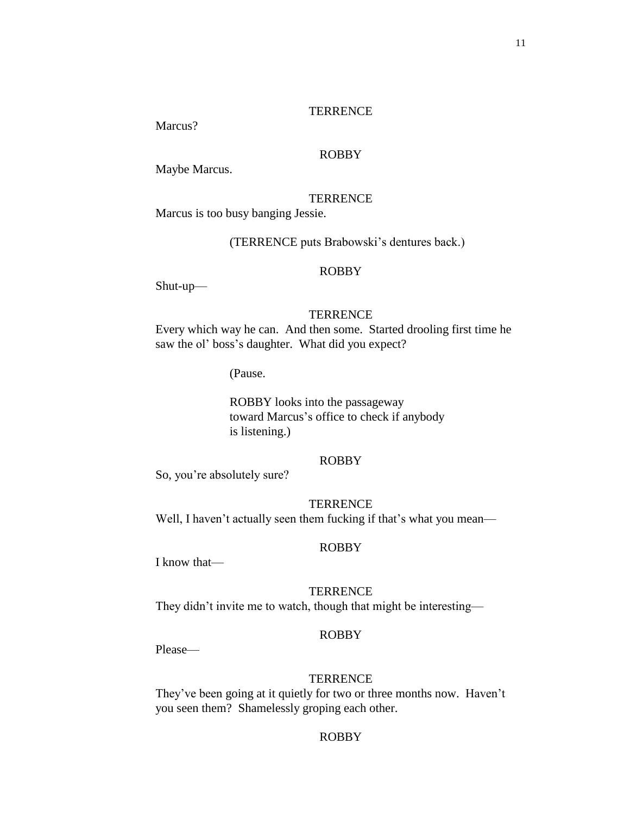Marcus?

# ROBBY

Maybe Marcus.

### **TERRENCE**

Marcus is too busy banging Jessie.

(TERRENCE puts Brabowski's dentures back.)

### ROBBY

Shut-up—

#### **TERRENCE**

Every which way he can. And then some. Started drooling first time he saw the ol' boss's daughter. What did you expect?

(Pause.

ROBBY looks into the passageway toward Marcus's office to check if anybody is listening.)

# ROBBY

So, you're absolutely sure?

# **TERRENCE**

Well, I haven't actually seen them fucking if that's what you mean—

### ROBBY

I know that—

#### **TERRENCE**

They didn't invite me to watch, though that might be interesting—

#### ROBBY

Please—

### **TERRENCE**

They've been going at it quietly for two or three months now. Haven't you seen them? Shamelessly groping each other.

# ROBBY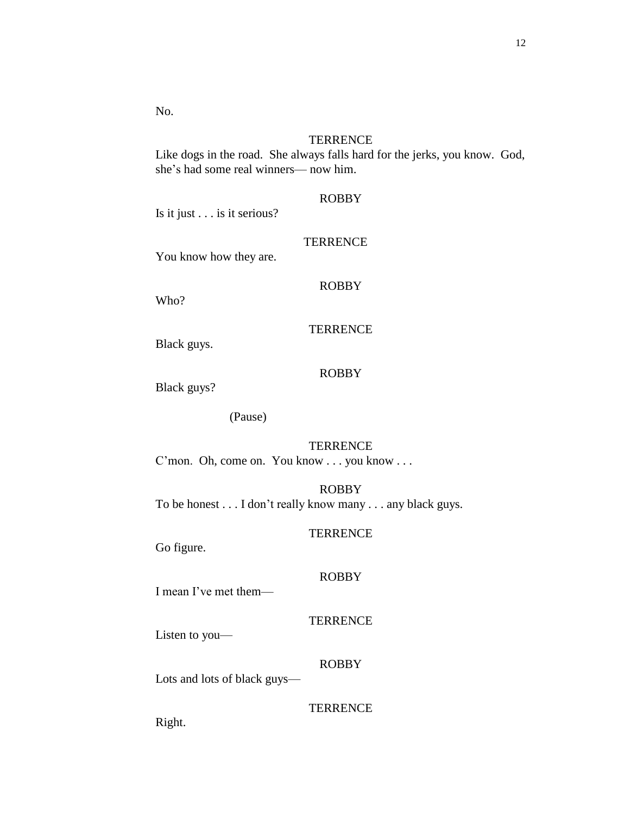No.

### **TERRENCE**

Like dogs in the road. She always falls hard for the jerks, you know. God, she's had some real winners— now him.

## ROBBY

Is it just . . . is it serious?

### **TERRENCE**

You know how they are.

# ROBBY

Who?

# **TERRENCE**

Black guys.

# ROBBY

Black guys?

(Pause)

### **TERRENCE**

C'mon. Oh, come on. You know . . . you know . . .

# ROBBY

To be honest . . . I don't really know many . . . any black guys.

#### **TERRENCE**

Go figure.

# ROBBY

I mean I've met them—

#### **TERRENCE**

Listen to you—

## ROBBY

Lots and lots of black guys—

# **TERRENCE**

Right.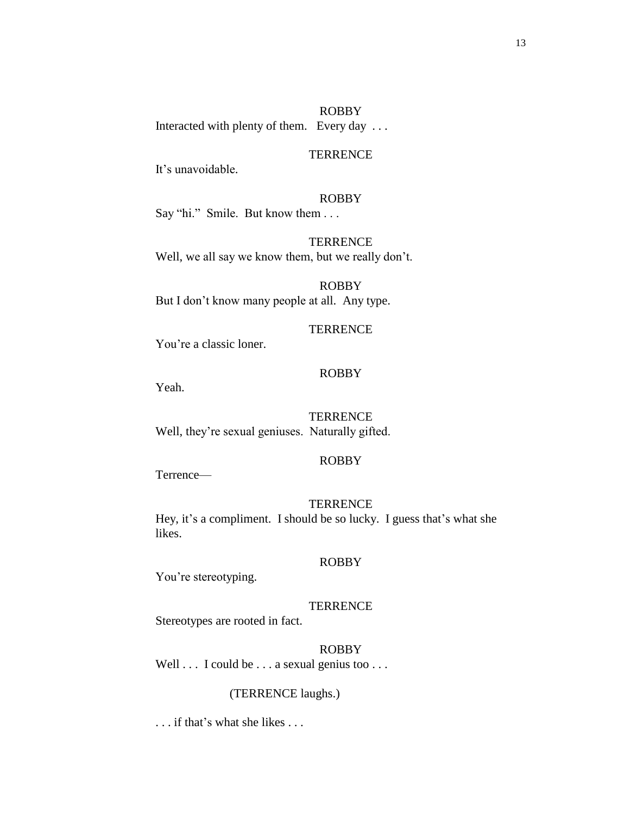It's unavoidable.

## ROBBY

Say "hi." Smile. But know them . . .

**TERRENCE** Well, we all say we know them, but we really don't.

ROBBY But I don't know many people at all. Any type.

### **TERRENCE**

You're a classic loner.

# ROBBY

Yeah.

#### **TERRENCE**

Well, they're sexual geniuses. Naturally gifted.

# ROBBY

Terrence—

# **TERRENCE**

Hey, it's a compliment. I should be so lucky. I guess that's what she likes.

#### ROBBY

You're stereotyping.

#### **TERRENCE**

Stereotypes are rooted in fact.

#### ROBBY

Well . . . I could be . . . a sexual genius too . . .

### (TERRENCE laughs.)

. . . if that's what she likes . . .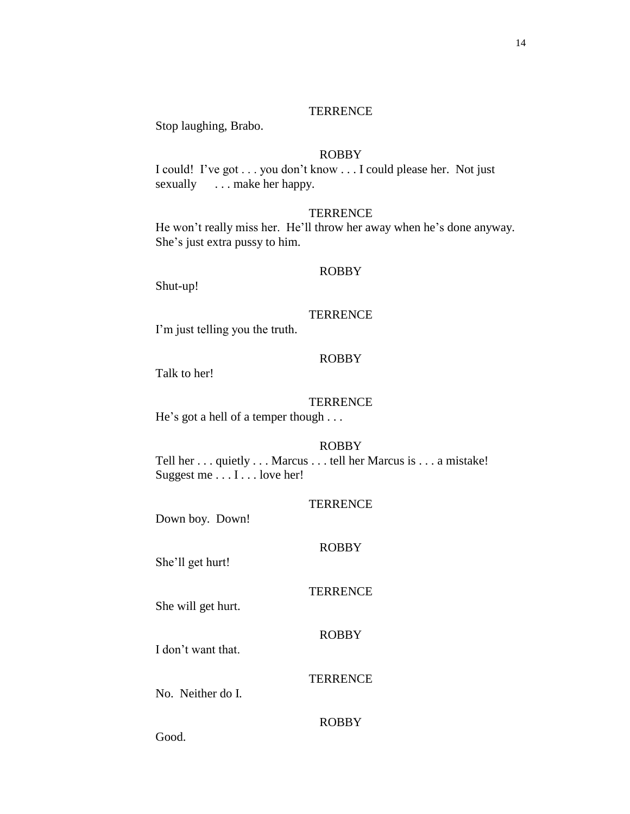Stop laughing, Brabo.

### ROBBY

I could! I've got . . . you don't know . . . I could please her. Not just sexually ... make her happy.

#### **TERRENCE**

He won't really miss her. He'll throw her away when he's done anyway. She's just extra pussy to him.

### ROBBY

Shut-up!

#### **TERRENCE**

I'm just telling you the truth.

# ROBBY

Talk to her!

### **TERRENCE**

He's got a hell of a temper though . . .

#### ROBBY

Tell her . . . quietly . . . Marcus . . . tell her Marcus is . . . a mistake! Suggest me . . . I . . . love her!

| TERRENCE |  |
|----------|--|
|----------|--|

Down boy. Down!

#### ROBBY

She'll get hurt!

### **TERRENCE**

She will get hurt.

# ROBBY

**TERRENCE** 

I don't want that.

No. Neither do I.

#### ROBBY

Good.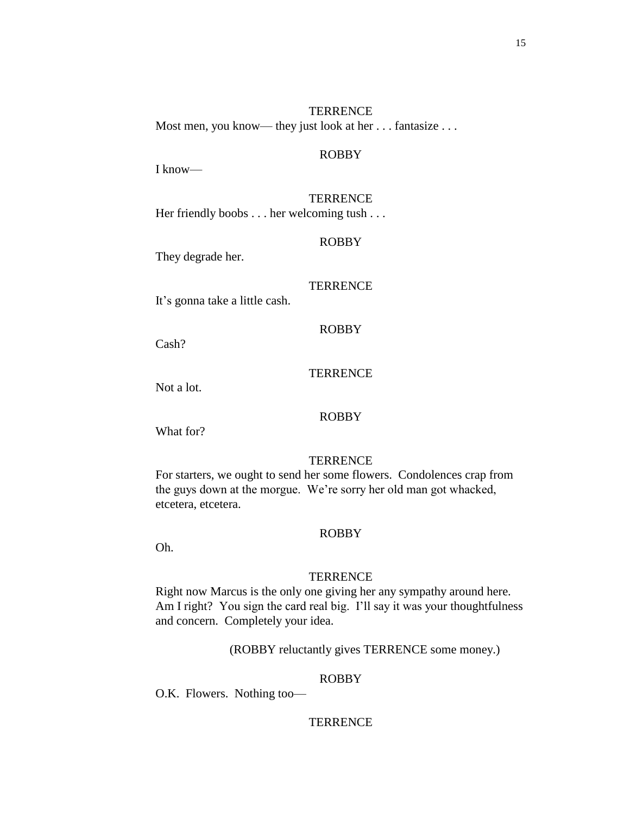**TERRENCE** Most men, you know— they just look at her . . . fantasize . . .

### ROBBY

I know—

# **TERRENCE**

Her friendly boobs . . . her welcoming tush . . .

#### ROBBY

They degrade her.

### **TERRENCE**

It's gonna take a little cash.

# ROBBY

Cash?

# **TERRENCE**

Not a lot.

### ROBBY

What for?

# **TERRENCE**

For starters, we ought to send her some flowers. Condolences crap from the guys down at the morgue. We're sorry her old man got whacked, etcetera, etcetera.

### ROBBY

Oh.

### **TERRENCE**

Right now Marcus is the only one giving her any sympathy around here. Am I right? You sign the card real big. I'll say it was your thoughtfulness and concern. Completely your idea.

(ROBBY reluctantly gives TERRENCE some money.)

### ROBBY

O.K. Flowers. Nothing too—

### **TERRENCE**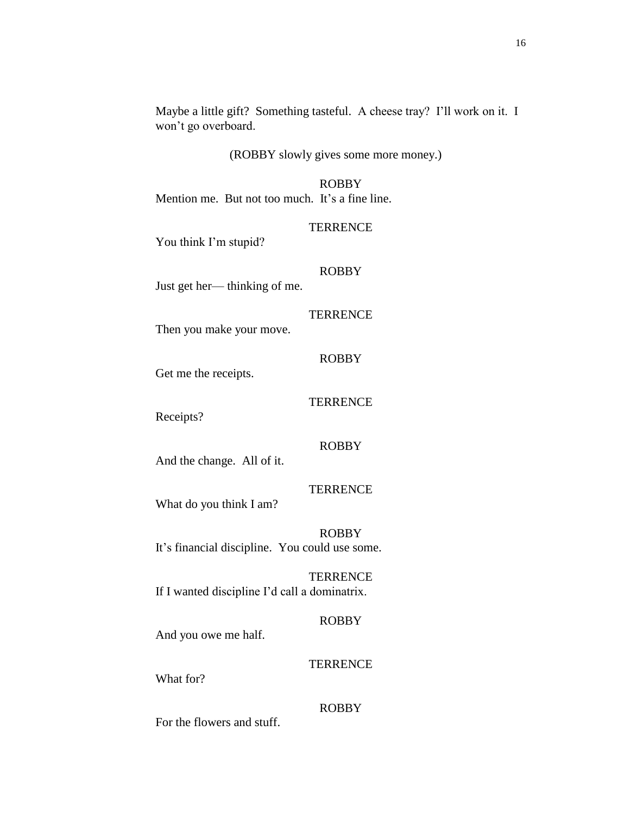### (ROBBY slowly gives some more money.)

ROBBY Mention me. But not too much. It's a fine line.

#### **TERRENCE**

You think I'm stupid?

# ROBBY

Just get her— thinking of me.

#### **TERRENCE**

ROBBY

**TERRENCE** 

Then you make your move.

Get me the receipts.

Receipts?

#### ROBBY

**TERRENCE** 

And the change. All of it.

What do you think I am?

ROBBY It's financial discipline. You could use some.

**TERRENCE** If I wanted discipline I'd call a dominatrix.

#### ROBBY

And you owe me half.

# **TERRENCE**

What for?

### ROBBY

For the flowers and stuff.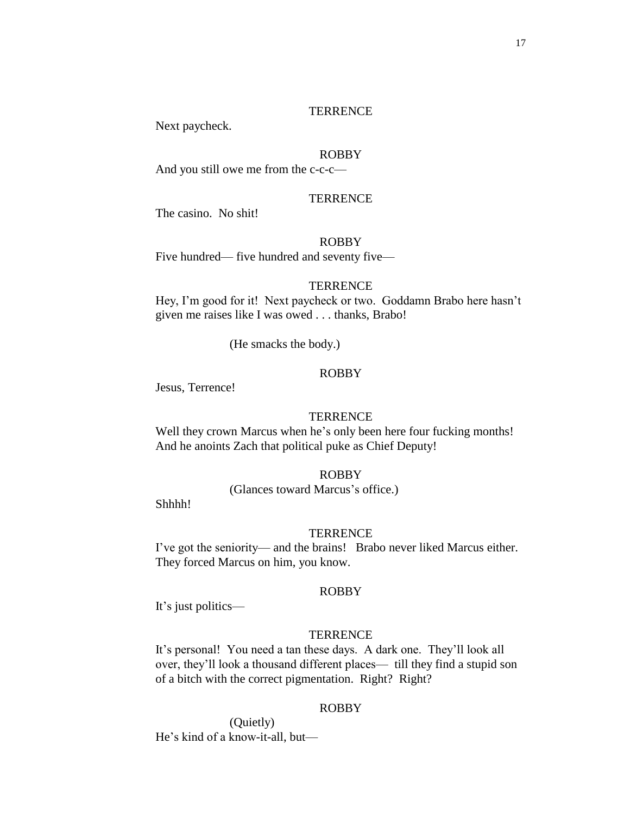Next paycheck.

# ROBBY

And you still owe me from the c-c-c—

**TERRENCE** 

The casino. No shit!

#### ROBBY

Five hundred— five hundred and seventy five—

#### **TERRENCE**

Hey, I'm good for it! Next paycheck or two. Goddamn Brabo here hasn't given me raises like I was owed . . . thanks, Brabo!

(He smacks the body.)

# ROBBY

Jesus, Terrence!

#### **TERRENCE**

Well they crown Marcus when he's only been here four fucking months! And he anoints Zach that political puke as Chief Deputy!

### ROBBY

(Glances toward Marcus's office.)

Shhhh!

#### **TERRENCE**

I've got the seniority— and the brains! Brabo never liked Marcus either. They forced Marcus on him, you know.

#### ROBBY

It's just politics—

### **TERRENCE**

It's personal! You need a tan these days. A dark one. They'll look all over, they'll look a thousand different places— till they find a stupid son of a bitch with the correct pigmentation. Right? Right?

### ROBBY

(Quietly) He's kind of a know-it-all, but—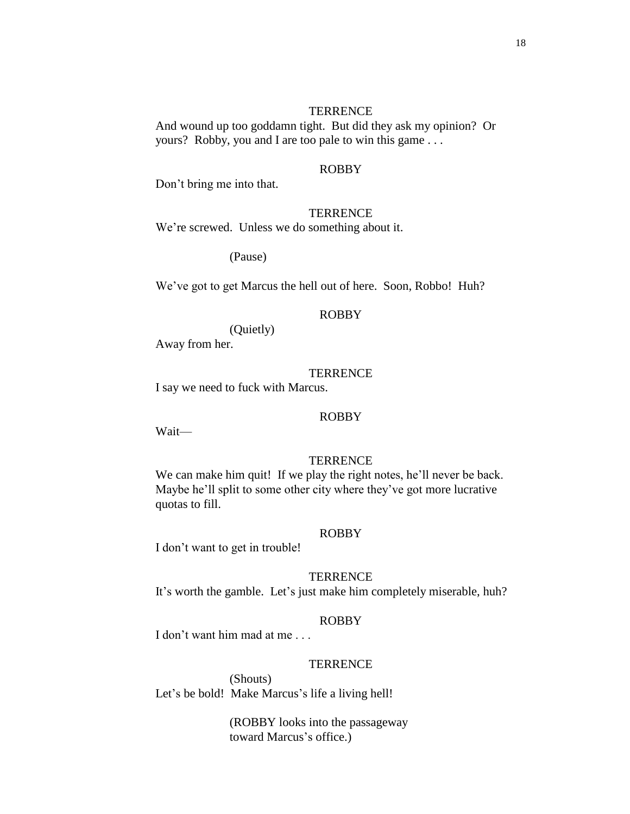And wound up too goddamn tight. But did they ask my opinion? Or yours? Robby, you and I are too pale to win this game . . .

# ROBBY

Don't bring me into that.

#### **TERRENCE**

We're screwed. Unless we do something about it.

(Pause)

We've got to get Marcus the hell out of here. Soon, Robbo! Huh?

#### ROBBY

(Quietly)

Away from her.

# **TERRENCE**

I say we need to fuck with Marcus.

#### ROBBY

Wait—

## **TERRENCE**

We can make him quit! If we play the right notes, he'll never be back. Maybe he'll split to some other city where they've got more lucrative quotas to fill.

### ROBBY

I don't want to get in trouble!

### **TERRENCE**

It's worth the gamble. Let's just make him completely miserable, huh?

#### ROBBY

I don't want him mad at me . . .

#### **TERRENCE**

(Shouts) Let's be bold! Make Marcus's life a living hell!

> (ROBBY looks into the passageway toward Marcus's office.)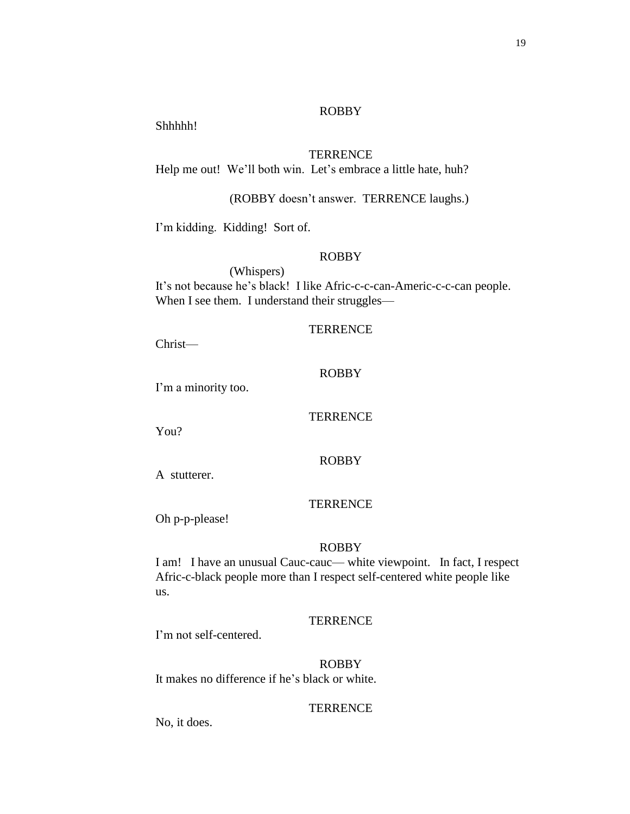### ROBBY

Shhhhh!

# **TERRENCE**

Help me out! We'll both win. Let's embrace a little hate, huh?

(ROBBY doesn't answer. TERRENCE laughs.)

I'm kidding. Kidding! Sort of.

# ROBBY

(Whispers) It's not because he's black! I like Afric-c-c-can-Americ-c-c-can people. When I see them. I understand their struggles—

# **TERRENCE**

Christ—

# ROBBY

I'm a minority too.

#### **TERRENCE**

You?

ROBBY

A stutterer.

### **TERRENCE**

Oh p-p-please!

#### ROBBY

I am! I have an unusual Cauc-cauc— white viewpoint. In fact, I respect Afric-c-black people more than I respect self-centered white people like us.

#### **TERRENCE**

I'm not self-centered.

ROBBY It makes no difference if he's black or white.

### **TERRENCE**

No, it does.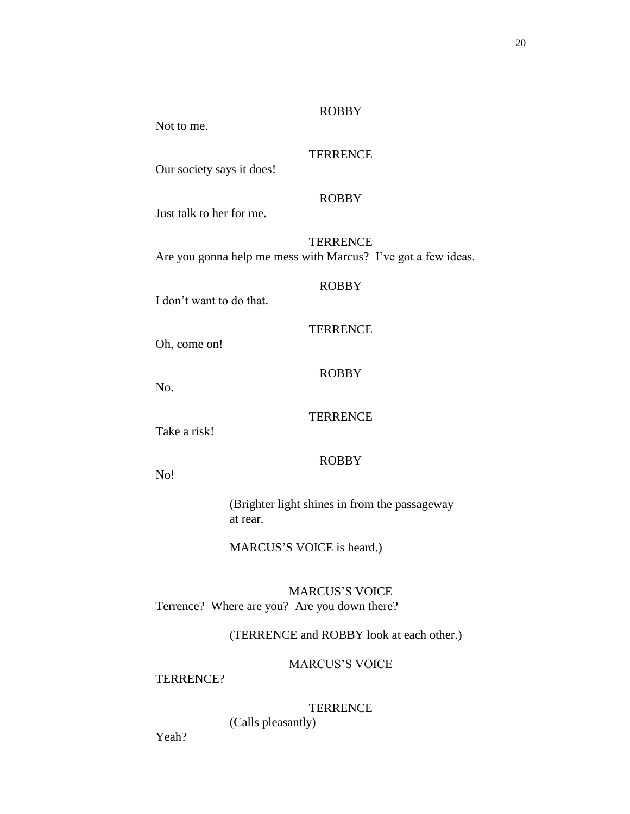### ROBBY

Not to me.

# **TERRENCE**

Our society says it does!

# ROBBY

Just talk to her for me.

**TERRENCE** Are you gonna help me mess with Marcus? I've got a few ideas.

# ROBBY

**TERRENCE** 

I don't want to do that.

Oh, come on!

No.

# **TERRENCE**

ROBBY

Take a risk!

# ROBBY

No!

(Brighter light shines in from the passageway at rear.

MARCUS'S VOICE is heard.)

MARCUS'S VOICE Terrence? Where are you? Are you down there?

(TERRENCE and ROBBY look at each other.)

MARCUS'S VOICE

TERRENCE?

# **TERRENCE**

(Calls pleasantly)

Yeah?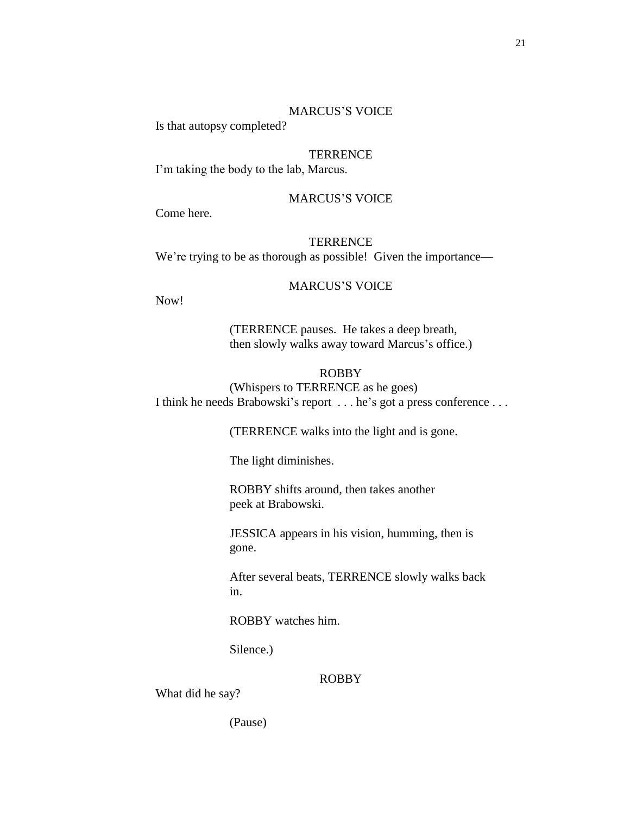#### MARCUS'S VOICE

Is that autopsy completed?

# **TERRENCE**

I'm taking the body to the lab, Marcus.

### MARCUS'S VOICE

Come here.

**TERRENCE** We're trying to be as thorough as possible! Given the importance—

### MARCUS'S VOICE

Now!

(TERRENCE pauses. He takes a deep breath, then slowly walks away toward Marcus's office.)

#### ROBBY

(Whispers to TERRENCE as he goes) I think he needs Brabowski's report . . . he's got a press conference . . .

(TERRENCE walks into the light and is gone.

The light diminishes.

ROBBY shifts around, then takes another peek at Brabowski.

JESSICA appears in his vision, humming, then is gone.

After several beats, TERRENCE slowly walks back in.

ROBBY watches him.

Silence.)

# ROBBY

What did he say?

(Pause)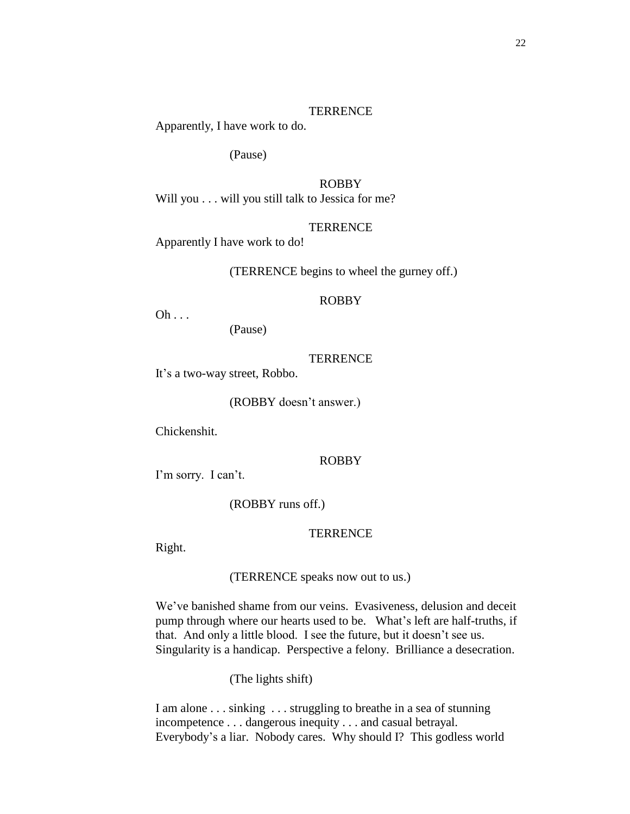Apparently, I have work to do.

(Pause)

ROBBY Will you . . . will you still talk to Jessica for me?

### **TERRENCE**

Apparently I have work to do!

(TERRENCE begins to wheel the gurney off.)

### ROBBY

 $Oh \ldots$ 

(Pause)

### **TERRENCE**

It's a two-way street, Robbo.

(ROBBY doesn't answer.)

Chickenshit.

#### ROBBY

I'm sorry. I can't.

(ROBBY runs off.)

### **TERRENCE**

Right.

(TERRENCE speaks now out to us.)

We've banished shame from our veins. Evasiveness, delusion and deceit pump through where our hearts used to be. What's left are half-truths, if that. And only a little blood. I see the future, but it doesn't see us. Singularity is a handicap. Perspective a felony. Brilliance a desecration.

(The lights shift)

I am alone . . . sinking . . . struggling to breathe in a sea of stunning incompetence . . . dangerous inequity . . . and casual betrayal. Everybody's a liar. Nobody cares. Why should I? This godless world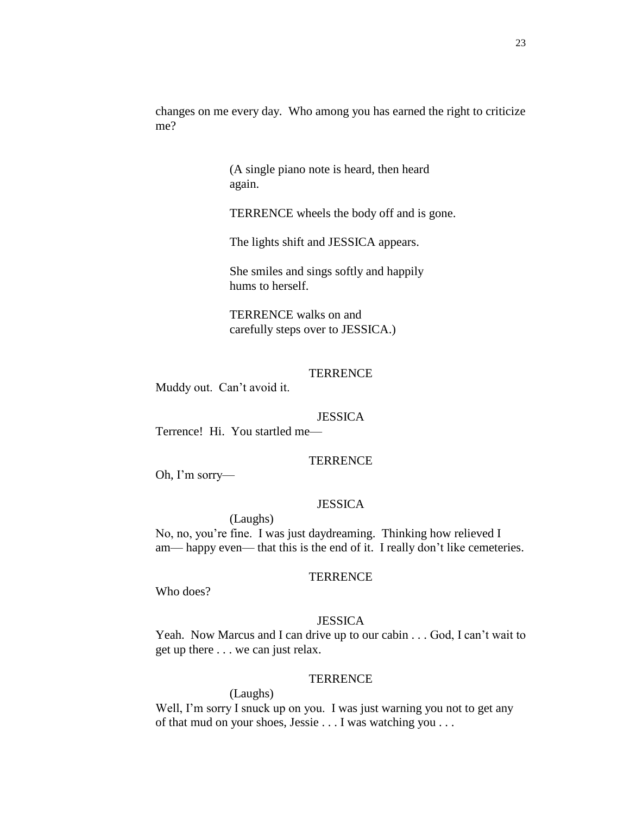changes on me every day. Who among you has earned the right to criticize me?

> (A single piano note is heard, then heard again.

TERRENCE wheels the body off and is gone.

The lights shift and JESSICA appears.

She smiles and sings softly and happily hums to herself.

TERRENCE walks on and carefully steps over to JESSICA.)

**TERRENCE** 

Muddy out. Can't avoid it.

#### **JESSICA**

Terrence! Hi. You startled me—

### **TERRENCE**

Oh, I'm sorry—

# **JESSICA**

(Laughs) No, no, you're fine. I was just daydreaming. Thinking how relieved I am— happy even— that this is the end of it. I really don't like cemeteries.

### **TERRENCE**

Who does?

### **JESSICA**

Yeah. Now Marcus and I can drive up to our cabin . . . God, I can't wait to get up there . . . we can just relax.

#### **TERRENCE**

(Laughs)

Well, I'm sorry I snuck up on you. I was just warning you not to get any of that mud on your shoes, Jessie . . . I was watching you . . .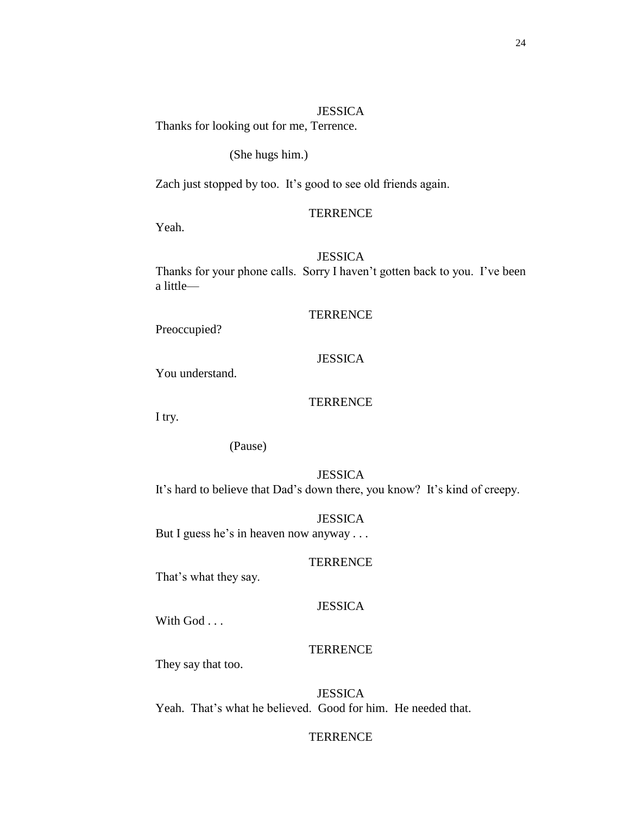### **JESSICA**

Thanks for looking out for me, Terrence.

### (She hugs him.)

Zach just stopped by too. It's good to see old friends again.

#### **TERRENCE**

Yeah.

# **JESSICA**

Thanks for your phone calls. Sorry I haven't gotten back to you. I've been a little—

#### **TERRENCE**

Preoccupied?

# **JESSICA**

You understand.

### **TERRENCE**

I try.

## (Pause)

**JESSICA** It's hard to believe that Dad's down there, you know? It's kind of creepy.

#### **JESSICA**

But I guess he's in heaven now anyway . . .

#### **TERRENCE**

That's what they say.

### **JESSICA**

With God . . .

### **TERRENCE**

They say that too.

**JESSICA** Yeah. That's what he believed. Good for him. He needed that.

# **TERRENCE**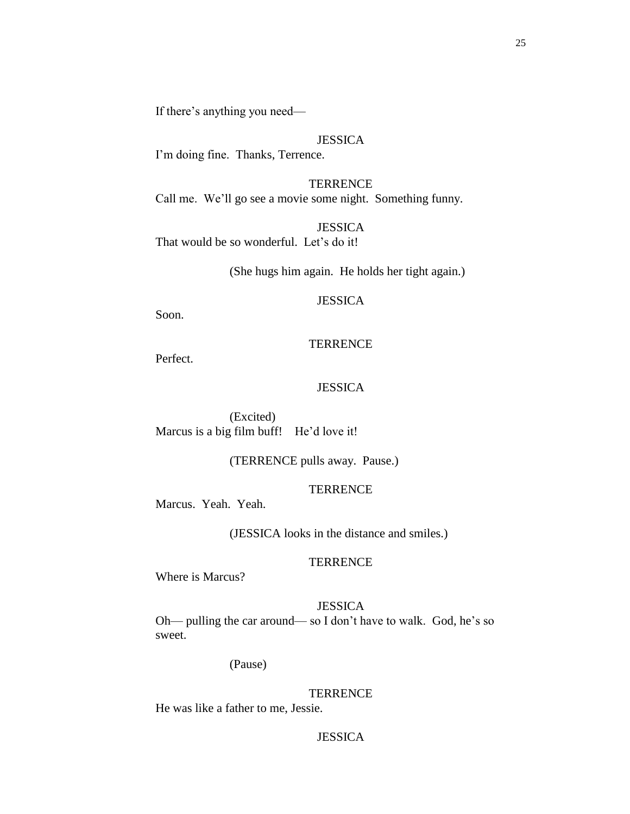If there's anything you need—

### **JESSICA**

I'm doing fine. Thanks, Terrence.

**TERRENCE** Call me. We'll go see a movie some night. Something funny.

**JESSICA** That would be so wonderful. Let's do it!

(She hugs him again. He holds her tight again.)

### JESSICA

Soon.

#### **TERRENCE**

Perfect.

### **JESSICA**

(Excited) Marcus is a big film buff! He'd love it!

(TERRENCE pulls away. Pause.)

### **TERRENCE**

Marcus. Yeah. Yeah.

(JESSICA looks in the distance and smiles.)

### **TERRENCE**

Where is Marcus?

# **JESSICA**

Oh— pulling the car around— so I don't have to walk. God, he's so sweet.

(Pause)

#### **TERRENCE**

He was like a father to me, Jessie.

# **JESSICA**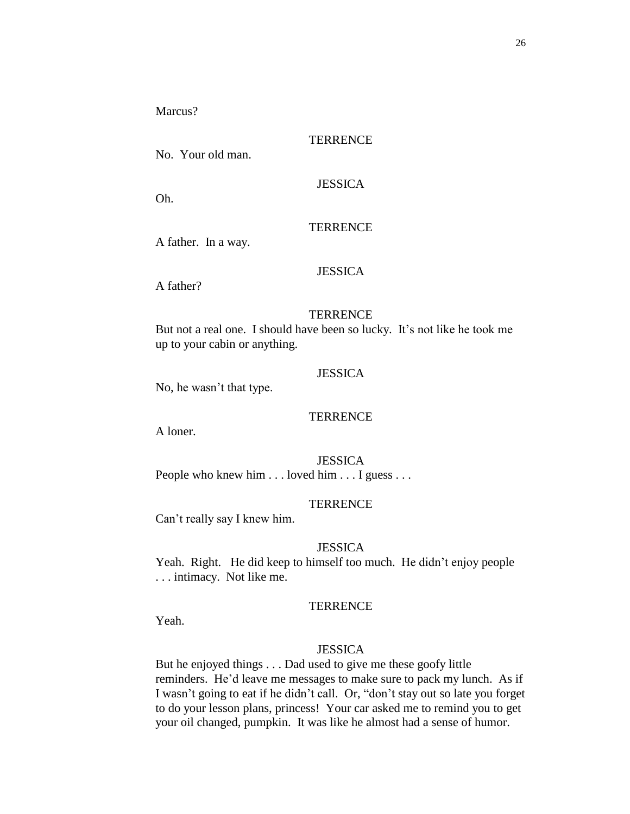Marcus?

# **TERRENCE**

No. Your old man.

**JESSICA** 

Oh.

### **TERRENCE**

A father. In a way.

# **JESSICA**

A father?

#### **TERRENCE**

But not a real one. I should have been so lucky. It's not like he took me up to your cabin or anything.

# **JESSICA**

No, he wasn't that type.

#### **TERRENCE**

A loner.

**JESSICA** People who knew him . . . loved him . . . I guess . . .

### **TERRENCE**

Can't really say I knew him.

### **JESSICA**

Yeah. Right. He did keep to himself too much. He didn't enjoy people . . . intimacy. Not like me.

### **TERRENCE**

Yeah.

#### **JESSICA**

But he enjoyed things . . . Dad used to give me these goofy little reminders. He'd leave me messages to make sure to pack my lunch. As if I wasn't going to eat if he didn't call. Or, "don't stay out so late you forget to do your lesson plans, princess! Your car asked me to remind you to get your oil changed, pumpkin. It was like he almost had a sense of humor.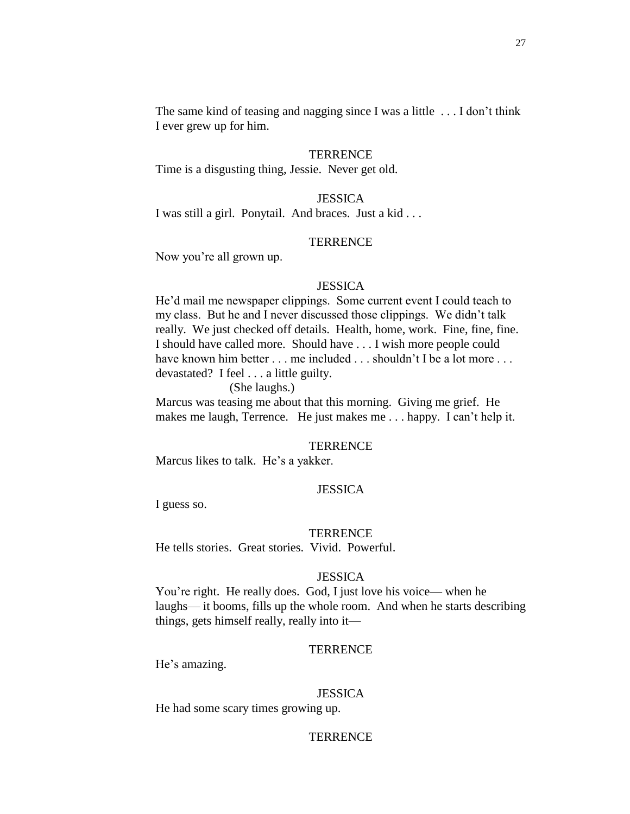The same kind of teasing and nagging since I was a little . . . I don't think I ever grew up for him.

### **TERRENCE**

Time is a disgusting thing, Jessie. Never get old.

### **JESSICA**

I was still a girl. Ponytail. And braces. Just a kid . . .

#### **TERRENCE**

Now you're all grown up.

#### **JESSICA**

He'd mail me newspaper clippings. Some current event I could teach to my class. But he and I never discussed those clippings. We didn't talk really. We just checked off details. Health, home, work. Fine, fine, fine. I should have called more. Should have . . . I wish more people could have known him better . . . me included . . . shouldn't I be a lot more . . . devastated? I feel . . . a little guilty.

(She laughs.)

Marcus was teasing me about that this morning. Giving me grief. He makes me laugh, Terrence. He just makes me . . . happy. I can't help it.

#### **TERRENCE**

Marcus likes to talk. He's a yakker.

# **JESSICA**

I guess so.

#### **TERRENCE**

He tells stories. Great stories. Vivid. Powerful.

#### **JESSICA**

You're right. He really does. God, I just love his voice— when he laughs— it booms, fills up the whole room. And when he starts describing things, gets himself really, really into it—

#### **TERRENCE**

He's amazing.

#### **JESSICA**

He had some scary times growing up.

### **TERRENCE**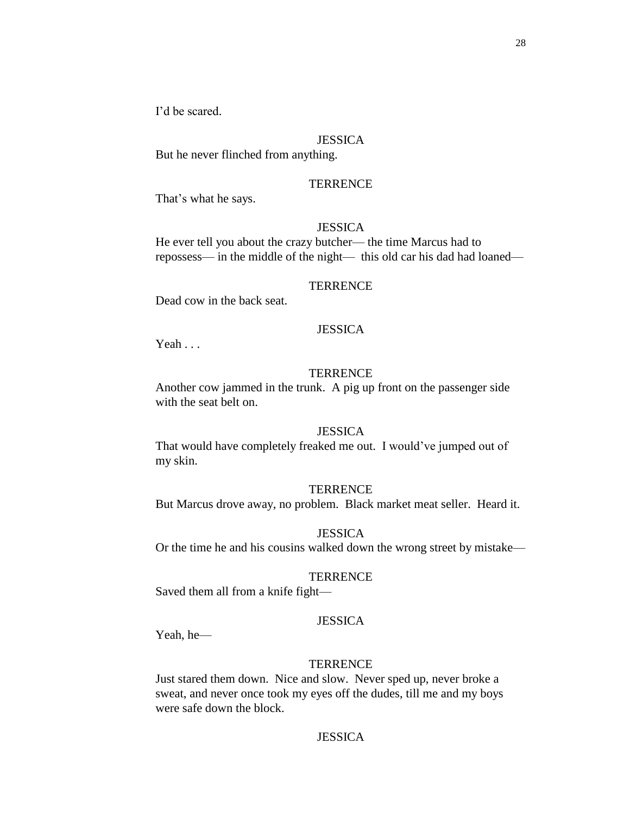I'd be scared.

### **JESSICA**

But he never flinched from anything.

### **TERRENCE**

That's what he says.

### **JESSICA**

He ever tell you about the crazy butcher— the time Marcus had to repossess— in the middle of the night— this old car his dad had loaned—

#### **TERRENCE**

Dead cow in the back seat.

### **JESSICA**

Yeah . . .

# **TERRENCE**

Another cow jammed in the trunk. A pig up front on the passenger side with the seat belt on.

#### **JESSICA**

That would have completely freaked me out. I would've jumped out of my skin.

#### **TERRENCE**

But Marcus drove away, no problem. Black market meat seller. Heard it.

#### **JESSICA**

Or the time he and his cousins walked down the wrong street by mistake—

### **TERRENCE**

Saved them all from a knife fight—

### **JESSICA**

Yeah, he—

### **TERRENCE**

Just stared them down. Nice and slow. Never sped up, never broke a sweat, and never once took my eyes off the dudes, till me and my boys were safe down the block.

# **JESSICA**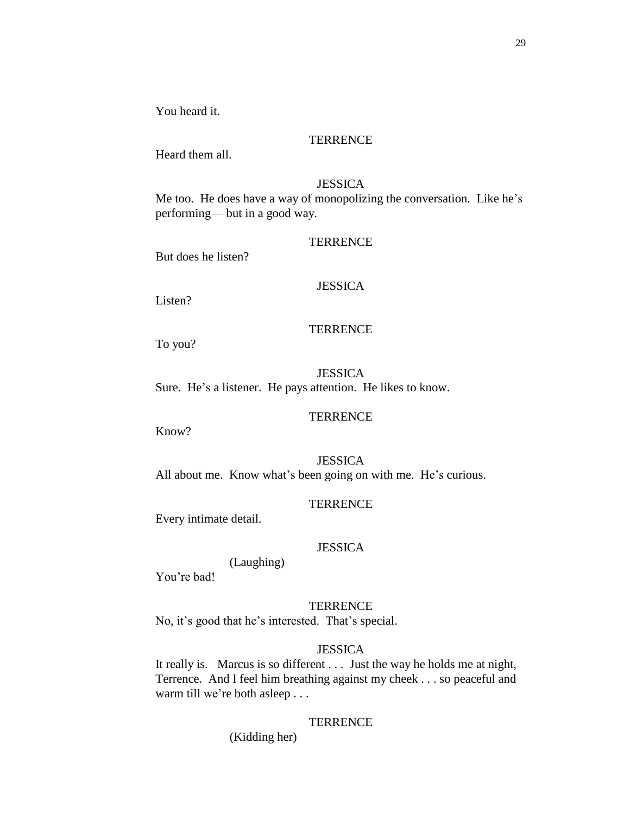You heard it.

### **TERRENCE**

Heard them all.

# **JESSICA**

Me too. He does have a way of monopolizing the conversation. Like he's performing— but in a good way.

#### **TERRENCE**

But does he listen?

#### **JESSICA**

Listen?

# **TERRENCE**

To you?

**JESSICA** Sure. He's a listener. He pays attention. He likes to know.

#### **TERRENCE**

Know?

**JESSICA** All about me. Know what's been going on with me. He's curious.

### **TERRENCE**

Every intimate detail.

#### **JESSICA**

(Laughing)

You're bad!

### **TERRENCE**

No, it's good that he's interested. That's special.

### **JESSICA**

It really is. Marcus is so different . . . Just the way he holds me at night, Terrence. And I feel him breathing against my cheek . . . so peaceful and warm till we're both asleep . . .

### **TERRENCE**

(Kidding her)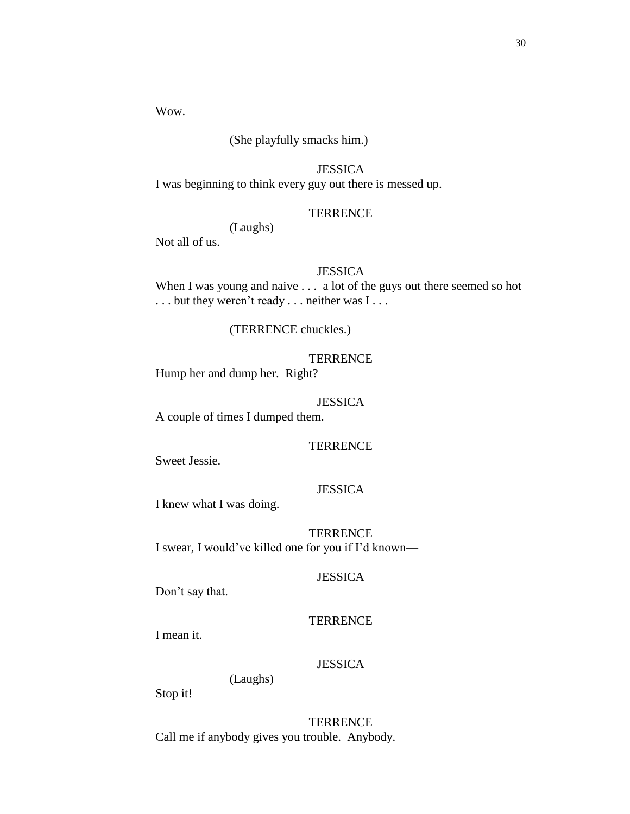Wow.

# (She playfully smacks him.)

# JESSICA

I was beginning to think every guy out there is messed up.

### **TERRENCE**

(Laughs)

Not all of us.

# **JESSICA**

When I was young and naive . . . a lot of the guys out there seemed so hot . . . but they weren't ready . . . neither was I . . .

### (TERRENCE chuckles.)

# **TERRENCE**

Hump her and dump her. Right?

### JESSICA

A couple of times I dumped them.

### **TERRENCE**

Sweet Jessie.

# **JESSICA**

I knew what I was doing.

**TERRENCE** I swear, I would've killed one for you if I'd known—

# JESSICA

Don't say that.

#### **TERRENCE**

I mean it.

# **JESSICA**

(Laughs)

Stop it!

**TERRENCE** Call me if anybody gives you trouble. Anybody.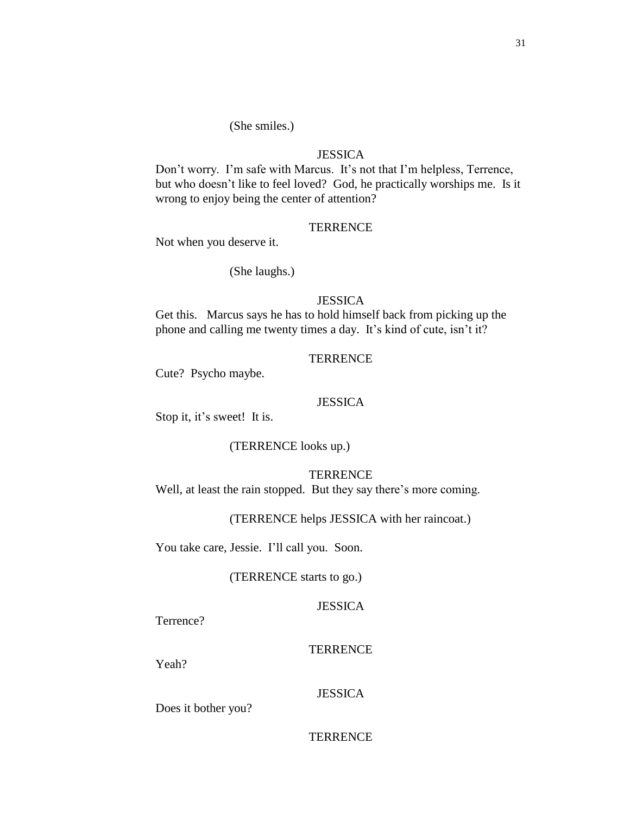### (She smiles.)

# **JESSICA**

Don't worry. I'm safe with Marcus. It's not that I'm helpless, Terrence, but who doesn't like to feel loved? God, he practically worships me. Is it wrong to enjoy being the center of attention?

### **TERRENCE**

Not when you deserve it.

(She laughs.)

# **JESSICA**

Get this. Marcus says he has to hold himself back from picking up the phone and calling me twenty times a day. It's kind of cute, isn't it?

### **TERRENCE**

Cute? Psycho maybe.

### **JESSICA**

Stop it, it's sweet! It is.

## (TERRENCE looks up.)

**TERRENCE** 

Well, at least the rain stopped. But they say there's more coming.

### (TERRENCE helps JESSICA with her raincoat.)

You take care, Jessie. I'll call you. Soon.

### (TERRENCE starts to go.)

### **JESSICA**

Terrence?

#### **TERRENCE**

Yeah?

### **JESSICA**

Does it bother you?

# **TERRENCE**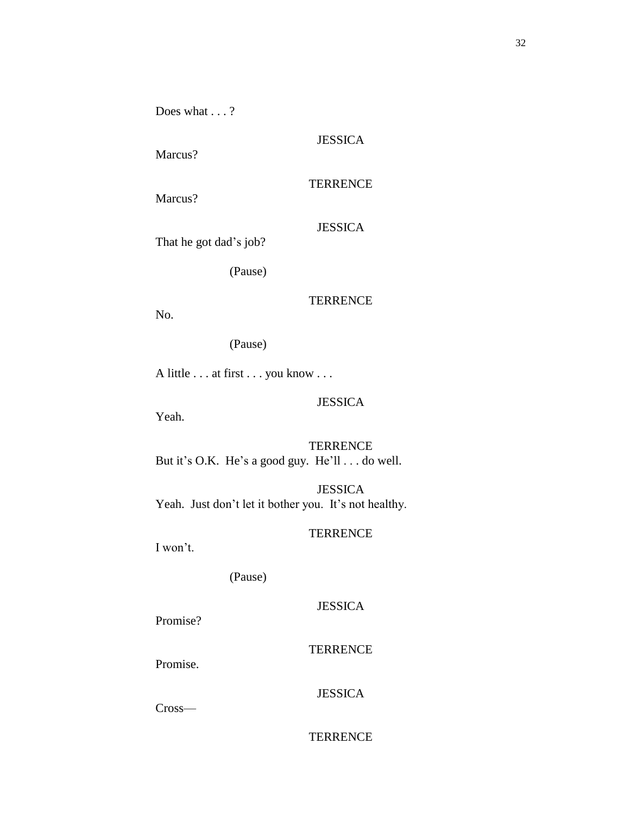Does what . . . ?

Marcus?

**TERRENCE** 

Marcus?

# JESSICA

That he got dad's job?

(Pause)

# **TERRENCE**

No.

(Pause)

A little . . . at first . . . you know . . .

# JESSICA

Yeah.

**TERRENCE** But it's O.K. He's a good guy. He'll . . . do well.

JESSICA Yeah. Just don't let it bother you. It's not healthy.

# **TERRENCE**

I won't.

(Pause)

# **JESSICA**

Promise?

**TERRENCE** 

Promise.

# JESSICA

Cross—

# **TERRENCE**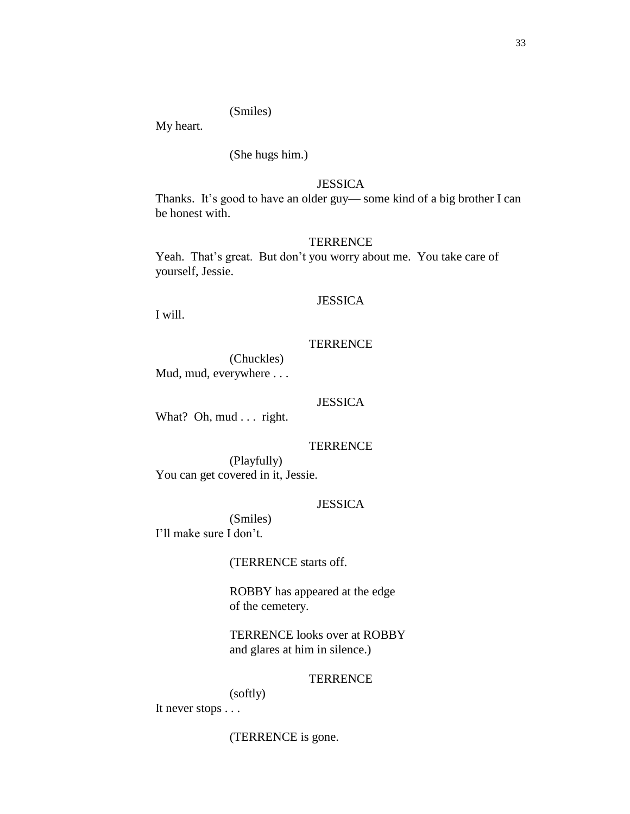### (Smiles)

My heart.

### (She hugs him.)

# **JESSICA**

Thanks. It's good to have an older guy— some kind of a big brother I can be honest with.

#### **TERRENCE**

Yeah. That's great. But don't you worry about me. You take care of yourself, Jessie.

# **JESSICA**

I will.

### **TERRENCE**

(Chuckles) Mud, mud, everywhere . . .

### **JESSICA**

What? Oh, mud . . . right.

#### **TERRENCE**

(Playfully) You can get covered in it, Jessie.

### **JESSICA**

(Smiles) I'll make sure I don't.

### (TERRENCE starts off.

ROBBY has appeared at the edge of the cemetery.

TERRENCE looks over at ROBBY and glares at him in silence.)

#### **TERRENCE**

(softly) It never stops . . .

### (TERRENCE is gone.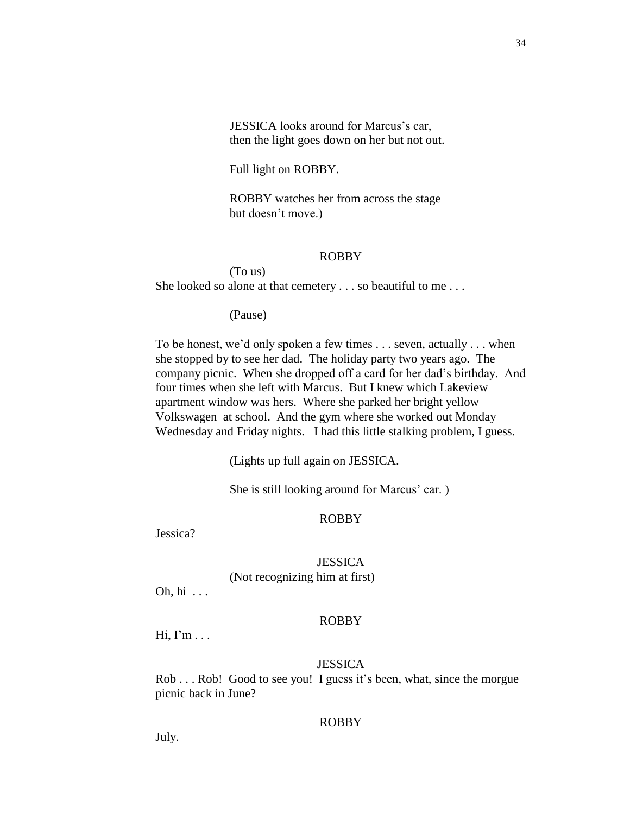JESSICA looks around for Marcus's car, then the light goes down on her but not out.

Full light on ROBBY.

ROBBY watches her from across the stage but doesn't move.)

### ROBBY

(To us) She looked so alone at that cemetery . . . so beautiful to me . . .

(Pause)

To be honest, we'd only spoken a few times . . . seven, actually . . . when she stopped by to see her dad. The holiday party two years ago. The company picnic. When she dropped off a card for her dad's birthday. And four times when she left with Marcus. But I knew which Lakeview apartment window was hers. Where she parked her bright yellow Volkswagen at school. And the gym where she worked out Monday Wednesday and Friday nights. I had this little stalking problem, I guess.

(Lights up full again on JESSICA.

She is still looking around for Marcus' car. )

#### ROBBY

Jessica?

# **JESSICA**

(Not recognizing him at first)

Oh, hi . . .

#### ROBBY

 $Hi, I'm...$ 

#### **JESSICA**

Rob . . . Rob! Good to see you! I guess it's been, what, since the morgue picnic back in June?

### ROBBY

July.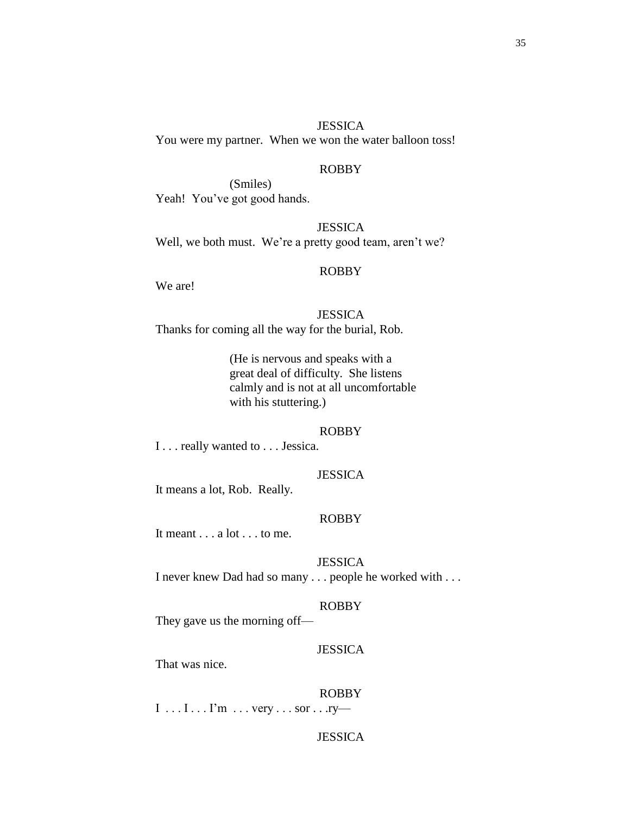#### **JESSICA**

You were my partner. When we won the water balloon toss!

# ROBBY

(Smiles) Yeah! You've got good hands.

**JESSICA** Well, we both must. We're a pretty good team, aren't we?

#### ROBBY

We are!

### JESSICA

Thanks for coming all the way for the burial, Rob.

(He is nervous and speaks with a great deal of difficulty. She listens calmly and is not at all uncomfortable with his stuttering.)

#### ROBBY

I . . . really wanted to . . . Jessica.

### JESSICA

It means a lot, Rob. Really.

#### ROBBY

It meant . . . a lot . . . to me.

**JESSICA** I never knew Dad had so many . . . people he worked with . . .

# ROBBY

They gave us the morning off—

#### JESSICA

That was nice.

#### ROBBY

 $I \ldots I \ldots I^m \ldots$  very  $\ldots$  sor  $\ldots$  ry—

# **JESSICA**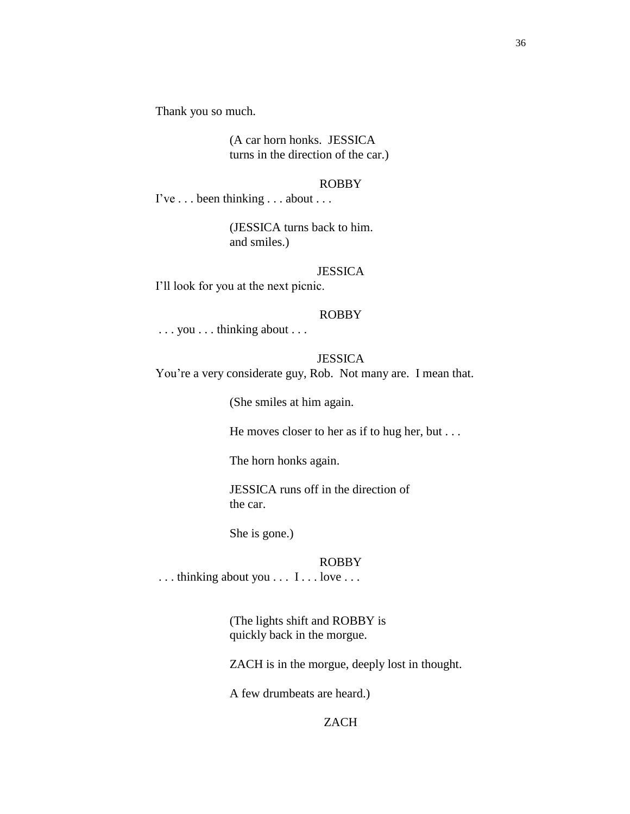Thank you so much.

(A car horn honks. JESSICA turns in the direction of the car.)

#### ROBBY

I've . . . been thinking . . . about . . .

(JESSICA turns back to him. and smiles.)

### JESSICA

I'll look for you at the next picnic.

#### ROBBY

. . . you . . . thinking about . . .

# **JESSICA**

You're a very considerate guy, Rob. Not many are. I mean that.

(She smiles at him again.

He moves closer to her as if to hug her, but . . .

The horn honks again.

JESSICA runs off in the direction of the car.

She is gone.)

### ROBBY

... thinking about you ... I... love ...

(The lights shift and ROBBY is quickly back in the morgue.

ZACH is in the morgue, deeply lost in thought.

A few drumbeats are heard.)

# ZACH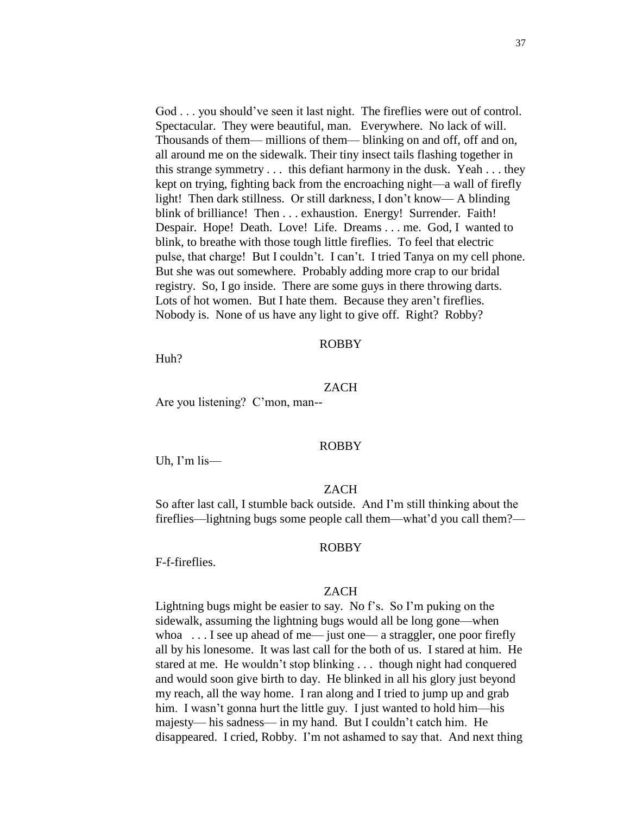God . . . you should've seen it last night. The fireflies were out of control. Spectacular. They were beautiful, man. Everywhere. No lack of will. Thousands of them— millions of them— blinking on and off, off and on, all around me on the sidewalk. Their tiny insect tails flashing together in this strange symmetry . . . this defiant harmony in the dusk. Yeah . . . they kept on trying, fighting back from the encroaching night—a wall of firefly light! Then dark stillness. Or still darkness, I don't know— A blinding blink of brilliance! Then . . . exhaustion. Energy! Surrender. Faith! Despair. Hope! Death. Love! Life. Dreams . . . me. God, I wanted to blink, to breathe with those tough little fireflies. To feel that electric pulse, that charge! But I couldn't. I can't. I tried Tanya on my cell phone. But she was out somewhere. Probably adding more crap to our bridal registry. So, I go inside. There are some guys in there throwing darts. Lots of hot women. But I hate them. Because they aren't fireflies. Nobody is. None of us have any light to give off. Right? Robby?

#### ROBBY

Huh?

#### ZACH

Are you listening? C'mon, man--

#### ROBBY

Uh, I'm lis—

### ZACH

So after last call, I stumble back outside. And I'm still thinking about the fireflies—lightning bugs some people call them—what'd you call them?—

#### ROBBY

F-f-fireflies.

#### ZACH

Lightning bugs might be easier to say. No f's. So I'm puking on the sidewalk, assuming the lightning bugs would all be long gone—when whoa  $\dots$  I see up ahead of me— just one— a straggler, one poor firefly all by his lonesome. It was last call for the both of us. I stared at him. He stared at me. He wouldn't stop blinking . . . though night had conquered and would soon give birth to day. He blinked in all his glory just beyond my reach, all the way home. I ran along and I tried to jump up and grab him. I wasn't gonna hurt the little guy. I just wanted to hold him—his majesty— his sadness— in my hand. But I couldn't catch him. He disappeared. I cried, Robby. I'm not ashamed to say that. And next thing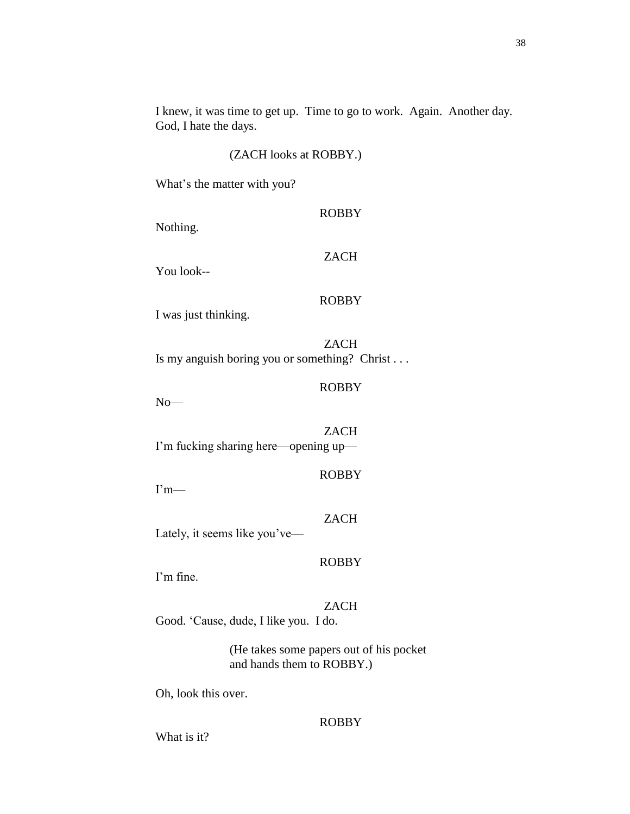I knew, it was time to get up. Time to go to work. Again. Another day. God, I hate the days.

# (ZACH looks at ROBBY.)

What's the matter with you?

| Nothing.             | <b>ROBBY</b>                                                 |
|----------------------|--------------------------------------------------------------|
| You look--           | <b>ZACH</b>                                                  |
| I was just thinking. | <b>ROBBY</b>                                                 |
|                      | <b>ZACH</b><br>Is my anguish boring you or something? Christ |
| $No-$                | <b>ROBBY</b>                                                 |
|                      | ZACH                                                         |

I'm fucking sharing here—opening up—

I'm—

Lately, it seems like you've—

# ROBBY

I'm fine.

# ZACH

ROBBY

ZACH

Good. 'Cause, dude, I like you. I do.

(He takes some papers out of his pocket and hands them to ROBBY.)

Oh, look this over.

#### ROBBY

What is it?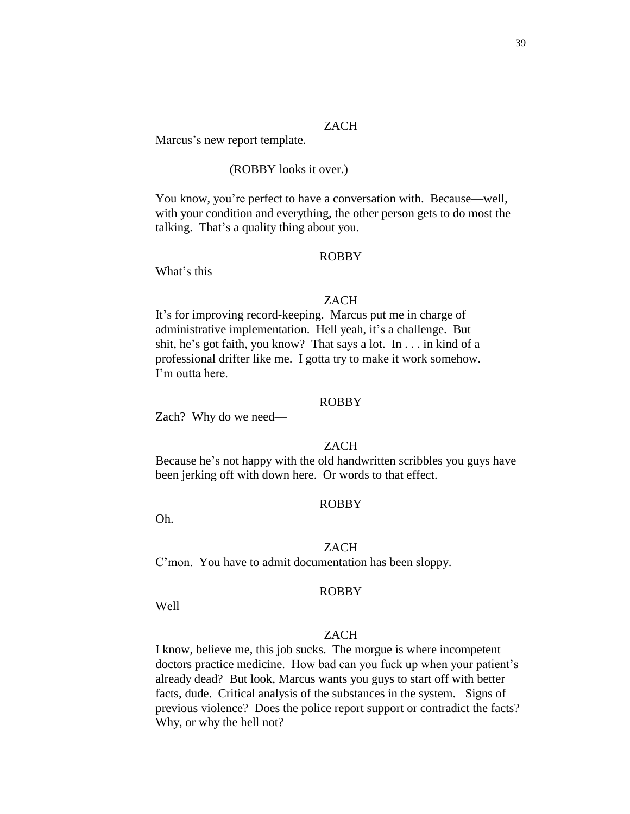# ZACH

Marcus's new report template.

# (ROBBY looks it over.)

You know, you're perfect to have a conversation with. Because—well, with your condition and everything, the other person gets to do most the talking. That's a quality thing about you.

### ROBBY

What's this—

## ZACH

It's for improving record-keeping. Marcus put me in charge of administrative implementation. Hell yeah, it's a challenge. But shit, he's got faith, you know? That says a lot. In . . . in kind of a professional drifter like me. I gotta try to make it work somehow. I'm outta here.

### ROBBY

Zach? Why do we need—

# **ZACH**

Because he's not happy with the old handwritten scribbles you guys have been jerking off with down here. Or words to that effect.

## ROBBY

Oh.

#### ZACH

C'mon. You have to admit documentation has been sloppy.

#### ROBBY

Well—

# ZACH

I know, believe me, this job sucks. The morgue is where incompetent doctors practice medicine. How bad can you fuck up when your patient's already dead? But look, Marcus wants you guys to start off with better facts, dude. Critical analysis of the substances in the system. Signs of previous violence? Does the police report support or contradict the facts? Why, or why the hell not?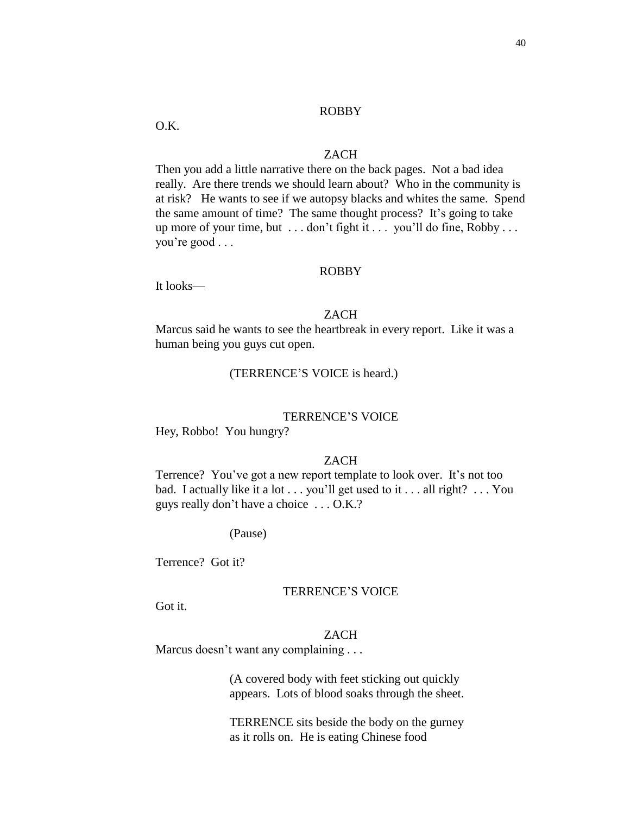O.K.

## ZACH

Then you add a little narrative there on the back pages. Not a bad idea really. Are there trends we should learn about? Who in the community is at risk? He wants to see if we autopsy blacks and whites the same. Spend the same amount of time? The same thought process? It's going to take up more of your time, but . . . don't fight it . . . you'll do fine, Robby . . . you're good . . .

### ROBBY

It looks—

## ZACH

Marcus said he wants to see the heartbreak in every report. Like it was a human being you guys cut open.

## (TERRENCE'S VOICE is heard.)

#### TERRENCE'S VOICE

Hey, Robbo! You hungry?

#### ZACH

Terrence? You've got a new report template to look over. It's not too bad. I actually like it a lot . . . you'll get used to it . . . all right? . . . You guys really don't have a choice . . . O.K.?

#### (Pause)

Terrence? Got it?

#### TERRENCE'S VOICE

Got it.

#### ZACH

Marcus doesn't want any complaining . . .

(A covered body with feet sticking out quickly appears. Lots of blood soaks through the sheet.

TERRENCE sits beside the body on the gurney as it rolls on. He is eating Chinese food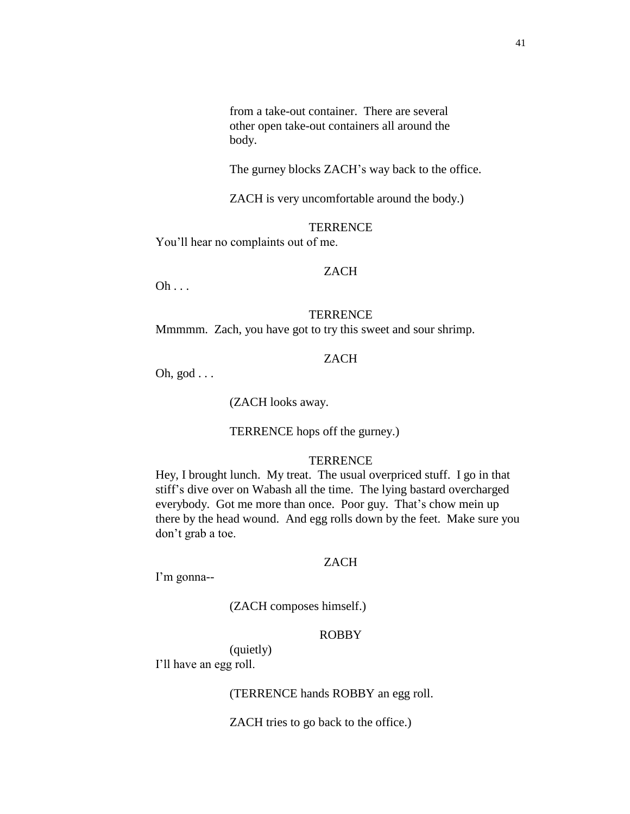from a take-out container. There are several other open take-out containers all around the body.

The gurney blocks ZACH's way back to the office.

ZACH is very uncomfortable around the body.)

#### **TERRENCE**

You'll hear no complaints out of me.

# ZACH

 $Oh$  . . .

#### **TERRENCE**

Mmmmm. Zach, you have got to try this sweet and sour shrimp.

# ZACH

Oh, god . . .

(ZACH looks away.

### TERRENCE hops off the gurney.)

# **TERRENCE**

Hey, I brought lunch. My treat. The usual overpriced stuff. I go in that stiff's dive over on Wabash all the time. The lying bastard overcharged everybody. Got me more than once. Poor guy. That's chow mein up there by the head wound. And egg rolls down by the feet. Make sure you don't grab a toe.

#### ZACH

I'm gonna--

(ZACH composes himself.)

# ROBBY

(quietly)

I'll have an egg roll.

(TERRENCE hands ROBBY an egg roll.

ZACH tries to go back to the office.)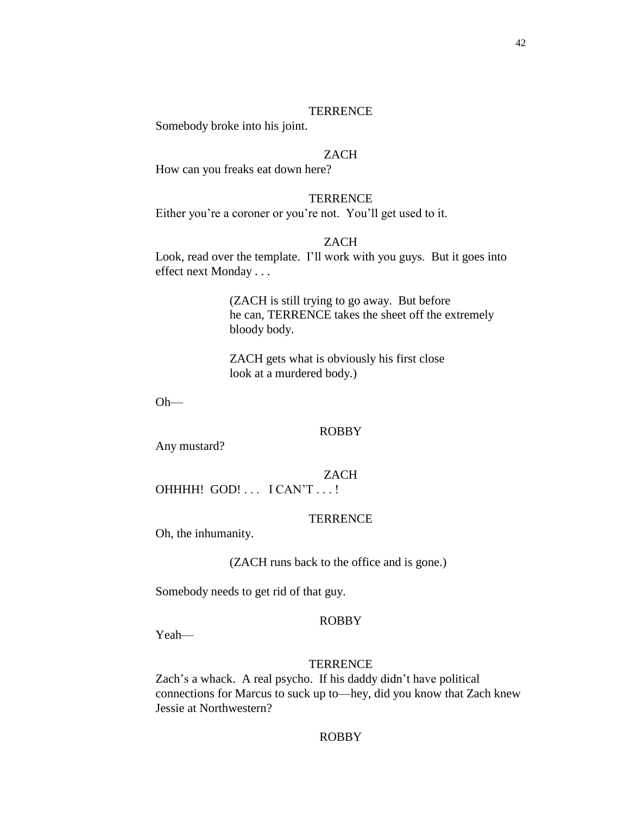#### **TERRENCE**

Somebody broke into his joint.

# ZACH

How can you freaks eat down here?

#### **TERRENCE**

Either you're a coroner or you're not. You'll get used to it.

## ZACH

Look, read over the template. I'll work with you guys. But it goes into effect next Monday . . .

> (ZACH is still trying to go away. But before he can, TERRENCE takes the sheet off the extremely bloody body.

ZACH gets what is obviously his first close look at a murdered body.)

Oh—

#### ROBBY

Any mustard?

ZACH

OHHHH! GOD! . . . I CAN'T . . . !

### **TERRENCE**

Oh, the inhumanity.

(ZACH runs back to the office and is gone.)

Somebody needs to get rid of that guy.

#### ROBBY

Yeah—

#### **TERRENCE**

Zach's a whack. A real psycho. If his daddy didn't have political connections for Marcus to suck up to—hey, did you know that Zach knew Jessie at Northwestern?

## ROBBY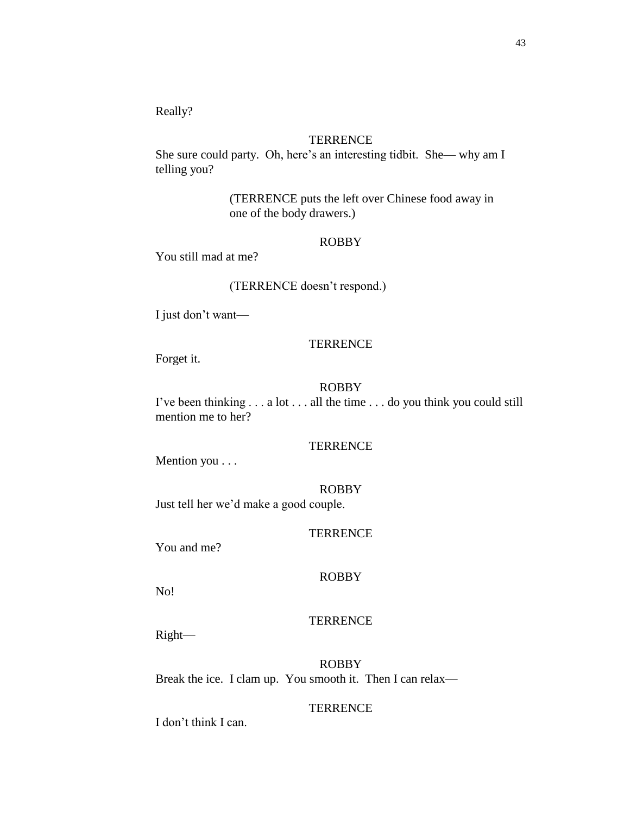Really?

# **TERRENCE**

She sure could party. Oh, here's an interesting tidbit. She— why am I telling you?

> (TERRENCE puts the left over Chinese food away in one of the body drawers.)

#### ROBBY

You still mad at me?

# (TERRENCE doesn't respond.)

I just don't want—

#### **TERRENCE**

Forget it.

### ROBBY

I've been thinking . . . a lot . . . all the time . . . do you think you could still mention me to her?

### **TERRENCE**

Mention you . . .

#### ROBBY

Just tell her we'd make a good couple.

# **TERRENCE**

You and me?

# ROBBY

No!

### **TERRENCE**

Right—

ROBBY Break the ice. I clam up. You smooth it. Then I can relax—

## **TERRENCE**

I don't think I can.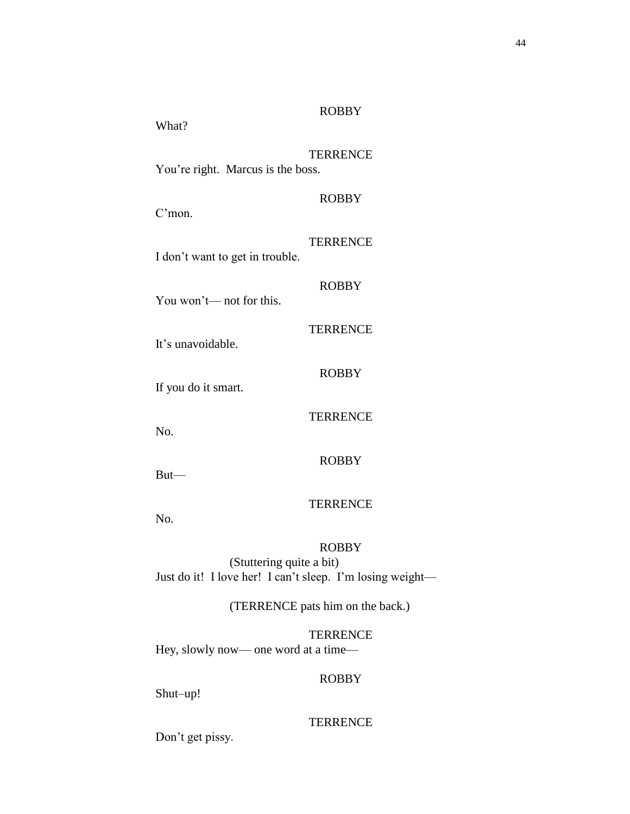| What?                             | <b>ROBBY</b>    |
|-----------------------------------|-----------------|
| You're right. Marcus is the boss. | <b>TERRENCE</b> |
| C <sub>mon</sub>                  | <b>ROBBY</b>    |
| I don't want to get in trouble.   | <b>TERRENCE</b> |
| You won't— not for this.          | <b>ROBBY</b>    |
| It's unavoidable.                 | <b>TERRENCE</b> |
| If you do it smart.               | <b>ROBBY</b>    |
| No.                               | <b>TERRENCE</b> |
| $But$ —                           | <b>ROBBY</b>    |
| No.                               | <b>TERRENCE</b> |
|                                   | <b>ROBBY</b>    |

(Stuttering quite a bit) Just do it! I love her! I can't sleep. I'm losing weight—

(TERRENCE pats him on the back.)

**TERRENCE** Hey, slowly now— one word at a time—

# ROBBY

Shut–up!

## TERRENCE

Don't get pissy.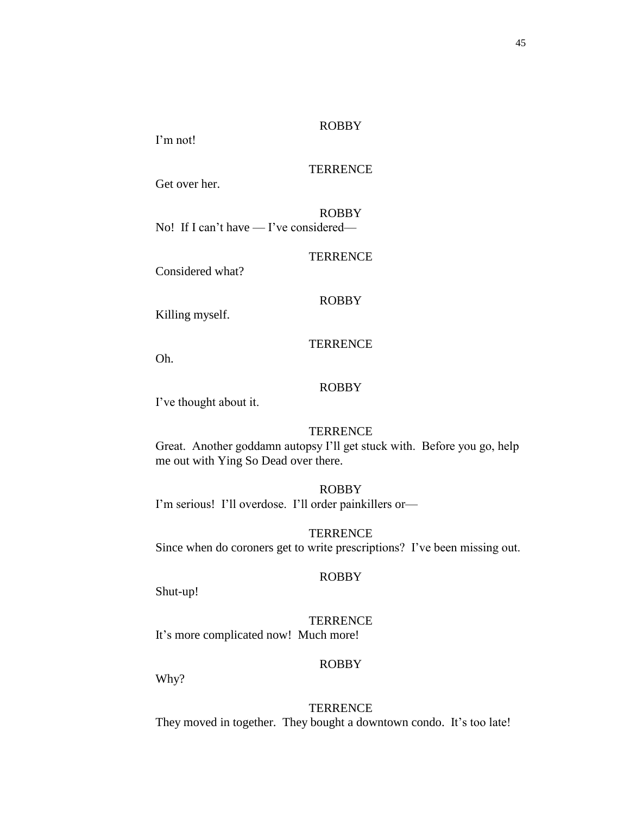I'm not!

# **TERRENCE**

Get over her.

ROBBY No! If I can't have — I've considered—

**TERRENCE** 

Considered what?

# ROBBY

Killing myself.

### **TERRENCE**

Oh.

### ROBBY

I've thought about it.

# **TERRENCE**

Great. Another goddamn autopsy I'll get stuck with. Before you go, help me out with Ying So Dead over there.

# ROBBY

I'm serious! I'll overdose. I'll order painkillers or—

**TERRENCE** Since when do coroners get to write prescriptions? I've been missing out.

# ROBBY

Shut-up!

### **TERRENCE**

It's more complicated now! Much more!

# ROBBY

Why?

**TERRENCE** They moved in together. They bought a downtown condo. It's too late!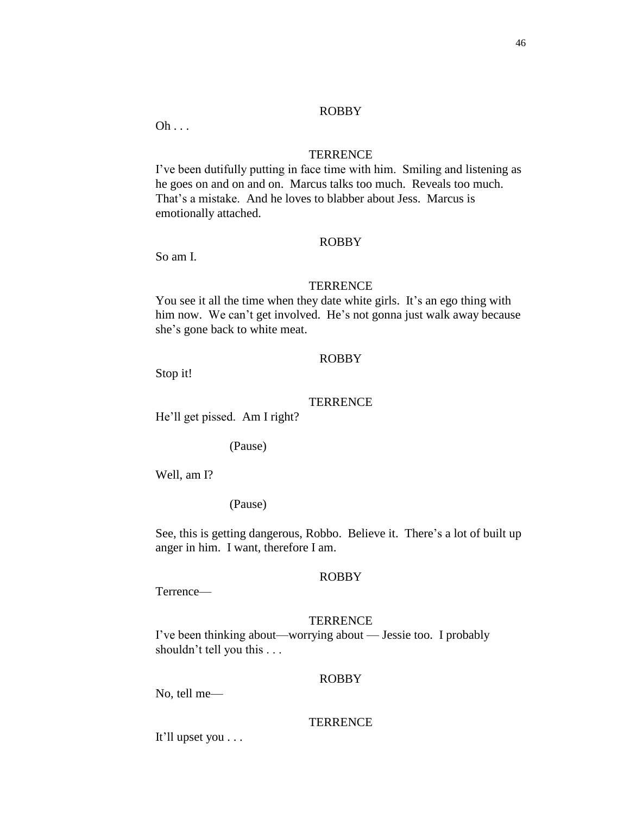$Oh \ldots$ 

#### **TERRENCE**

I've been dutifully putting in face time with him. Smiling and listening as he goes on and on and on. Marcus talks too much. Reveals too much. That's a mistake. And he loves to blabber about Jess. Marcus is emotionally attached.

#### ROBBY

So am I.

#### **TERRENCE**

You see it all the time when they date white girls. It's an ego thing with him now. We can't get involved. He's not gonna just walk away because she's gone back to white meat.

## ROBBY

Stop it!

### **TERRENCE**

He'll get pissed. Am I right?

(Pause)

Well, am I?

(Pause)

See, this is getting dangerous, Robbo. Believe it. There's a lot of built up anger in him. I want, therefore I am.

# ROBBY

Terrence—

#### **TERRENCE**

I've been thinking about—worrying about — Jessie too. I probably shouldn't tell you this . . .

#### ROBBY

No, tell me—

#### **TERRENCE**

It'll upset you . . .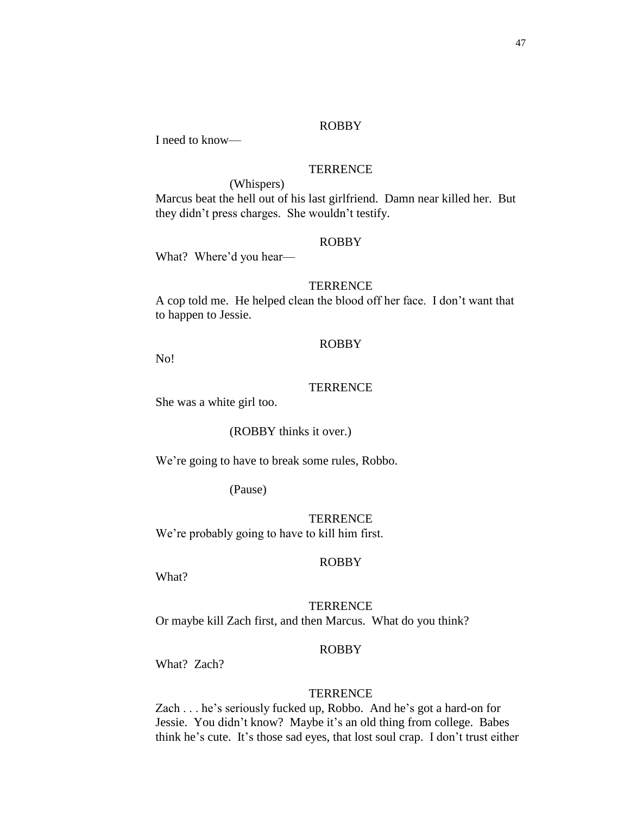I need to know—

# **TERRENCE**

(Whispers)

Marcus beat the hell out of his last girlfriend. Damn near killed her. But they didn't press charges. She wouldn't testify.

### ROBBY

What? Where'd you hear—

#### **TERRENCE**

A cop told me. He helped clean the blood off her face. I don't want that to happen to Jessie.

## ROBBY

No!

#### **TERRENCE**

She was a white girl too.

## (ROBBY thinks it over.)

We're going to have to break some rules, Robbo.

(Pause)

**TERRENCE** We're probably going to have to kill him first.

#### ROBBY

What?

**TERRENCE** Or maybe kill Zach first, and then Marcus. What do you think?

### ROBBY

What? Zach?

#### **TERRENCE**

Zach . . . he's seriously fucked up, Robbo. And he's got a hard-on for Jessie. You didn't know? Maybe it's an old thing from college. Babes think he's cute. It's those sad eyes, that lost soul crap. I don't trust either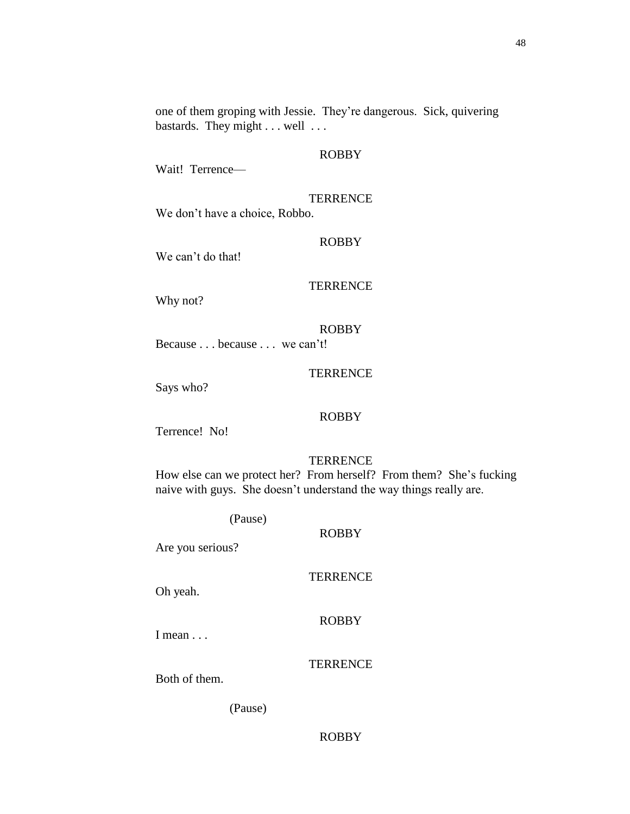one of them groping with Jessie. They're dangerous. Sick, quivering bastards. They might . . . well . . .

#### ROBBY

Wait! Terrence—

# **TERRENCE**

We don't have a choice, Robbo.

#### ROBBY

We can't do that!

### **TERRENCE**

Why not?

# ROBBY

Because . . . because . . . we can't!

# **TERRENCE**

Says who?

# ROBBY

Terrence! No!

# **TERRENCE**

How else can we protect her? From herself? From them? She's fucking naive with guys. She doesn't understand the way things really are.

(Pause)

Are you serious?

# **TERRENCE**

ROBBY

Oh yeah.

### ROBBY

I mean . . .

# **TERRENCE**

Both of them.

(Pause)

# ROBBY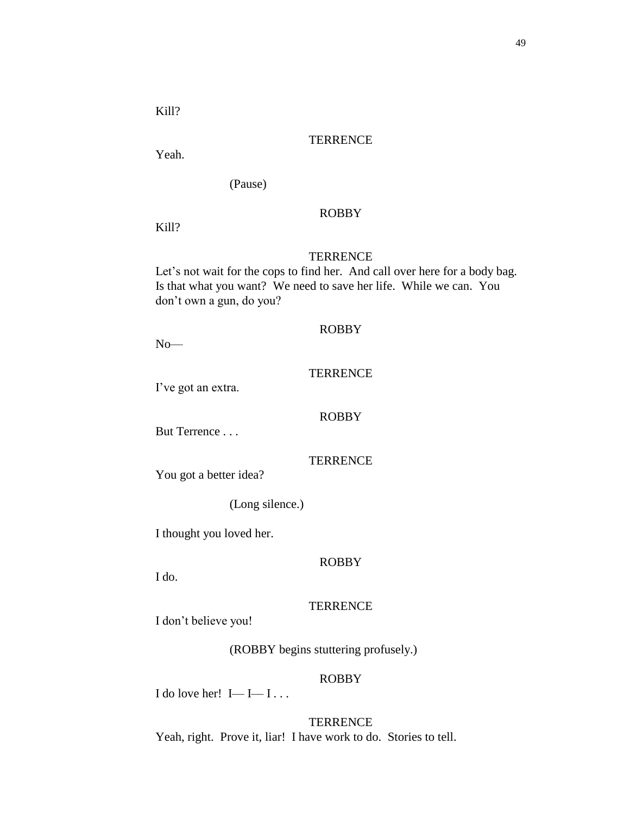Kill?

#### **TERRENCE**

Yeah.

(Pause)

#### ROBBY

Kill?

# **TERRENCE**

Let's not wait for the cops to find her. And call over here for a body bag. Is that what you want? We need to save her life. While we can. You don't own a gun, do you?

## ROBBY

 $\,$  No $\,$ 

# **TERRENCE**

I've got an extra.

### ROBBY

But Terrence . . .

# **TERRENCE**

You got a better idea?

(Long silence.)

I thought you loved her.

#### ROBBY

I do.

## **TERRENCE**

I don't believe you!

(ROBBY begins stuttering profusely.)

### ROBBY

I do love her! I—I—I...

**TERRENCE** Yeah, right. Prove it, liar! I have work to do. Stories to tell.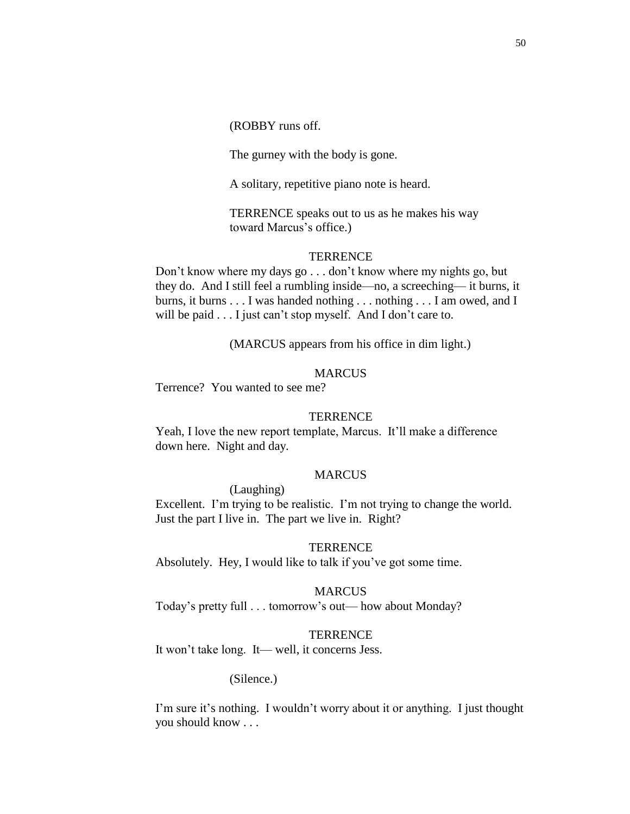(ROBBY runs off.

The gurney with the body is gone.

A solitary, repetitive piano note is heard.

TERRENCE speaks out to us as he makes his way toward Marcus's office.)

#### **TERRENCE**

Don't know where my days go . . . don't know where my nights go, but they do. And I still feel a rumbling inside—no, a screeching— it burns, it burns, it burns . . . I was handed nothing . . . nothing . . . I am owed, and I will be paid . . . I just can't stop myself. And I don't care to.

(MARCUS appears from his office in dim light.)

# **MARCUS**

Terrence? You wanted to see me?

#### **TERRENCE**

Yeah, I love the new report template, Marcus. It'll make a difference down here. Night and day.

### MARCUS

(Laughing)

Excellent. I'm trying to be realistic. I'm not trying to change the world. Just the part I live in. The part we live in. Right?

### **TERRENCE**

Absolutely. Hey, I would like to talk if you've got some time.

#### MARCUS

Today's pretty full . . . tomorrow's out— how about Monday?

#### **TERRENCE**

It won't take long. It— well, it concerns Jess.

# (Silence.)

I'm sure it's nothing. I wouldn't worry about it or anything. I just thought you should know . . .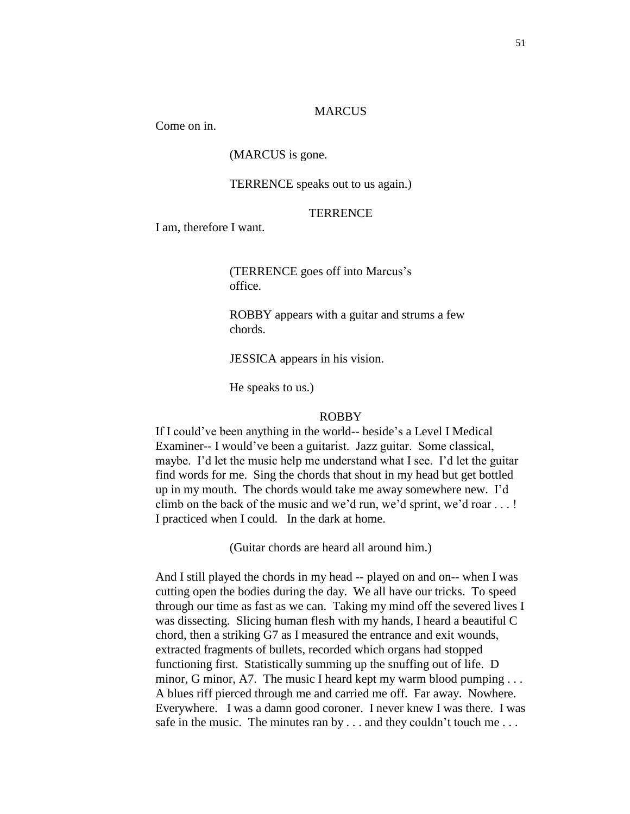#### **MARCUS**

Come on in.

### (MARCUS is gone.

#### TERRENCE speaks out to us again.)

#### **TERRENCE**

I am, therefore I want.

(TERRENCE goes off into Marcus's office.

ROBBY appears with a guitar and strums a few chords.

JESSICA appears in his vision.

He speaks to us.)

#### ROBBY

If I could've been anything in the world-- beside's a Level I Medical Examiner-- I would've been a guitarist. Jazz guitar. Some classical, maybe. I'd let the music help me understand what I see. I'd let the guitar find words for me. Sing the chords that shout in my head but get bottled up in my mouth. The chords would take me away somewhere new. I'd climb on the back of the music and we'd run, we'd sprint, we'd roar . . . ! I practiced when I could. In the dark at home.

(Guitar chords are heard all around him.)

And I still played the chords in my head -- played on and on-- when I was cutting open the bodies during the day. We all have our tricks. To speed through our time as fast as we can. Taking my mind off the severed lives I was dissecting. Slicing human flesh with my hands, I heard a beautiful C chord, then a striking G7 as I measured the entrance and exit wounds, extracted fragments of bullets, recorded which organs had stopped functioning first. Statistically summing up the snuffing out of life. D minor, G minor, A7. The music I heard kept my warm blood pumping ... A blues riff pierced through me and carried me off. Far away. Nowhere. Everywhere. I was a damn good coroner. I never knew I was there. I was safe in the music. The minutes ran by . . . and they couldn't touch me . . .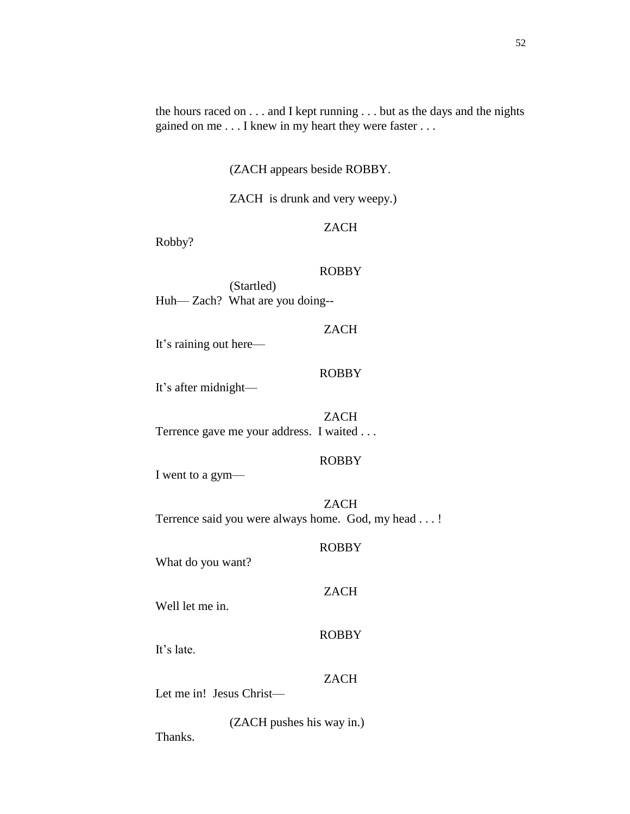the hours raced on . . . and I kept running . . . but as the days and the nights gained on me . . . I knew in my heart they were faster . . .

(ZACH appears beside ROBBY.

ZACH is drunk and very weepy.)

# ZACH

Robby?

# ROBBY

(Startled) Huh— Zach? What are you doing--

# ZACH

It's raining out here—

# ROBBY

It's after midnight—

#### ZACH

Terrence gave me your address. I waited . . .

# ROBBY

ROBBY

ZACH

I went to a gym—

# ZACH Terrence said you were always home. God, my head . . . !

What do you want?

Well let me in.

ROBBY

It's late.

# **ZACH**

Let me in! Jesus Christ—

(ZACH pushes his way in.)

Thanks.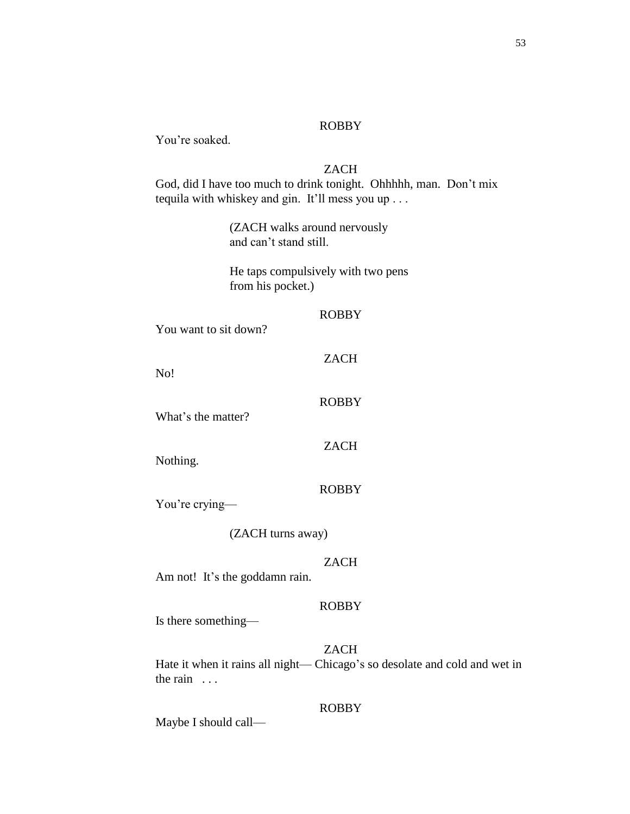You're soaked.

# ZACH

God, did I have too much to drink tonight. Ohhhhh, man. Don't mix tequila with whiskey and gin. It'll mess you up . . .

> (ZACH walks around nervously and can't stand still.

He taps compulsively with two pens from his pocket.)

#### ROBBY

You want to sit down?

ZACH

ROBBY

No!

What's the matter?

ZACH

Nothing.

You're crying—

(ZACH turns away)

# ZACH

ROBBY

Am not! It's the goddamn rain.

#### ROBBY

Is there something—

ZACH Hate it when it rains all night— Chicago's so desolate and cold and wet in the rain ...

# ROBBY

Maybe I should call—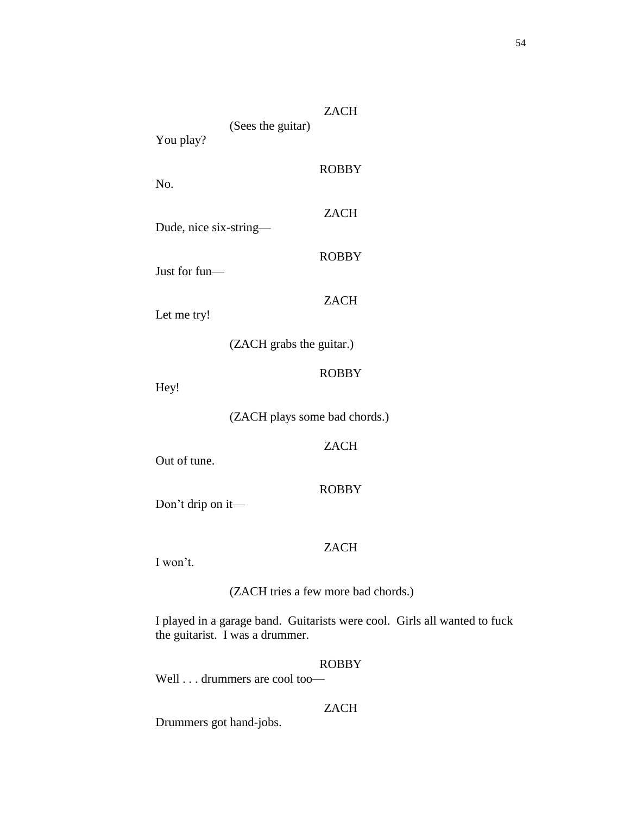|                        | (Sees the guitar)                | ZACH         |
|------------------------|----------------------------------|--------------|
| You play?              |                                  |              |
| No.                    |                                  | <b>ROBBY</b> |
| Dude, nice six-string— |                                  | <b>ZACH</b>  |
| Just for fun—          |                                  | <b>ROBBY</b> |
| Let me try!            |                                  | <b>ZACH</b>  |
|                        | (ZACH grabs the guitar.)         |              |
| Hey!                   |                                  | <b>ROBBY</b> |
|                        | $(7\Delta$ CH plays some had che |              |

(ZACH plays some bad chords.)

ZACH

Out of tune.

ROBBY

Don't drip on it—

# ZACH

I won't.

(ZACH tries a few more bad chords.)

I played in a garage band. Guitarists were cool. Girls all wanted to fuck the guitarist. I was a drummer.

# ROBBY

Well . . . drummers are cool too—

# ZACH

Drummers got hand-jobs.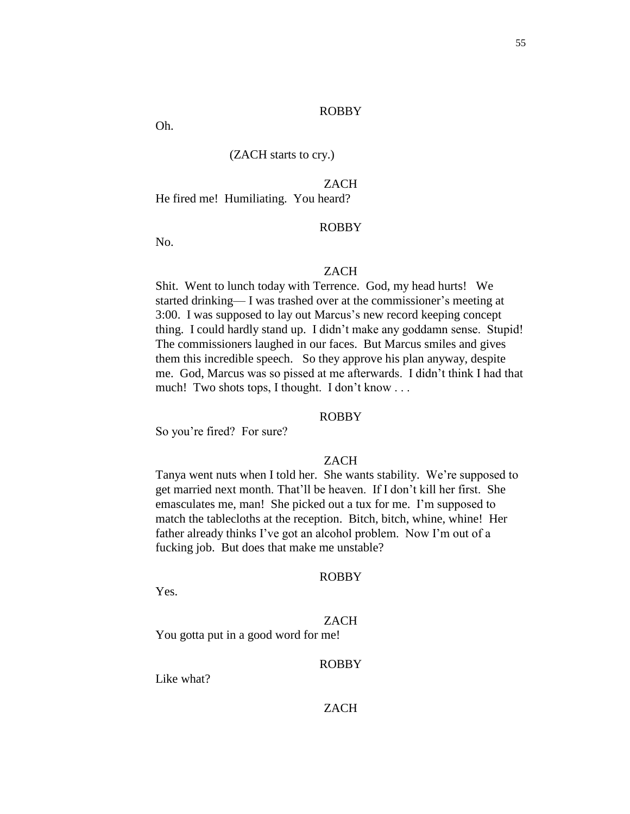Oh.

# (ZACH starts to cry.)

# ZACH

He fired me! Humiliating. You heard?

### ROBBY

No.

# **ZACH**

Shit. Went to lunch today with Terrence. God, my head hurts! We started drinking— I was trashed over at the commissioner's meeting at 3:00. I was supposed to lay out Marcus's new record keeping concept thing. I could hardly stand up. I didn't make any goddamn sense. Stupid! The commissioners laughed in our faces. But Marcus smiles and gives them this incredible speech. So they approve his plan anyway, despite me. God, Marcus was so pissed at me afterwards. I didn't think I had that much! Two shots tops, I thought. I don't know . . .

#### ROBBY

So you're fired? For sure?

### ZACH

Tanya went nuts when I told her. She wants stability. We're supposed to get married next month. That'll be heaven. If I don't kill her first. She emasculates me, man! She picked out a tux for me. I'm supposed to match the tablecloths at the reception. Bitch, bitch, whine, whine! Her father already thinks I've got an alcohol problem. Now I'm out of a fucking job. But does that make me unstable?

#### ROBBY

Yes.

#### ZACH

You gotta put in a good word for me!

# ROBBY

Like what?

# ZACH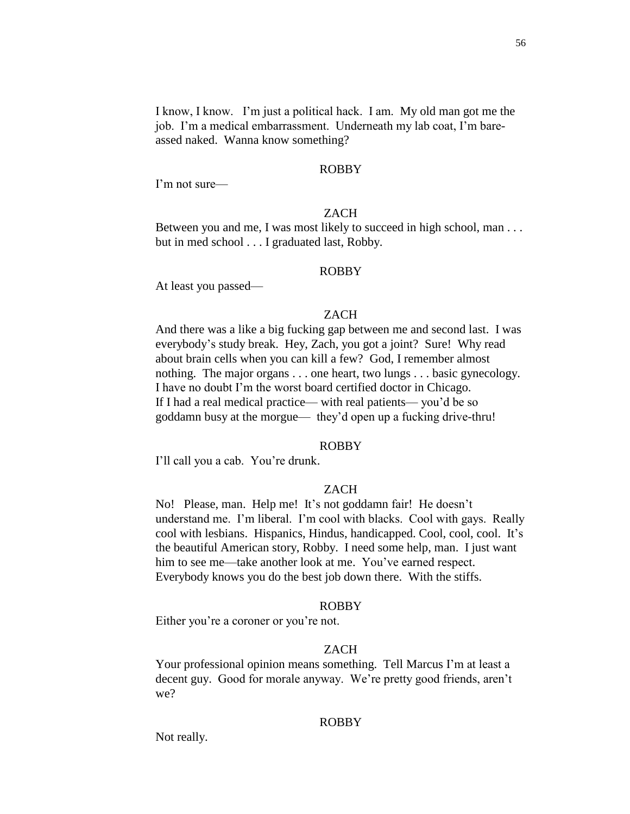I know, I know. I'm just a political hack. I am. My old man got me the job. I'm a medical embarrassment. Underneath my lab coat, I'm bareassed naked. Wanna know something?

### ROBBY

I'm not sure—

#### ZACH

Between you and me, I was most likely to succeed in high school, man . . . but in med school . . . I graduated last, Robby.

### ROBBY

At least you passed—

### ZACH

And there was a like a big fucking gap between me and second last. I was everybody's study break. Hey, Zach, you got a joint? Sure! Why read about brain cells when you can kill a few? God, I remember almost nothing. The major organs . . . one heart, two lungs . . . basic gynecology. I have no doubt I'm the worst board certified doctor in Chicago. If I had a real medical practice— with real patients— you'd be so goddamn busy at the morgue— they'd open up a fucking drive-thru!

#### ROBBY

I'll call you a cab. You're drunk.

#### ZACH

No! Please, man. Help me! It's not goddamn fair! He doesn't understand me. I'm liberal. I'm cool with blacks. Cool with gays. Really cool with lesbians. Hispanics, Hindus, handicapped. Cool, cool, cool. It's the beautiful American story, Robby. I need some help, man. I just want him to see me—take another look at me. You've earned respect. Everybody knows you do the best job down there. With the stiffs.

### ROBBY

Either you're a coroner or you're not.

#### ZACH

Your professional opinion means something. Tell Marcus I'm at least a decent guy. Good for morale anyway. We're pretty good friends, aren't we?

### ROBBY

Not really.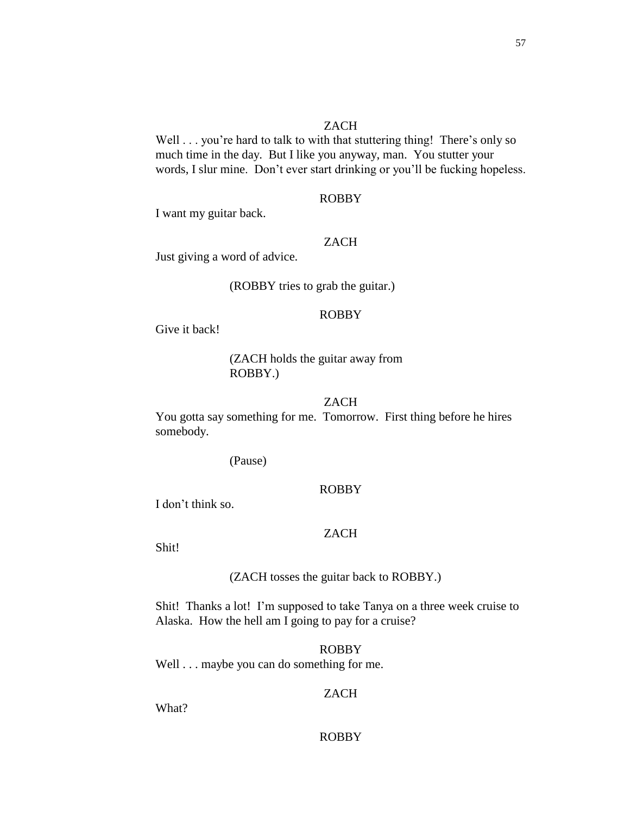## **ZACH**

Well . . . you're hard to talk to with that stuttering thing! There's only so much time in the day. But I like you anyway, man. You stutter your words, I slur mine. Don't ever start drinking or you'll be fucking hopeless.

# ROBBY

I want my guitar back.

#### ZACH

Just giving a word of advice.

(ROBBY tries to grab the guitar.)

#### ROBBY

Give it back!

# (ZACH holds the guitar away from ROBBY.)

# ZACH

You gotta say something for me. Tomorrow. First thing before he hires somebody.

(Pause)

# ROBBY

I don't think so.

# ZACH

Shit!

#### (ZACH tosses the guitar back to ROBBY.)

Shit! Thanks a lot! I'm supposed to take Tanya on a three week cruise to Alaska. How the hell am I going to pay for a cruise?

### ROBBY

Well . . . maybe you can do something for me.

# ZACH

What?

# ROBBY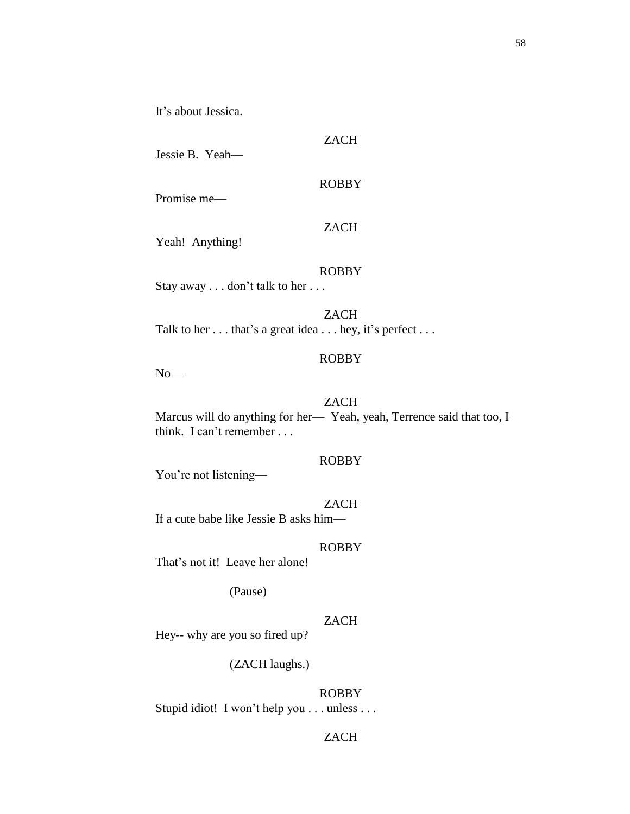It's about Jessica.

ZACH

ROBBY

Promise me—

ZACH

Yeah! Anything!

# ROBBY

Stay away . . . don't talk to her . . .

ZACH Talk to her . . . that's a great idea . . . hey, it's perfect . . .

## ROBBY

No—

# ZACH

Marcus will do anything for her— Yeah, yeah, Terrence said that too, I think. I can't remember . . .

# ROBBY

You're not listening—

# **ZACH**

If a cute babe like Jessie B asks him—

#### ROBBY

That's not it! Leave her alone!

(Pause)

### ZACH

Hey-- why are you so fired up?

(ZACH laughs.)

ROBBY Stupid idiot! I won't help you . . . unless . . .

# ZACH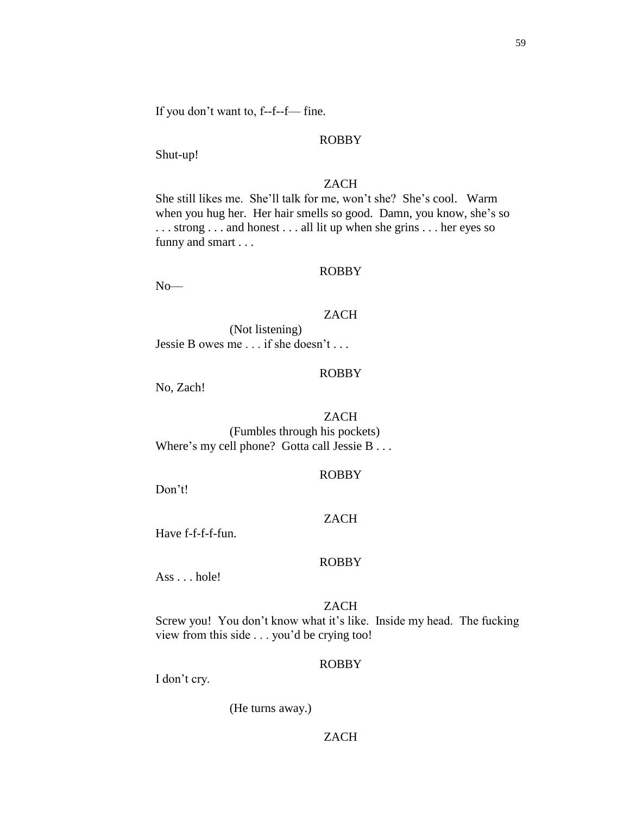59

If you don't want to, f--f--f— fine.

# ROBBY

Shut-up!

# ZACH

She still likes me. She'll talk for me, won't she? She's cool. Warm when you hug her. Her hair smells so good. Damn, you know, she's so . . . strong . . . and honest . . . all lit up when she grins . . . her eyes so funny and smart . . .

# ROBBY

No—

# ZACH

(Not listening) Jessie B owes me . . . if she doesn't . . .

# ROBBY

No, Zach!

# ZACH

(Fumbles through his pockets) Where's my cell phone? Gotta call Jessie B . . .

# ROBBY

Don't!

# ZACH

Have f-f-f-f-fun.

# ROBBY

Ass . . . hole!

# ZACH

Screw you! You don't know what it's like. Inside my head. The fucking view from this side . . . you'd be crying too!

# ROBBY

I don't cry.

(He turns away.)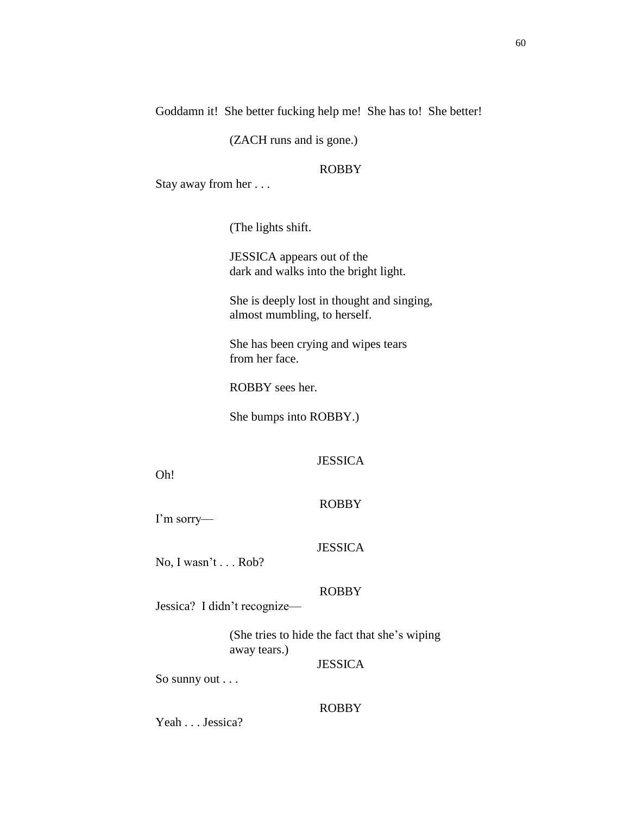Goddamn it! She better fucking help me! She has to! She better!

(ZACH runs and is gone.)

# ROBBY

Stay away from her . . .

(The lights shift.

JESSICA appears out of the dark and walks into the bright light.

She is deeply lost in thought and singing, almost mumbling, to herself.

She has been crying and wipes tears from her face.

ROBBY sees her.

She bumps into ROBBY.)

# JESSICA

Oh!

#### ROBBY

I'm sorry—

#### **JESSICA**

No, I wasn't . . . Rob?

## ROBBY

Jessica? I didn't recognize—

(She tries to hide the fact that she's wiping away tears.)

# **JESSICA**

So sunny out . . .

# ROBBY

Yeah . . . Jessica?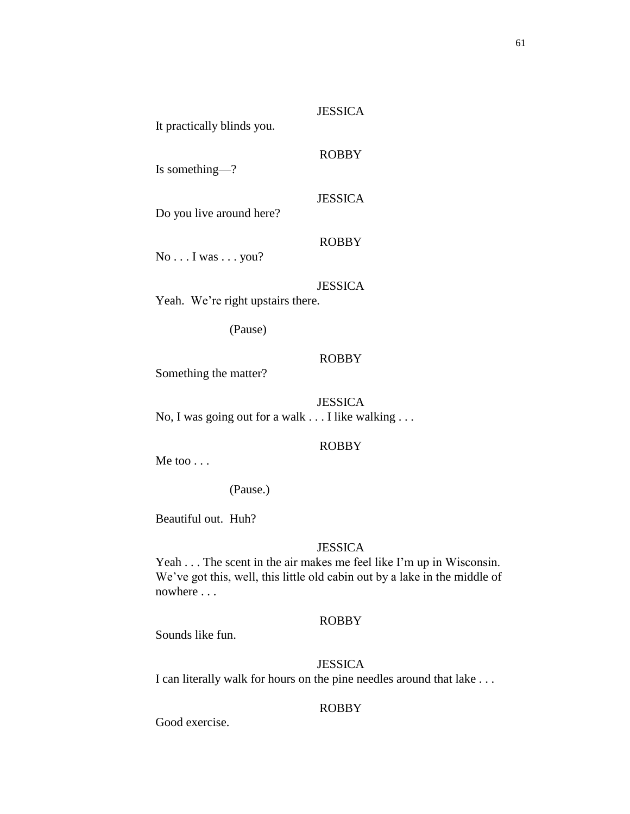Is something—?

Do you live around here?

No . . . I was . . . you?

# JESSICA

**JESSICA** 

ROBBY

JESSICA

ROBBY

Yeah. We're right upstairs there.

(Pause)

# ROBBY

Something the matter?

JESSICA No, I was going out for a walk . . . I like walking . . .

# ROBBY

Me too . . .

(Pause.)

Beautiful out. Huh?

## **JESSICA**

Yeah . . . The scent in the air makes me feel like I'm up in Wisconsin. We've got this, well, this little old cabin out by a lake in the middle of nowhere . . .

# ROBBY

Sounds like fun.

# **JESSICA**

I can literally walk for hours on the pine needles around that lake . . .

# ROBBY

Good exercise.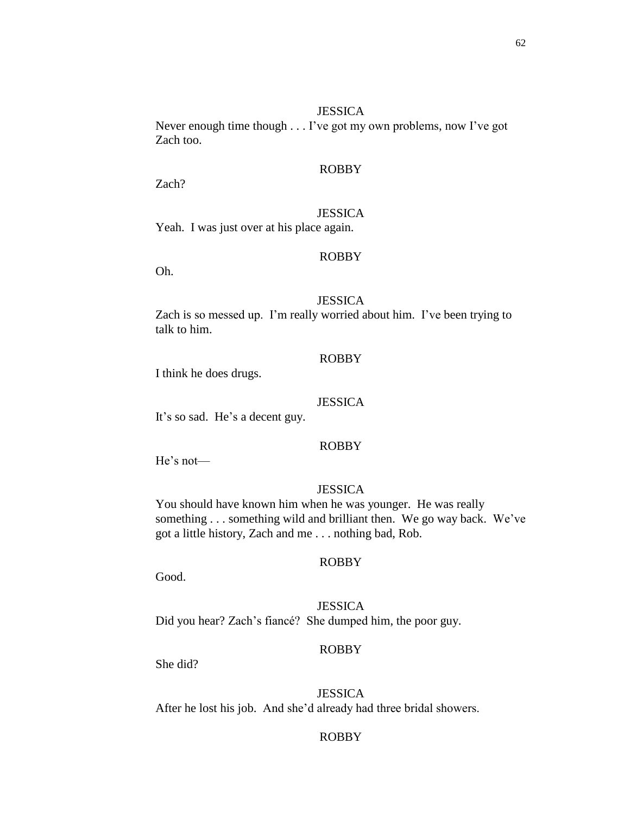#### **JESSICA**

Never enough time though . . . I've got my own problems, now I've got Zach too.

# ROBBY

Zach?

#### JESSICA

Yeah. I was just over at his place again.

## ROBBY

Oh.

# **JESSICA**

Zach is so messed up. I'm really worried about him. I've been trying to talk to him.

## ROBBY

I think he does drugs.

### **JESSICA**

It's so sad. He's a decent guy.

### ROBBY

He's not—

# **JESSICA**

You should have known him when he was younger. He was really something . . . something wild and brilliant then. We go way back. We've got a little history, Zach and me . . . nothing bad, Rob.

#### ROBBY

Good.

**JESSICA** Did you hear? Zach's fiancé? She dumped him, the poor guy.

# ROBBY

She did?

#### **JESSICA**

After he lost his job. And she'd already had three bridal showers.

# ROBBY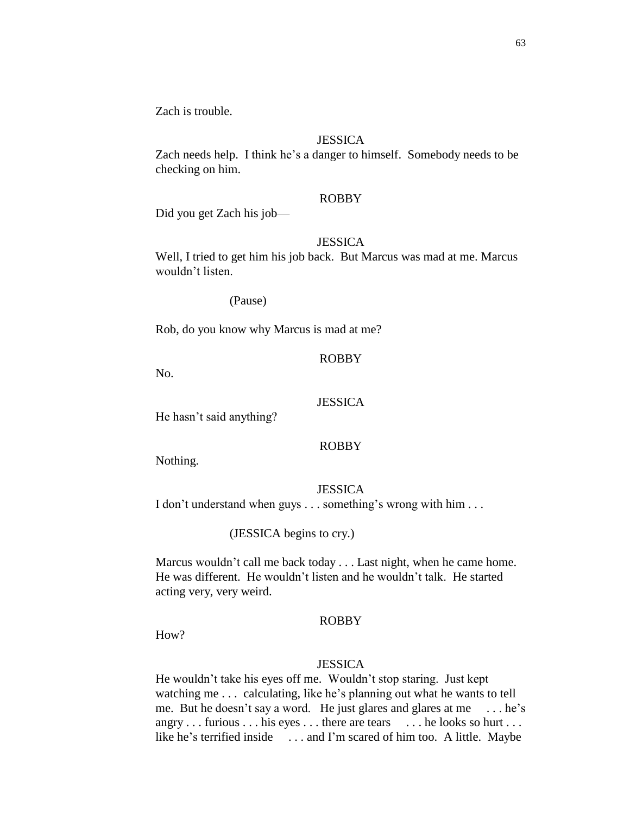Zach is trouble.

## **JESSICA**

Zach needs help. I think he's a danger to himself. Somebody needs to be checking on him.

# ROBBY

Did you get Zach his job—

### **JESSICA**

Well, I tried to get him his job back. But Marcus was mad at me. Marcus wouldn't listen.

(Pause)

Rob, do you know why Marcus is mad at me?

# ROBBY

No.

# **JESSICA**

He hasn't said anything?

### ROBBY

Nothing.

#### **JESSICA**

I don't understand when guys . . . something's wrong with him . . .

## (JESSICA begins to cry.)

Marcus wouldn't call me back today . . . Last night, when he came home. He was different. He wouldn't listen and he wouldn't talk. He started acting very, very weird.

#### ROBBY

H<sub>ow</sub>?

### **JESSICA**

He wouldn't take his eyes off me. Wouldn't stop staring. Just kept watching me . . . calculating, like he's planning out what he wants to tell me. But he doesn't say a word. He just glares and glares at me . . . he's angry . . . furious . . . his eyes . . . there are tears . . . . he looks so hurt . . . like he's terrified inside . . . and I'm scared of him too. A little. Maybe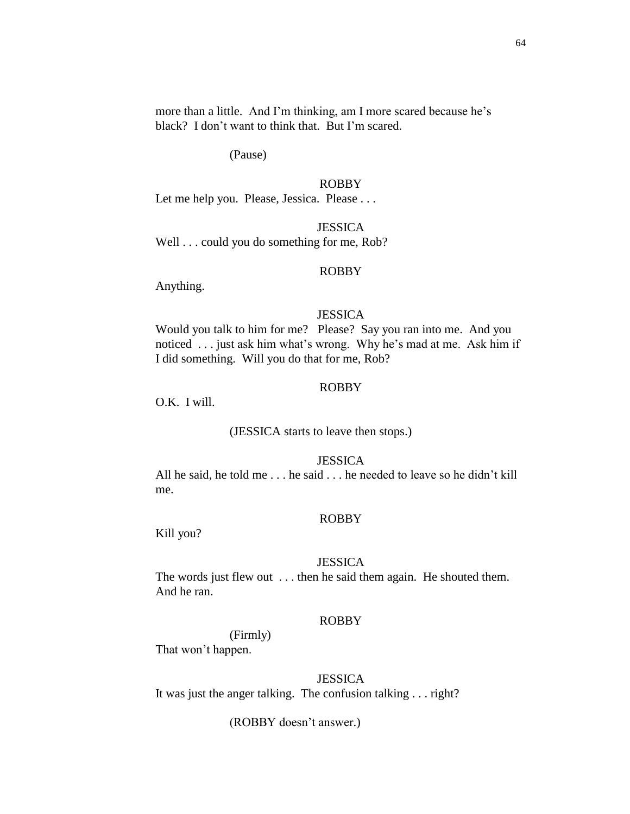more than a little. And I'm thinking, am I more scared because he's black? I don't want to think that. But I'm scared.

(Pause)

### ROBBY

Let me help you. Please, Jessica. Please . . .

**JESSICA** 

Well . . . could you do something for me, Rob?

#### ROBBY

Anything.

#### **JESSICA**

Would you talk to him for me? Please? Say you ran into me. And you noticed . . . just ask him what's wrong. Why he's mad at me. Ask him if I did something. Will you do that for me, Rob?

### ROBBY

O.K. I will.

### (JESSICA starts to leave then stops.)

### **JESSICA**

All he said, he told me . . . he said . . . he needed to leave so he didn't kill me.

#### ROBBY

Kill you?

#### **JESSICA**

The words just flew out . . . then he said them again. He shouted them. And he ran.

#### ROBBY

(Firmly) That won't happen.

### **JESSICA**

It was just the anger talking. The confusion talking . . . right?

(ROBBY doesn't answer.)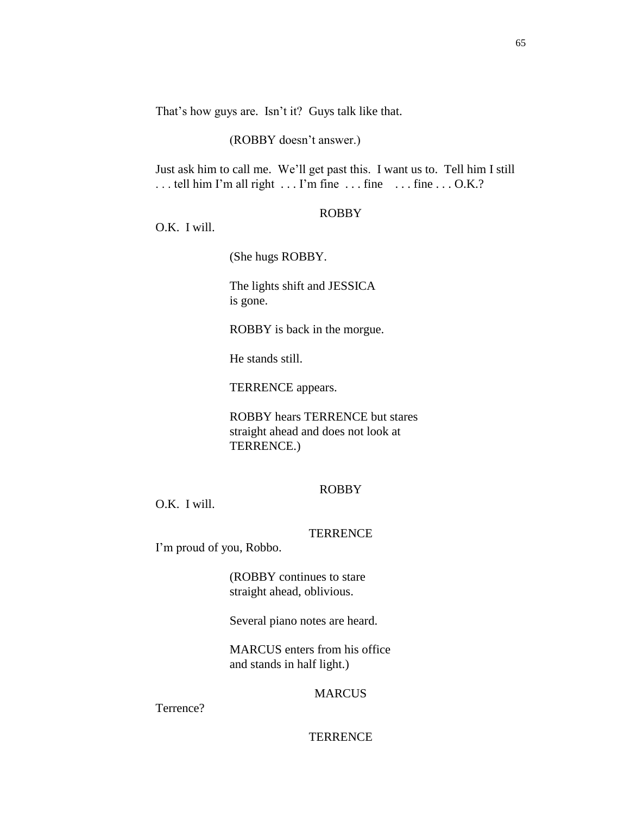That's how guys are. Isn't it? Guys talk like that.

## (ROBBY doesn't answer.)

Just ask him to call me. We'll get past this. I want us to. Tell him I still ... tell him I'm all right ... I'm fine ... fine ... fine ... O.K.?

#### ROBBY

O.K. I will.

(She hugs ROBBY.

The lights shift and JESSICA is gone.

ROBBY is back in the morgue.

He stands still.

TERRENCE appears.

ROBBY hears TERRENCE but stares straight ahead and does not look at TERRENCE.)

# ROBBY

O.K. I will.

### **TERRENCE**

I'm proud of you, Robbo.

(ROBBY continues to stare straight ahead, oblivious.

Several piano notes are heard.

MARCUS enters from his office and stands in half light.)

## MARCUS

Terrence?

# **TERRENCE**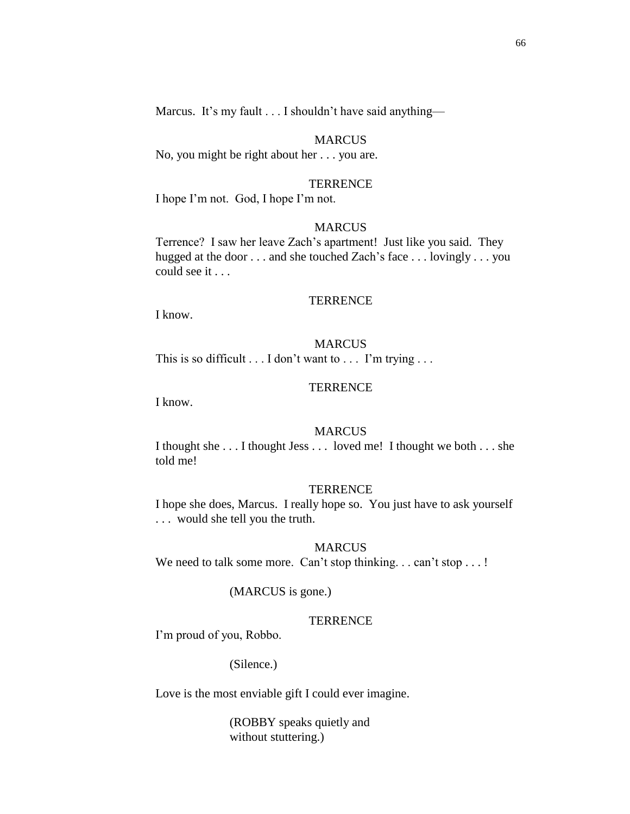Marcus. It's my fault . . . I shouldn't have said anything—

#### MARCUS

No, you might be right about her . . . you are.

#### **TERRENCE**

I hope I'm not. God, I hope I'm not.

#### **MARCUS**

Terrence? I saw her leave Zach's apartment! Just like you said. They hugged at the door . . . and she touched Zach's face . . . lovingly . . . you could see it . . .

## **TERRENCE**

I know.

#### MARCUS

This is so difficult . . . I don't want to . . . I'm trying . . .

### **TERRENCE**

I know.

### **MARCUS**

I thought she . . . I thought Jess . . . loved me! I thought we both . . . she told me!

#### **TERRENCE**

I hope she does, Marcus. I really hope so. You just have to ask yourself . . . would she tell you the truth.

#### MARCUS

We need to talk some more. Can't stop thinking... can't stop ...!

#### (MARCUS is gone.)

#### **TERRENCE**

I'm proud of you, Robbo.

#### (Silence.)

Love is the most enviable gift I could ever imagine.

(ROBBY speaks quietly and without stuttering.)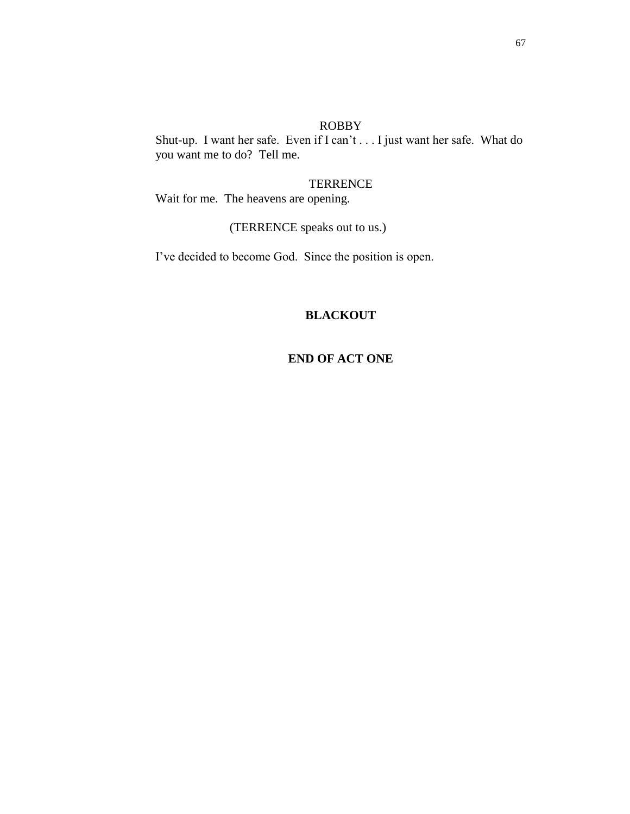Shut-up. I want her safe. Even if I can't . . . I just want her safe. What do you want me to do? Tell me.

**TERRENCE** Wait for me. The heavens are opening.

(TERRENCE speaks out to us.)

I've decided to become God. Since the position is open.

# **BLACKOUT**

# **END OF ACT ONE**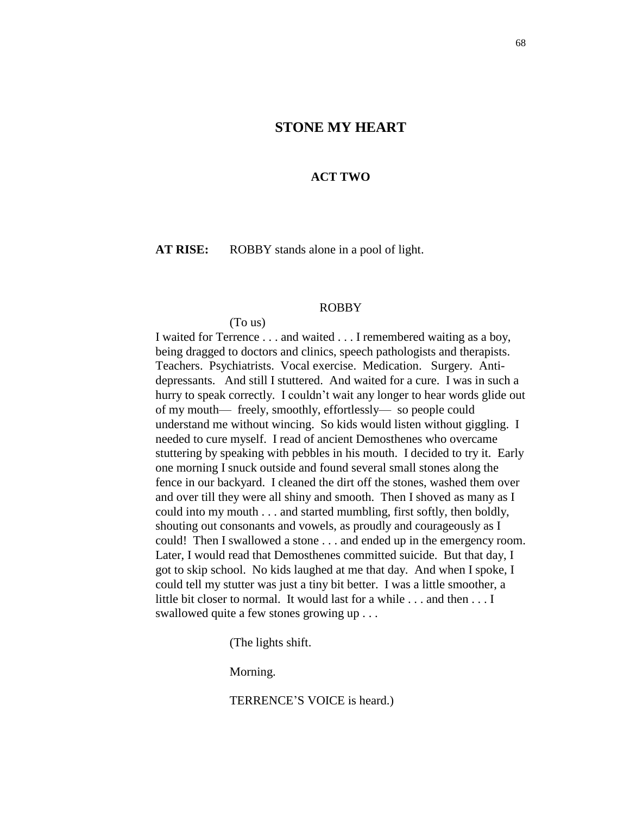# **STONE MY HEART**

## **ACT TWO**

**AT RISE:** ROBBY stands alone in a pool of light.

#### ROBBY

(To us)

I waited for Terrence . . . and waited . . . I remembered waiting as a boy, being dragged to doctors and clinics, speech pathologists and therapists. Teachers. Psychiatrists. Vocal exercise. Medication. Surgery. Antidepressants. And still I stuttered. And waited for a cure. I was in such a hurry to speak correctly. I couldn't wait any longer to hear words glide out of my mouth— freely, smoothly, effortlessly— so people could understand me without wincing. So kids would listen without giggling. I needed to cure myself. I read of ancient Demosthenes who overcame stuttering by speaking with pebbles in his mouth. I decided to try it. Early one morning I snuck outside and found several small stones along the fence in our backyard. I cleaned the dirt off the stones, washed them over and over till they were all shiny and smooth. Then I shoved as many as I could into my mouth . . . and started mumbling, first softly, then boldly, shouting out consonants and vowels, as proudly and courageously as I could! Then I swallowed a stone . . . and ended up in the emergency room. Later, I would read that Demosthenes committed suicide. But that day, I got to skip school. No kids laughed at me that day. And when I spoke, I could tell my stutter was just a tiny bit better. I was a little smoother, a little bit closer to normal. It would last for a while . . . and then . . . I swallowed quite a few stones growing up . . .

(The lights shift.

Morning.

TERRENCE'S VOICE is heard.)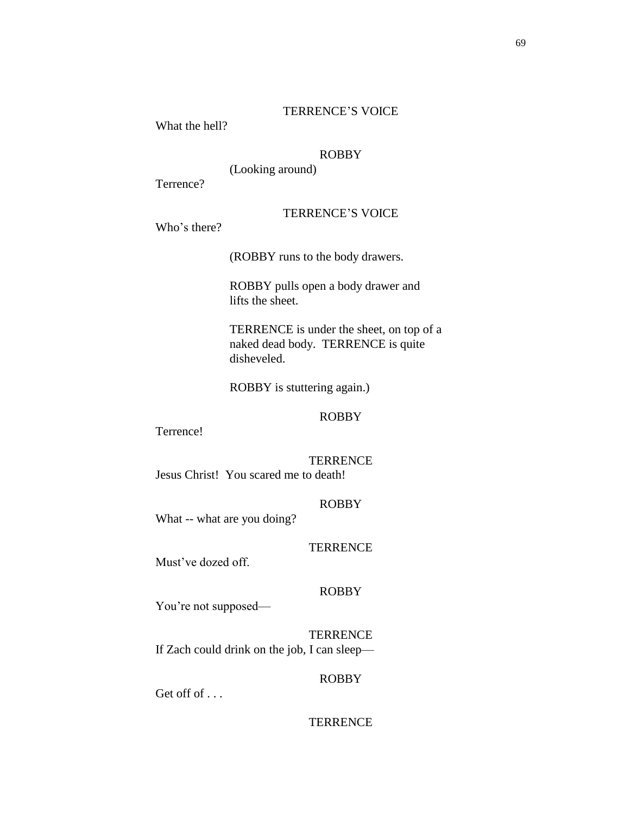# TERRENCE'S VOICE

What the hell?

# ROBBY

(Looking around)

Terrence?

# TERRENCE'S VOICE

Who's there?

(ROBBY runs to the body drawers.

ROBBY pulls open a body drawer and lifts the sheet.

TERRENCE is under the sheet, on top of a naked dead body. TERRENCE is quite disheveled.

ROBBY is stuttering again.)

# ROBBY

Terrence!

**TERRENCE** Jesus Christ! You scared me to death!

# ROBBY

What -- what are you doing?

#### **TERRENCE**

Must've dozed off.

# ROBBY

You're not supposed—

**TERRENCE** If Zach could drink on the job, I can sleep—

# ROBBY

Get off of ...

### **TERRENCE**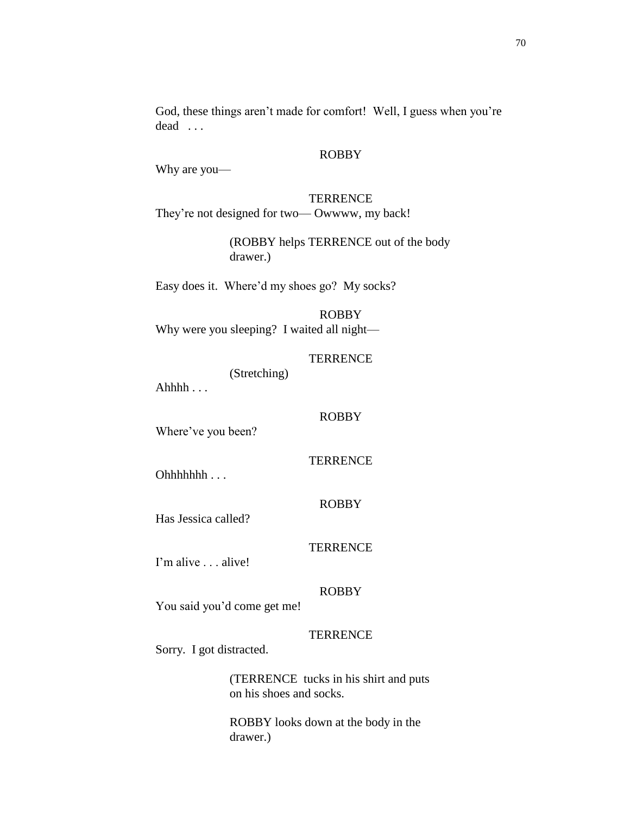God, these things aren't made for comfort! Well, I guess when you're dead . . .

#### ROBBY

Why are you—

**TERRENCE** They're not designed for two— Owwww, my back!

> (ROBBY helps TERRENCE out of the body drawer.)

Easy does it. Where'd my shoes go? My socks?

# ROBBY Why were you sleeping? I waited all night—

**TERRENCE** 

(Stretching)

Ahhh $\ldots$ 

Where've you been?

**TERRENCE** 

ROBBY

Ohhhhhhh . . .

ROBBY

Has Jessica called?

**TERRENCE** 

I'm alive . . . alive!

# ROBBY

You said you'd come get me!

# **TERRENCE**

Sorry. I got distracted.

(TERRENCE tucks in his shirt and puts on his shoes and socks.

ROBBY looks down at the body in the drawer.)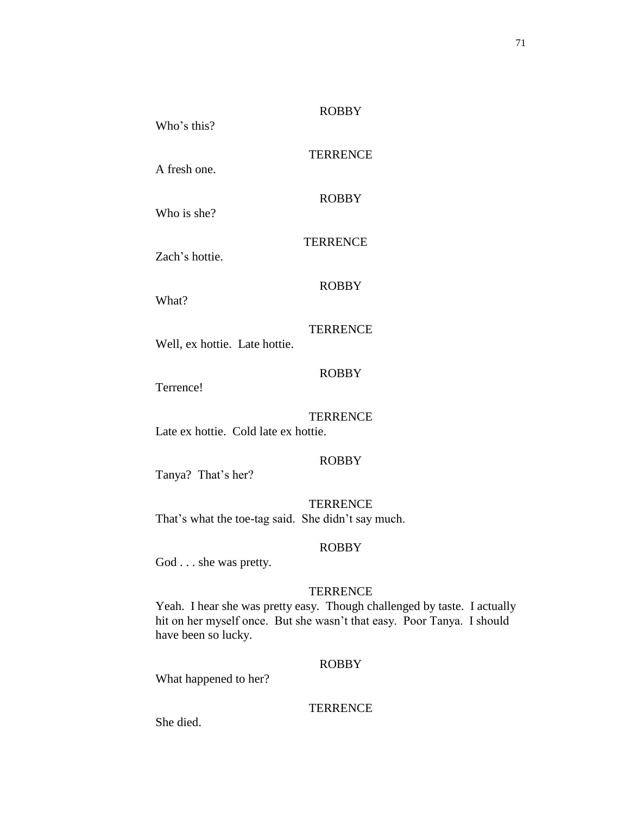# **TERRENCE**

ROBBY

A fresh one.

Who's this?

Who is she?

### **TERRENCE**

Zach's hottie.

# ROBBY

What?

# **TERRENCE**

Well, ex hottie. Late hottie.

# ROBBY

Terrence!

# **TERRENCE**

Late ex hottie. Cold late ex hottie.

# ROBBY

Tanya? That's her?

# **TERRENCE**

That's what the toe-tag said. She didn't say much.

### ROBBY

God . . . she was pretty.

# **TERRENCE**

Yeah. I hear she was pretty easy. Though challenged by taste. I actually hit on her myself once. But she wasn't that easy. Poor Tanya. I should have been so lucky.

# ROBBY

What happened to her?

# **TERRENCE**

She died.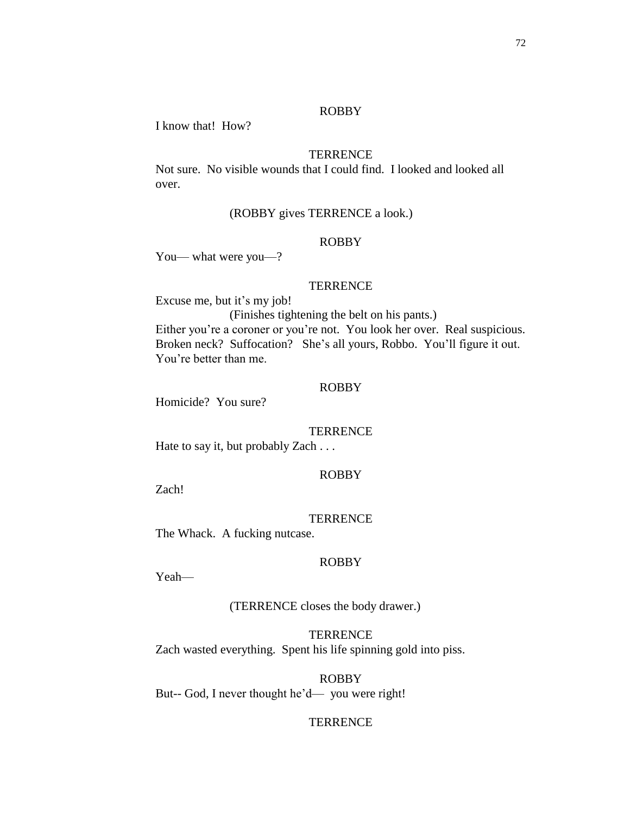I know that! How?

## **TERRENCE**

Not sure. No visible wounds that I could find. I looked and looked all over.

### (ROBBY gives TERRENCE a look.)

#### ROBBY

You— what were you—?

#### **TERRENCE**

Excuse me, but it's my job!

(Finishes tightening the belt on his pants.)

Either you're a coroner or you're not. You look her over. Real suspicious. Broken neck? Suffocation? She's all yours, Robbo. You'll figure it out. You're better than me.

#### ROBBY

Homicide? You sure?

#### **TERRENCE**

Hate to say it, but probably Zach . . .

#### ROBBY

Zach!

#### **TERRENCE**

The Whack. A fucking nutcase.

#### ROBBY

Yeah—

(TERRENCE closes the body drawer.)

**TERRENCE** Zach wasted everything. Spent his life spinning gold into piss.

ROBBY But-- God, I never thought he'd— you were right!

#### **TERRENCE**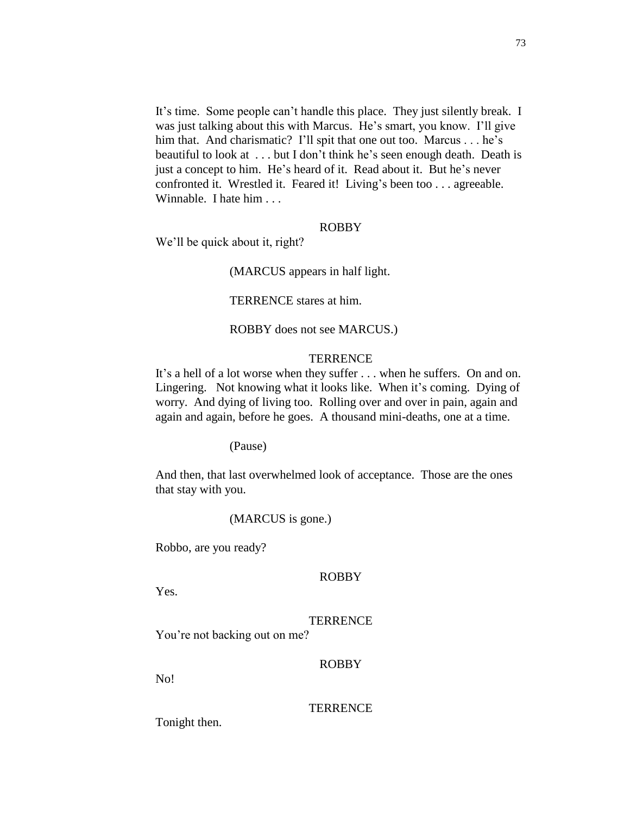It's time. Some people can't handle this place. They just silently break. I was just talking about this with Marcus. He's smart, you know. I'll give him that. And charismatic? I'll spit that one out too. Marcus . . . he's beautiful to look at . . . but I don't think he's seen enough death. Death is just a concept to him. He's heard of it. Read about it. But he's never confronted it. Wrestled it. Feared it! Living's been too . . . agreeable. Winnable. I hate him . . .

#### ROBBY

We'll be quick about it, right?

(MARCUS appears in half light.

TERRENCE stares at him.

ROBBY does not see MARCUS.)

#### **TERRENCE**

It's a hell of a lot worse when they suffer . . . when he suffers. On and on. Lingering. Not knowing what it looks like. When it's coming. Dying of worry. And dying of living too. Rolling over and over in pain, again and again and again, before he goes. A thousand mini-deaths, one at a time.

(Pause)

And then, that last overwhelmed look of acceptance. Those are the ones that stay with you.

(MARCUS is gone.)

Robbo, are you ready?

#### ROBBY

Yes.

### **TERRENCE**

You're not backing out on me?

# ROBBY

No!

#### **TERRENCE**

Tonight then.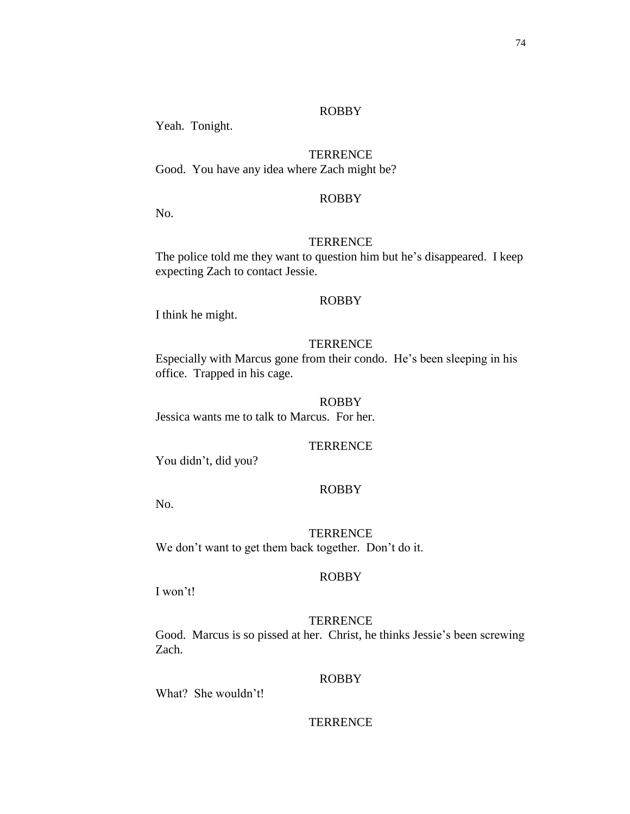Yeah. Tonight.

# **TERRENCE**

Good. You have any idea where Zach might be?

# ROBBY

No.

# **TERRENCE**

The police told me they want to question him but he's disappeared. I keep expecting Zach to contact Jessie.

# ROBBY

I think he might.

# **TERRENCE**

Especially with Marcus gone from their condo. He's been sleeping in his office. Trapped in his cage.

### ROBBY

Jessica wants me to talk to Marcus. For her.

### **TERRENCE**

You didn't, did you?

# ROBBY

No.

# **TERRENCE** We don't want to get them back together. Don't do it.

# ROBBY

I won't!

# **TERRENCE**

Good. Marcus is so pissed at her. Christ, he thinks Jessie's been screwing Zach.

# ROBBY

What? She wouldn't!

# **TERRENCE**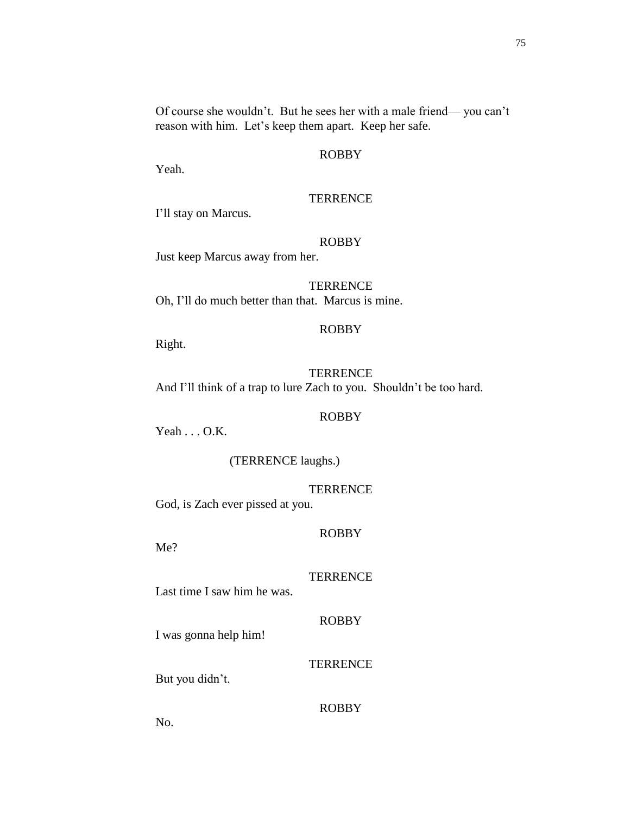Of course she wouldn't. But he sees her with a male friend— you can't reason with him. Let's keep them apart. Keep her safe.

# ROBBY

Yeah.

# **TERRENCE**

I'll stay on Marcus.

#### ROBBY

Just keep Marcus away from her.

**TERRENCE** Oh, I'll do much better than that. Marcus is mine.

### ROBBY

Right.

# **TERRENCE** And I'll think of a trap to lure Zach to you. Shouldn't be too hard.

#### ROBBY

 $Yeah \ldots OAK.$ 

(TERRENCE laughs.)

#### **TERRENCE**

God, is Zach ever pissed at you.

### ROBBY

Me?

### **TERRENCE**

Last time I saw him he was.

#### ROBBY

I was gonna help him!

# **TERRENCE**

But you didn't.

# ROBBY

No.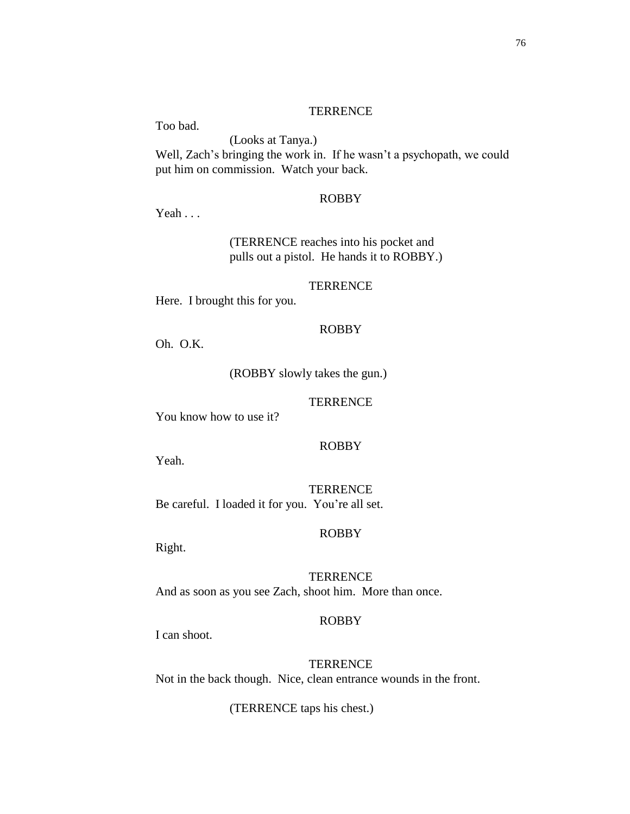Too bad. (Looks at Tanya.) Well, Zach's bringing the work in. If he wasn't a psychopath, we could put him on commission. Watch your back.

### ROBBY

Yeah . . .

(TERRENCE reaches into his pocket and pulls out a pistol. He hands it to ROBBY.)

**TERRENCE** 

Here. I brought this for you.

### ROBBY

Oh. O.K.

(ROBBY slowly takes the gun.)

#### **TERRENCE**

You know how to use it?

### ROBBY

Yeah.

**TERRENCE** Be careful. I loaded it for you. You're all set.

#### ROBBY

Right.

**TERRENCE** And as soon as you see Zach, shoot him. More than once.

#### ROBBY

I can shoot.

**TERRENCE** Not in the back though. Nice, clean entrance wounds in the front.

(TERRENCE taps his chest.)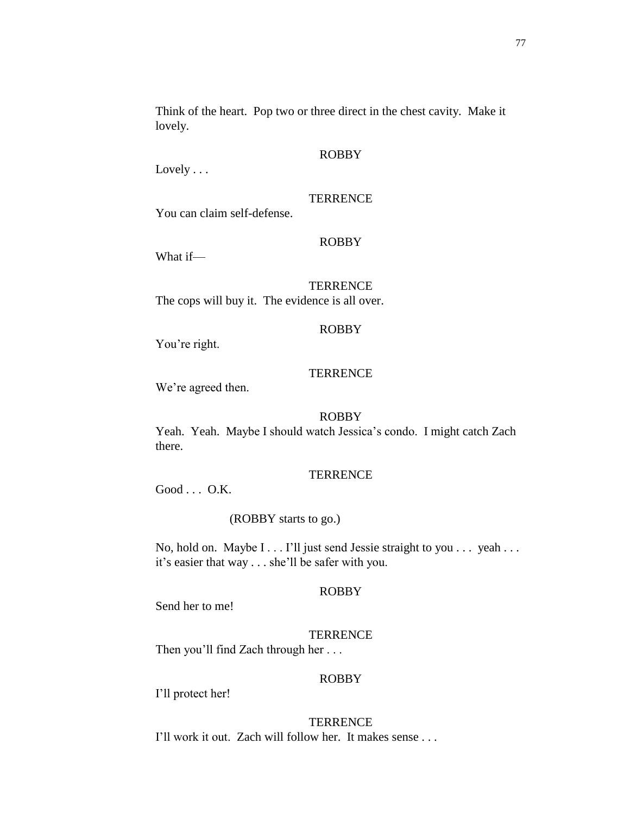Lovely . . .

### **TERRENCE**

You can claim self-defense.

#### ROBBY

What if—

### **TERRENCE**

The cops will buy it. The evidence is all over.

## ROBBY

You're right.

# **TERRENCE**

We're agreed then.

### ROBBY

Yeah. Yeah. Maybe I should watch Jessica's condo. I might catch Zach there.

### **TERRENCE**

Good . . . O.K.

### (ROBBY starts to go.)

No, hold on. Maybe I . . . I'll just send Jessie straight to you . . . yeah . . . it's easier that way . . . she'll be safer with you.

### ROBBY

Send her to me!

## **TERRENCE**

Then you'll find Zach through her . . .

# ROBBY

I'll protect her!

#### **TERRENCE** I'll work it out. Zach will follow her. It makes sense . . .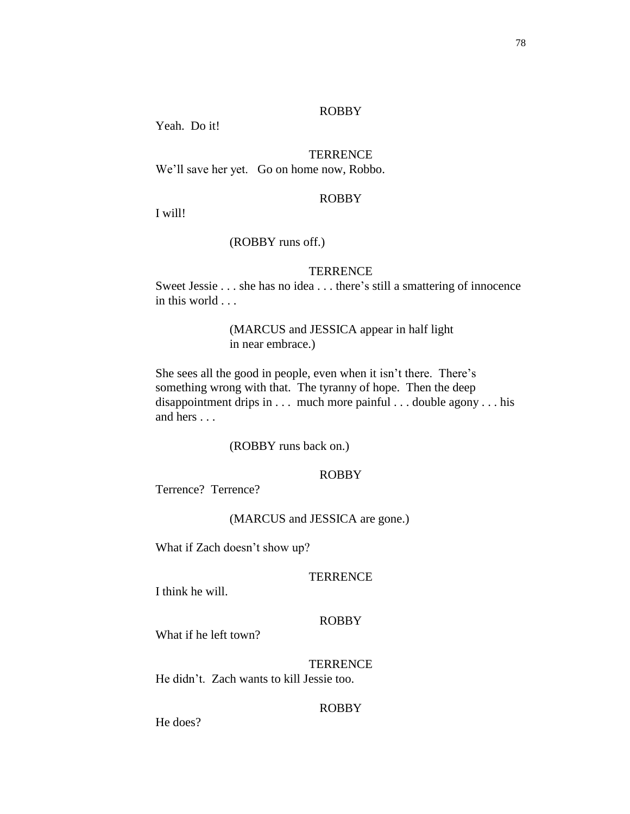Yeah. Do it!

# **TERRENCE**

We'll save her yet. Go on home now, Robbo.

### ROBBY

I will!

### (ROBBY runs off.)

### **TERRENCE**

Sweet Jessie . . . she has no idea . . . there's still a smattering of innocence in this world . . .

# (MARCUS and JESSICA appear in half light in near embrace.)

She sees all the good in people, even when it isn't there. There's something wrong with that. The tyranny of hope. Then the deep disappointment drips in . . . much more painful . . . double agony . . . his and hers . . .

### (ROBBY runs back on.)

# ROBBY

Terrence? Terrence?

#### (MARCUS and JESSICA are gone.)

What if Zach doesn't show up?

### **TERRENCE**

I think he will.

### ROBBY

What if he left town?

**TERRENCE** He didn't. Zach wants to kill Jessie too.

# ROBBY

He does?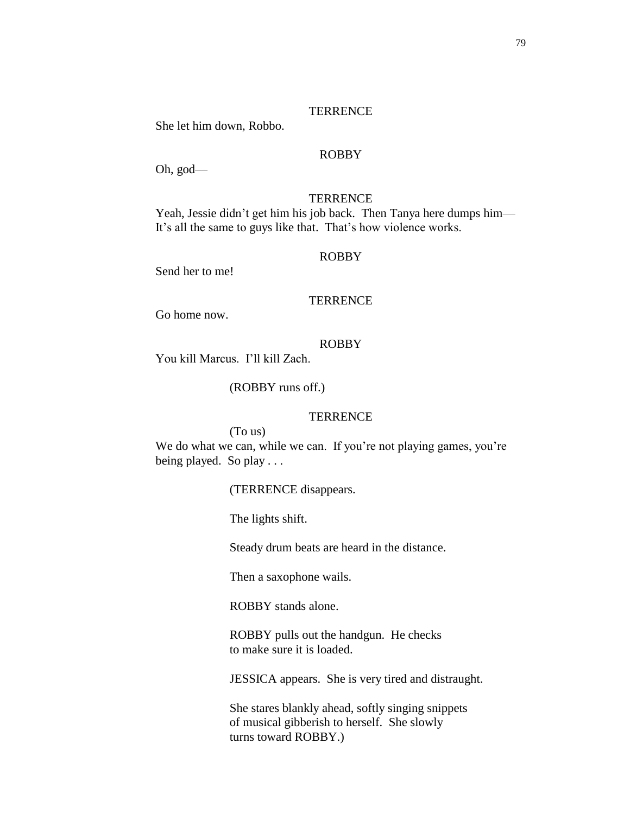#### **TERRENCE**

She let him down, Robbo.

### ROBBY

Oh, god—

### **TERRENCE**

Yeah, Jessie didn't get him his job back. Then Tanya here dumps him— It's all the same to guys like that. That's how violence works.

# ROBBY

Send her to me!

### **TERRENCE**

Go home now.

#### ROBBY

You kill Marcus. I'll kill Zach.

(ROBBY runs off.)

#### **TERRENCE**

#### (To us)

We do what we can, while we can. If you're not playing games, you're being played. So play . . .

(TERRENCE disappears.

The lights shift.

Steady drum beats are heard in the distance.

Then a saxophone wails.

ROBBY stands alone.

ROBBY pulls out the handgun. He checks to make sure it is loaded.

JESSICA appears. She is very tired and distraught.

She stares blankly ahead, softly singing snippets of musical gibberish to herself. She slowly turns toward ROBBY.)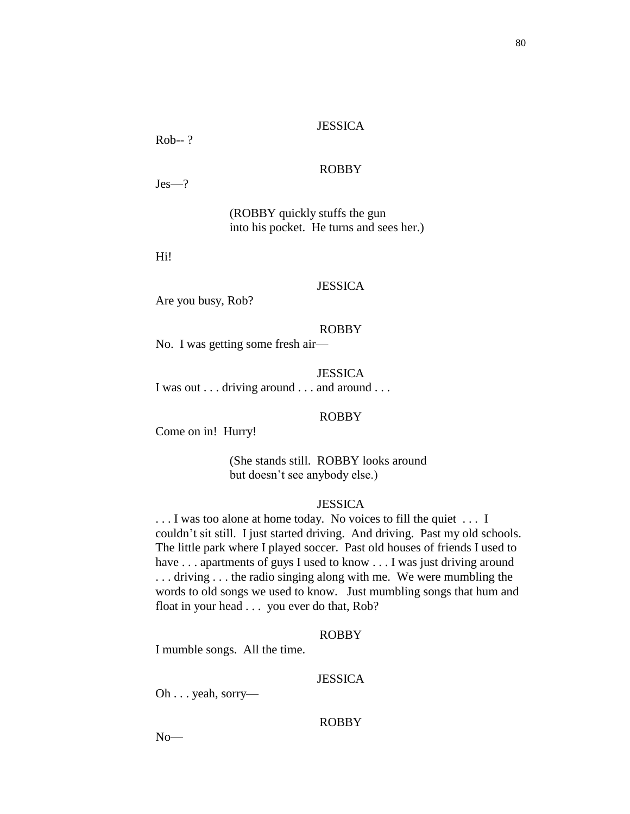#### **JESSICA**

Rob-- ?

# ROBBY

Jes—?

(ROBBY quickly stuffs the gun into his pocket. He turns and sees her.)

Hi!

# **JESSICA**

Are you busy, Rob?

### ROBBY

No. I was getting some fresh air—

### **JESSICA**

I was out . . . driving around . . . and around . . .

#### ROBBY

Come on in! Hurry!

(She stands still. ROBBY looks around but doesn't see anybody else.)

### **JESSICA**

. . . I was too alone at home today. No voices to fill the quiet . . . I couldn't sit still. I just started driving. And driving. Past my old schools. The little park where I played soccer. Past old houses of friends I used to have ... apartments of guys I used to know ... I was just driving around . . . driving . . . the radio singing along with me. We were mumbling the words to old songs we used to know. Just mumbling songs that hum and float in your head . . . you ever do that, Rob?

#### ROBBY

I mumble songs. All the time.

#### JESSICA

Oh . . . yeah, sorry—

#### ROBBY

 $No$ — $\overline{$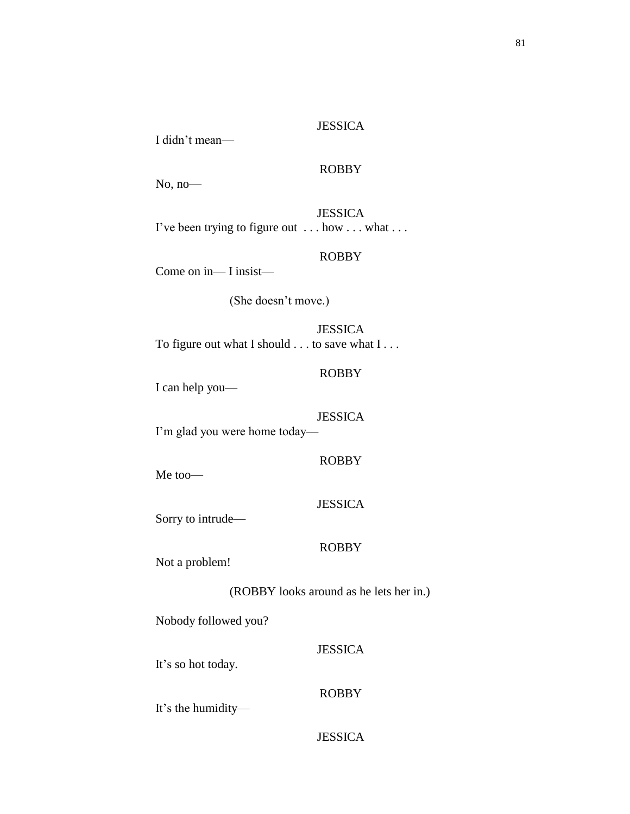### **JESSICA**

I didn't mean—

# ROBBY

No, no—

JESSICA I've been trying to figure out . . . how . . . what . . .

# ROBBY

Come on in— I insist—

(She doesn't move.)

**JESSICA** To figure out what I should . . . to save what I . . .

# ROBBY

I can help you—

#### JESSICA

I'm glad you were home today—

ROBBY

Me too—

### **JESSICA**

Sorry to intrude—

### ROBBY

Not a problem!

(ROBBY looks around as he lets her in.)

Nobody followed you?

It's so hot today.

# ROBBY

JESSICA

It's the humidity—

# **JESSICA**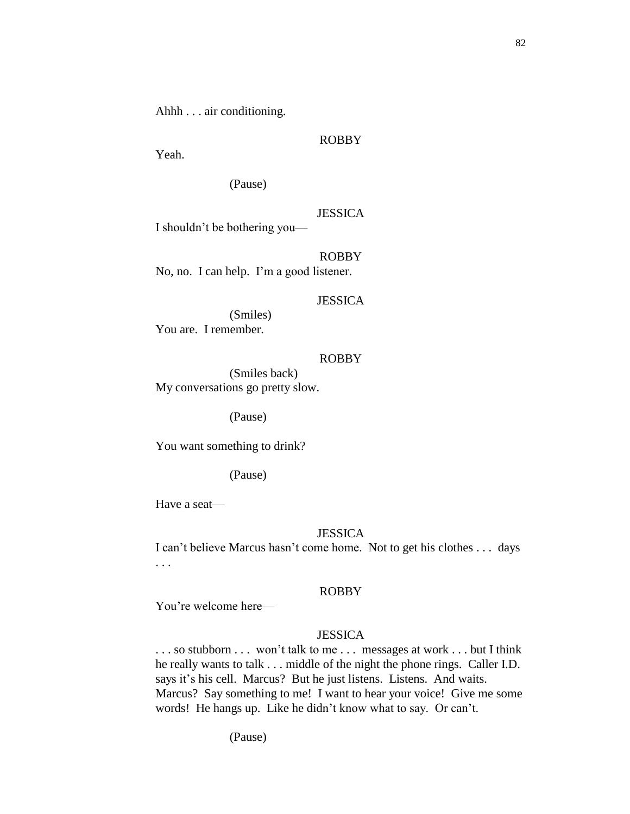Ahhh . . . air conditioning.

#### ROBBY

Yeah.

(Pause)

#### JESSICA

I shouldn't be bothering you—

ROBBY

No, no. I can help. I'm a good listener.

#### JESSICA

(Smiles) You are. I remember.

### ROBBY

(Smiles back) My conversations go pretty slow.

(Pause)

You want something to drink?

(Pause)

Have a seat—

### **JESSICA**

I can't believe Marcus hasn't come home. Not to get his clothes . . . days . . .

#### ROBBY

You're welcome here—

#### **JESSICA**

... so stubborn ... won't talk to me ... messages at work ... but I think he really wants to talk . . . middle of the night the phone rings. Caller I.D. says it's his cell. Marcus? But he just listens. Listens. And waits. Marcus? Say something to me! I want to hear your voice! Give me some words! He hangs up. Like he didn't know what to say. Or can't.

(Pause)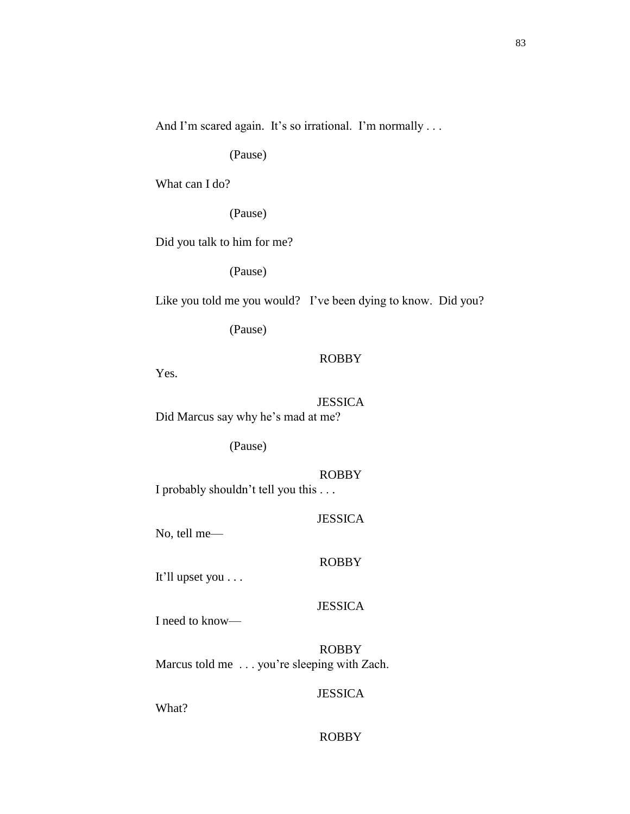And I'm scared again. It's so irrational. I'm normally ...

(Pause)

What can I do?

(Pause)

Did you talk to him for me?

(Pause)

Like you told me you would? I've been dying to know. Did you?

(Pause)

### ROBBY

Yes.

JESSICA Did Marcus say why he's mad at me?

(Pause)

ROBBY I probably shouldn't tell you this . . .

JESSICA

No, tell me—

#### ROBBY

It'll upset you . . .

### **JESSICA**

I need to know—

ROBBY Marcus told me . . . you're sleeping with Zach.

### JESSICA

What?

## ROBBY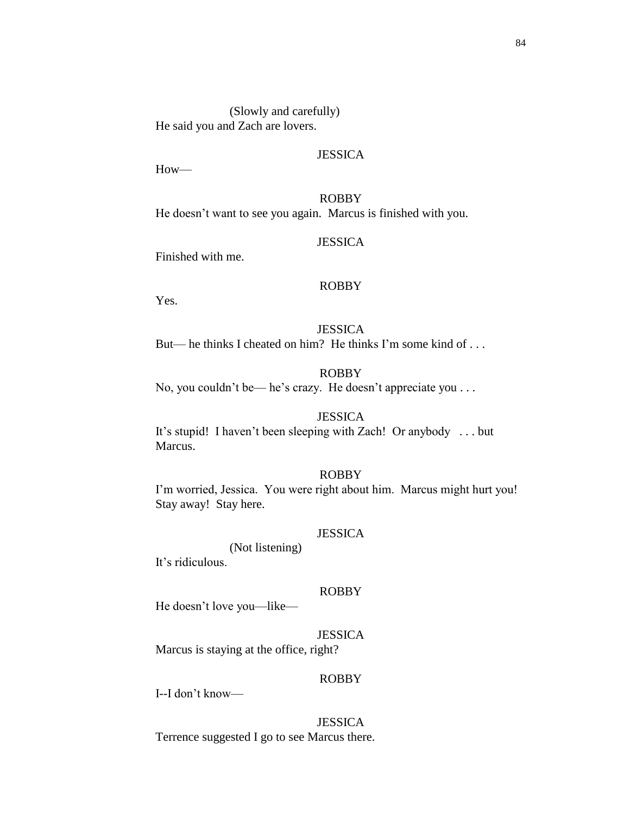(Slowly and carefully) He said you and Zach are lovers.

# **JESSICA**

How—

ROBBY He doesn't want to see you again. Marcus is finished with you.

### **JESSICA**

Finished with me.

#### ROBBY

Yes.

### **JESSICA**

But— he thinks I cheated on him? He thinks I'm some kind of . . .

## ROBBY

No, you couldn't be— he's crazy. He doesn't appreciate you . . .

### **JESSICA**

It's stupid! I haven't been sleeping with Zach! Or anybody . . . but Marcus.

### ROBBY

I'm worried, Jessica. You were right about him. Marcus might hurt you! Stay away! Stay here.

## **JESSICA**

(Not listening)

It's ridiculous.

#### ROBBY

He doesn't love you—like—

**JESSICA** Marcus is staying at the office, right?

### ROBBY

I--I don't know—

JESSICA Terrence suggested I go to see Marcus there.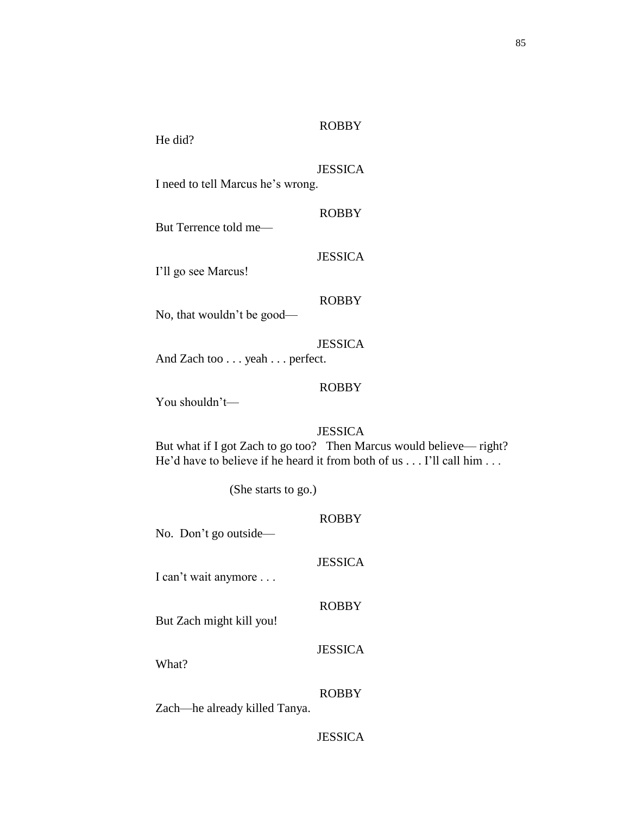85

He did?

# JESSICA

I need to tell Marcus he's wrong.

# ROBBY

But Terrence told me—

I'll go see Marcus!

### ROBBY

**JESSICA** 

No, that wouldn't be good—

JESSICA And Zach too . . . yeah . . . perfect.

### ROBBY

You shouldn't—

## JESSICA

But what if I got Zach to go too? Then Marcus would believe— right? He'd have to believe if he heard it from both of us . . . I'll call him . . .

(She starts to go.)

| No. Don't go outside—         | <b>ROBBY</b>   |
|-------------------------------|----------------|
| I can't wait anymore          | <b>JESSICA</b> |
| But Zach might kill you!      | <b>ROBBY</b>   |
| What?                         | <b>JESSICA</b> |
| Zach—he already killed Tanya. | <b>ROBBY</b>   |
|                               | <b>JESSICA</b> |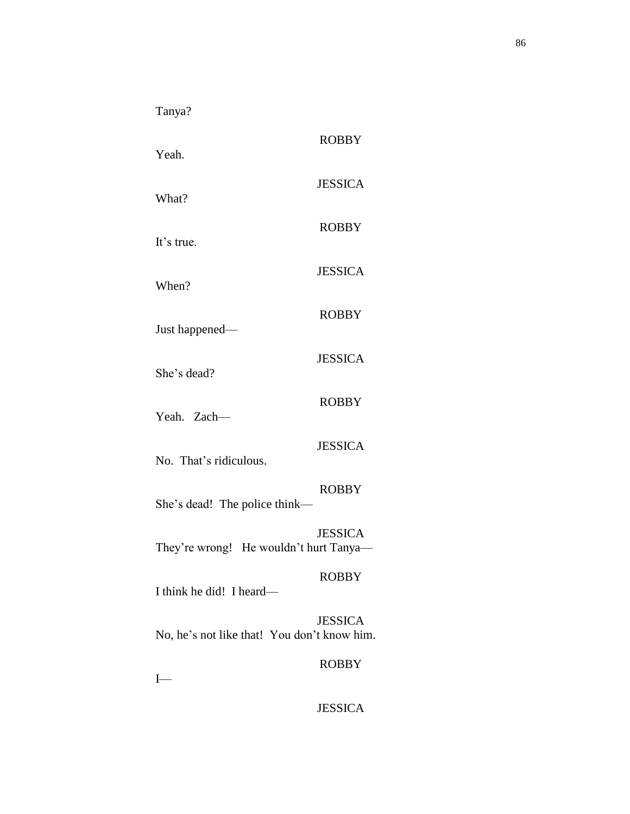Tanya?

| Yeah.                                       | <b>ROBBY</b>   |
|---------------------------------------------|----------------|
| What?                                       | <b>JESSICA</b> |
| It's true.                                  | <b>ROBBY</b>   |
| When?                                       | <b>JESSICA</b> |
| Just happened-                              | <b>ROBBY</b>   |
| She's dead?                                 | <b>JESSICA</b> |
| Yeah. Zach-                                 | <b>ROBBY</b>   |
| No. That's ridiculous.                      | <b>JESSICA</b> |
|                                             | <b>ROBBY</b>   |
| She's dead! The police think-               |                |
| They're wrong! He wouldn't hurt Tanya-      | <b>JESSICA</b> |
| I think he did! I heard—                    | <b>ROBBY</b>   |
| No, he's not like that! You don't know him. | <b>JESSICA</b> |
| $I-$                                        | <b>ROBBY</b>   |

JESSICA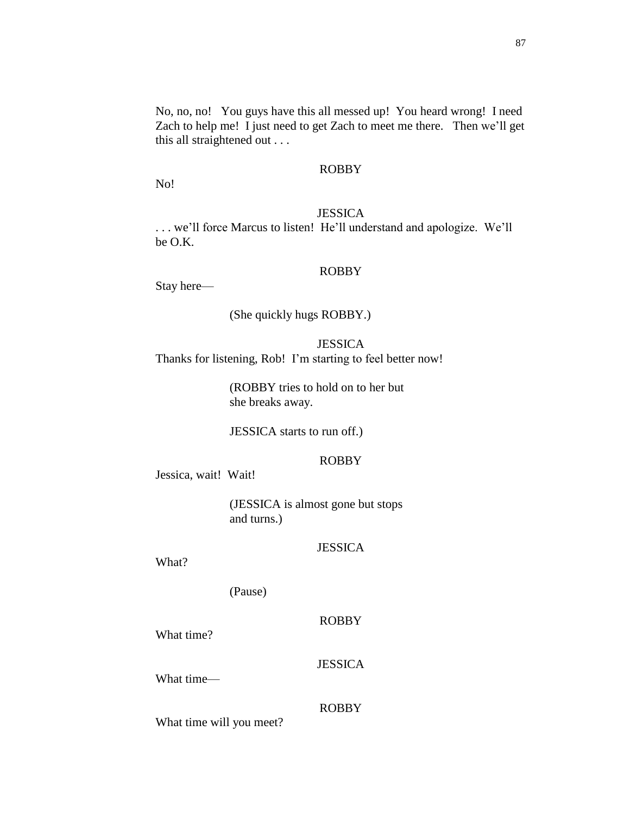87

No, no, no! You guys have this all messed up! You heard wrong! I need Zach to help me! I just need to get Zach to meet me there. Then we'll get this all straightened out . . .

## ROBBY

No!

#### JESSICA

. . . we'll force Marcus to listen! He'll understand and apologize. We'll be O.K.

#### ROBBY

Stay here—

### (She quickly hugs ROBBY.)

**JESSICA** Thanks for listening, Rob! I'm starting to feel better now!

> (ROBBY tries to hold on to her but she breaks away.

JESSICA starts to run off.)

# ROBBY

Jessica, wait! Wait!

(JESSICA is almost gone but stops and turns.)

#### **JESSICA**

What?

(Pause)

#### ROBBY

What time?

What time—

#### ROBBY

**JESSICA** 

What time will you meet?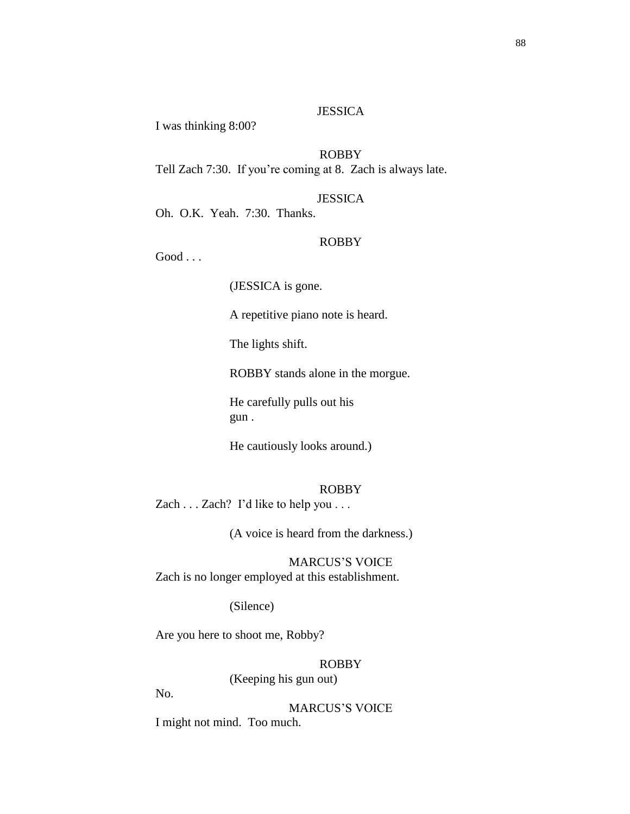### **JESSICA**

I was thinking 8:00?

# ROBBY

Tell Zach 7:30. If you're coming at 8. Zach is always late.

### JESSICA

Oh. O.K. Yeah. 7:30. Thanks.

#### ROBBY

 $Good \dots$ 

(JESSICA is gone.

A repetitive piano note is heard.

The lights shift.

ROBBY stands alone in the morgue.

He carefully pulls out his gun .

He cautiously looks around.)

#### ROBBY

Zach . . . Zach? I'd like to help you . . .

(A voice is heard from the darkness.)

MARCUS'S VOICE Zach is no longer employed at this establishment.

(Silence)

Are you here to shoot me, Robby?

# ROBBY

(Keeping his gun out)

No.

MARCUS'S VOICE

I might not mind. Too much.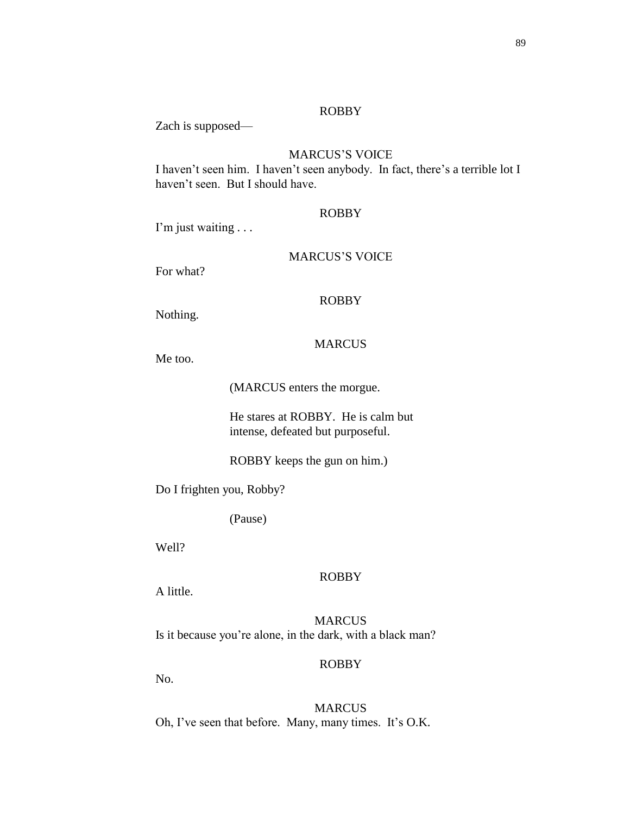Zach is supposed—

# MARCUS'S VOICE

I haven't seen him. I haven't seen anybody. In fact, there's a terrible lot I haven't seen. But I should have.

#### ROBBY

I'm just waiting . . .

### MARCUS'S VOICE

For what?

# ROBBY

Nothing.

### MARCUS

Me too.

(MARCUS enters the morgue.

He stares at ROBBY. He is calm but intense, defeated but purposeful.

ROBBY keeps the gun on him.)

Do I frighten you, Robby?

(Pause)

Well?

# ROBBY

A little.

**MARCUS** Is it because you're alone, in the dark, with a black man?

# ROBBY

No.

MARCUS Oh, I've seen that before. Many, many times. It's O.K.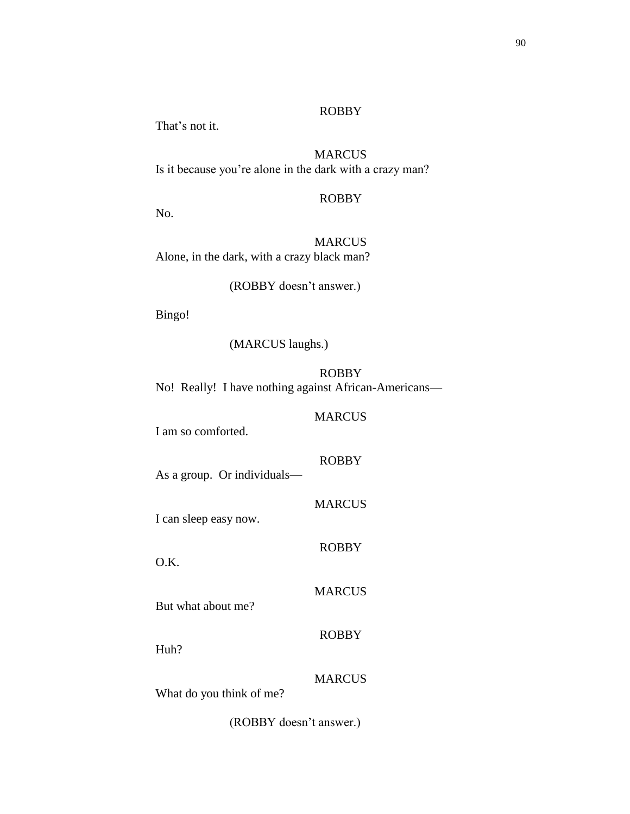That's not it.

**MARCUS** Is it because you're alone in the dark with a crazy man?

ROBBY

No.

**MARCUS** Alone, in the dark, with a crazy black man?

(ROBBY doesn't answer.)

Bingo!

(MARCUS laughs.)

ROBBY No! Really! I have nothing against African-Americans—

MARCUS

ROBBY

**MARCUS** 

ROBBY

MARCUS

ROBBY

I am so comforted.

As a group. Or individuals—

I can sleep easy now.

O.K.

But what about me?

Huh?

MARCUS

What do you think of me?

(ROBBY doesn't answer.)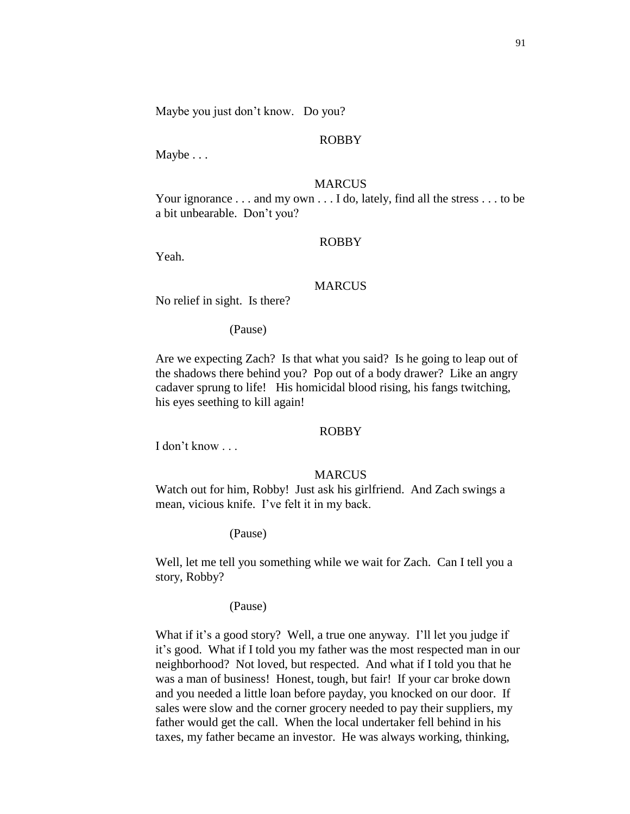Maybe you just don't know. Do you?

#### ROBBY

Maybe . . .

### MARCUS

Your ignorance . . . and my own . . . I do, lately, find all the stress . . . to be a bit unbearable. Don't you?

#### ROBBY

Yeah.

# MARCUS

No relief in sight. Is there?

(Pause)

Are we expecting Zach? Is that what you said? Is he going to leap out of the shadows there behind you? Pop out of a body drawer? Like an angry cadaver sprung to life! His homicidal blood rising, his fangs twitching, his eyes seething to kill again!

#### ROBBY

I don't know . . .

#### MARCUS

Watch out for him, Robby! Just ask his girlfriend. And Zach swings a mean, vicious knife. I've felt it in my back.

#### (Pause)

Well, let me tell you something while we wait for Zach. Can I tell you a story, Robby?

#### (Pause)

What if it's a good story? Well, a true one anyway. I'll let you judge if it's good. What if I told you my father was the most respected man in our neighborhood? Not loved, but respected. And what if I told you that he was a man of business! Honest, tough, but fair! If your car broke down and you needed a little loan before payday, you knocked on our door. If sales were slow and the corner grocery needed to pay their suppliers, my father would get the call. When the local undertaker fell behind in his taxes, my father became an investor. He was always working, thinking,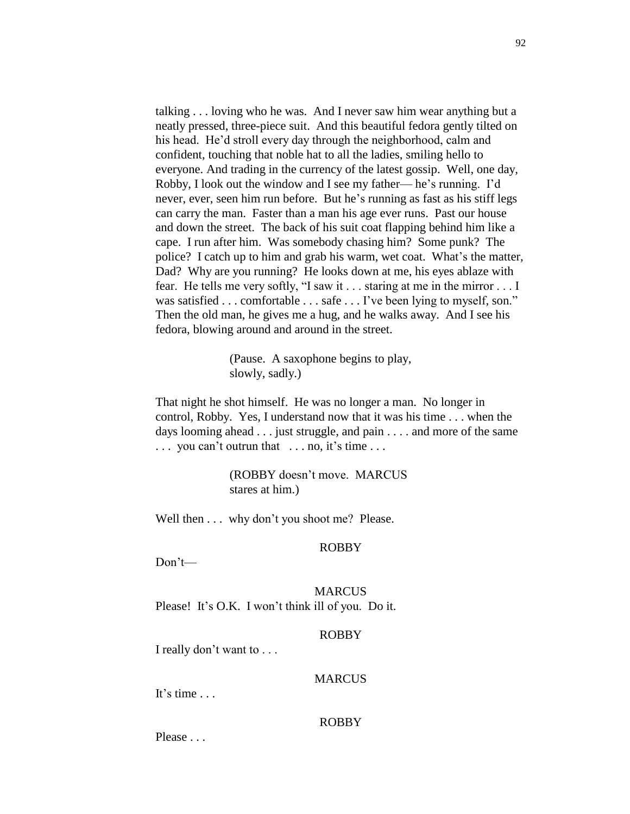talking . . . loving who he was. And I never saw him wear anything but a neatly pressed, three-piece suit. And this beautiful fedora gently tilted on his head. He'd stroll every day through the neighborhood, calm and confident, touching that noble hat to all the ladies, smiling hello to everyone. And trading in the currency of the latest gossip. Well, one day, Robby, I look out the window and I see my father— he's running. I'd never, ever, seen him run before. But he's running as fast as his stiff legs can carry the man. Faster than a man his age ever runs. Past our house and down the street. The back of his suit coat flapping behind him like a cape. I run after him. Was somebody chasing him? Some punk? The police? I catch up to him and grab his warm, wet coat. What's the matter, Dad? Why are you running? He looks down at me, his eyes ablaze with fear. He tells me very softly, "I saw it . . . staring at me in the mirror . . . I was satisfied . . . comfortable . . . safe . . . I've been lying to myself, son." Then the old man, he gives me a hug, and he walks away. And I see his fedora, blowing around and around in the street.

> (Pause. A saxophone begins to play, slowly, sadly.)

That night he shot himself. He was no longer a man. No longer in control, Robby. Yes, I understand now that it was his time . . . when the days looming ahead . . . just struggle, and pain . . . . and more of the same . . . you can't outrun that . . . no, it's time . . .

> (ROBBY doesn't move. MARCUS stares at him.)

Well then . . . why don't you shoot me? Please.

### ROBBY

Don't—

MARCUS Please! It's O.K. I won't think ill of you. Do it.

#### ROBBY

I really don't want to . . .

### MARCUS

It's time . . .

### ROBBY

Please . . .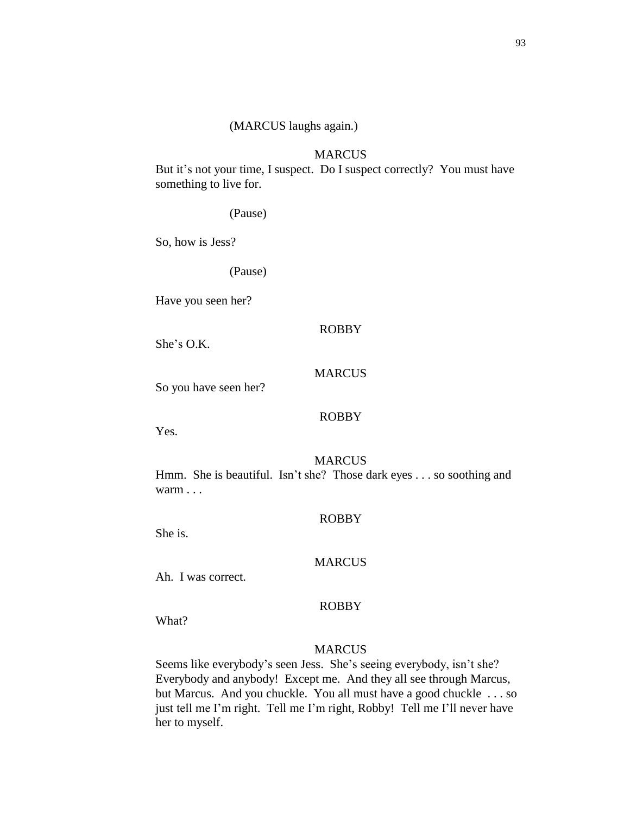#### **MARCUS**

But it's not your time, I suspect. Do I suspect correctly? You must have something to live for.

(Pause)

So, how is Jess?

(Pause)

Have you seen her?

## ROBBY

She's O.K.

# **MARCUS**

So you have seen her?

#### ROBBY

Yes.

### **MARCUS**

Hmm. She is beautiful. Isn't she? Those dark eyes . . . so soothing and warm . . .

#### ROBBY

She is.

#### MARCUS

Ah. I was correct.

#### ROBBY

What?

#### MARCUS

Seems like everybody's seen Jess. She's seeing everybody, isn't she? Everybody and anybody! Except me. And they all see through Marcus, but Marcus. And you chuckle. You all must have a good chuckle . . . so just tell me I'm right. Tell me I'm right, Robby! Tell me I'll never have her to myself.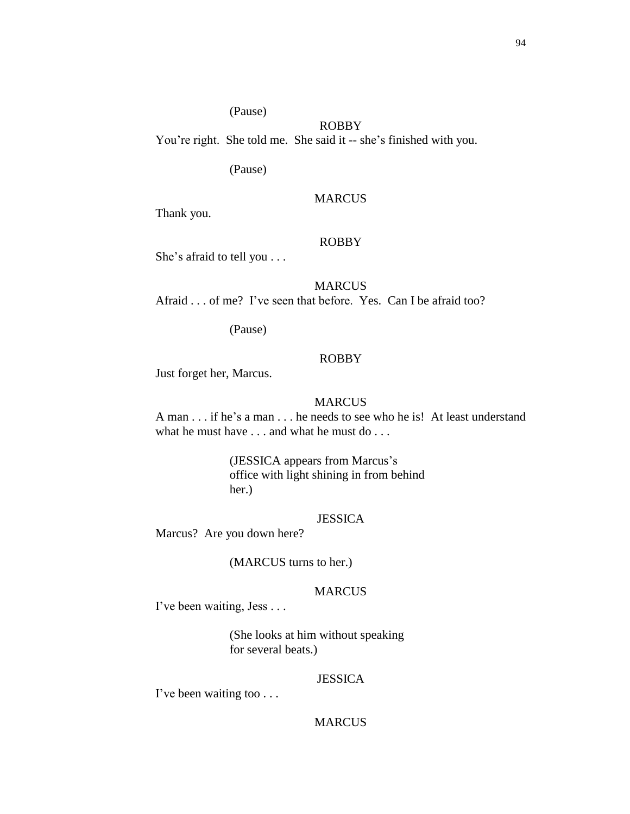# (Pause)

You're right. She told me. She said it -- she's finished with you.

(Pause)

#### MARCUS

ROBBY

Thank you.

#### ROBBY

She's afraid to tell you . . .

MARCUS Afraid . . . of me? I've seen that before. Yes. Can I be afraid too?

(Pause)

### ROBBY

Just forget her, Marcus.

### **MARCUS**

A man . . . if he's a man . . . he needs to see who he is! At least understand what he must have . . . and what he must do . . .

> (JESSICA appears from Marcus's office with light shining in from behind her.)

#### JESSICA

Marcus? Are you down here?

(MARCUS turns to her.)

### MARCUS

I've been waiting, Jess . . .

(She looks at him without speaking for several beats.)

### **JESSICA**

I've been waiting too . . .

#### MARCUS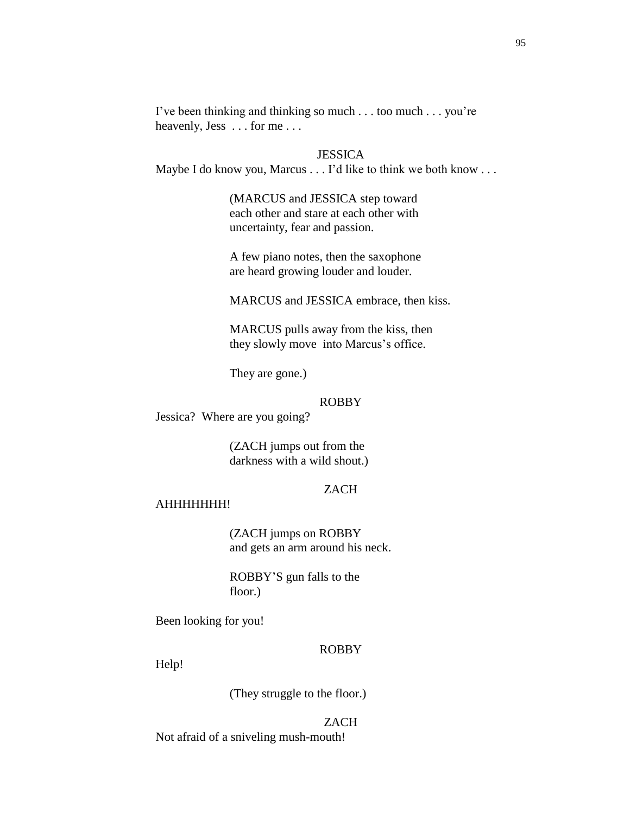I've been thinking and thinking so much . . . too much . . . you're heavenly, Jess . . . for me . . .

### **JESSICA**

Maybe I do know you, Marcus . . . I'd like to think we both know . . .

(MARCUS and JESSICA step toward each other and stare at each other with uncertainty, fear and passion.

A few piano notes, then the saxophone are heard growing louder and louder.

MARCUS and JESSICA embrace, then kiss.

MARCUS pulls away from the kiss, then they slowly move into Marcus's office.

They are gone.)

#### ROBBY

Jessica? Where are you going?

(ZACH jumps out from the darkness with a wild shout.)

# ZACH

#### AHHHHHHH!

(ZACH jumps on ROBBY and gets an arm around his neck.

ROBBY'S gun falls to the floor.)

Been looking for you!

#### ROBBY

Help!

(They struggle to the floor.)

#### ZACH

Not afraid of a sniveling mush-mouth!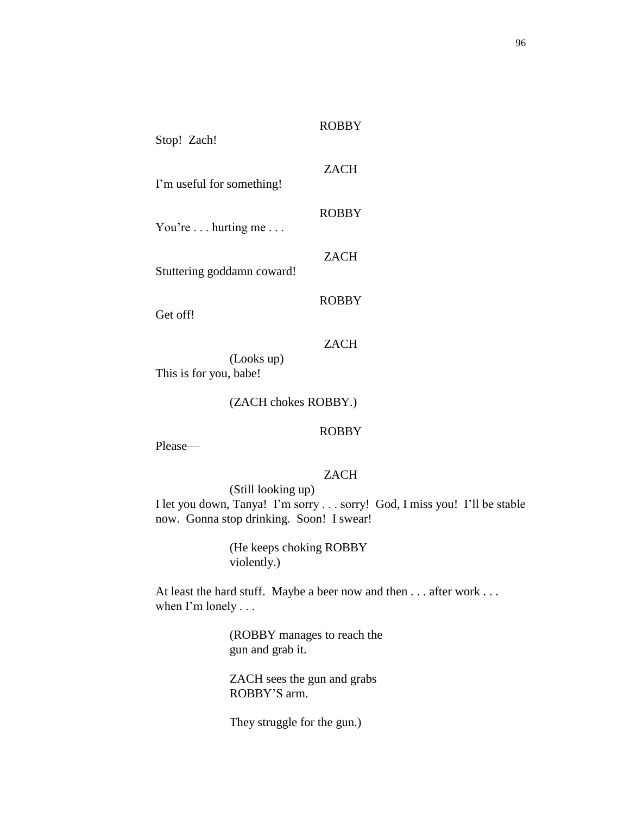| Stop! Zach!                |              |
|----------------------------|--------------|
| I'm useful for something!  | <b>ZACH</b>  |
| You're hurting me          | <b>ROBBY</b> |
| Stuttering goddamn coward! | <b>ZACH</b>  |
| Get off!                   | <b>ROBBY</b> |
|                            | ZACH         |

(Looks up) This is for you, babe!

### (ZACH chokes ROBBY.)

#### ROBBY

ROBBY

Please—

# ZACH

(Still looking up) I let you down, Tanya! I'm sorry . . . sorry! God, I miss you! I'll be stable now. Gonna stop drinking. Soon! I swear!

> (He keeps choking ROBBY violently.)

At least the hard stuff. Maybe a beer now and then . . . after work . . . when I'm lonely . . .

> (ROBBY manages to reach the gun and grab it.

ZACH sees the gun and grabs ROBBY'S arm.

They struggle for the gun.)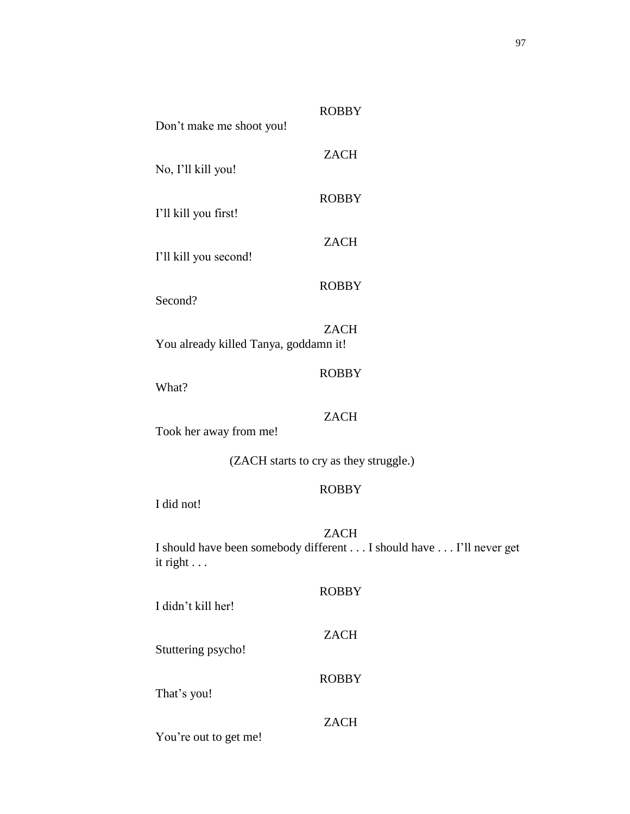| <b>ROBBY</b><br>Don't make me shoot you!                                                               |  |  |
|--------------------------------------------------------------------------------------------------------|--|--|
|                                                                                                        |  |  |
| <b>ZACH</b><br>No, I'll kill you!                                                                      |  |  |
| <b>ROBBY</b>                                                                                           |  |  |
| I'll kill you first!                                                                                   |  |  |
| <b>ZACH</b><br>I'll kill you second!                                                                   |  |  |
| <b>ROBBY</b>                                                                                           |  |  |
| Second?                                                                                                |  |  |
| <b>ZACH</b><br>You already killed Tanya, goddamn it!                                                   |  |  |
| <b>ROBBY</b>                                                                                           |  |  |
| What?                                                                                                  |  |  |
| <b>ZACH</b><br>Took her away from me!                                                                  |  |  |
| (ZACH starts to cry as they struggle.)                                                                 |  |  |
| <b>ROBBY</b><br>I did not!                                                                             |  |  |
| <b>ZACH</b><br>I should have been somebody different I should have I'll never get<br>it right $\ldots$ |  |  |
| <b>ROBBY</b><br>I didn't kill her!                                                                     |  |  |
| <b>ZACH</b><br>Stuttering psycho!                                                                      |  |  |
| <b>ROBBY</b><br>That's you!                                                                            |  |  |
| <b>ZACH</b>                                                                                            |  |  |

You're out to get me!

97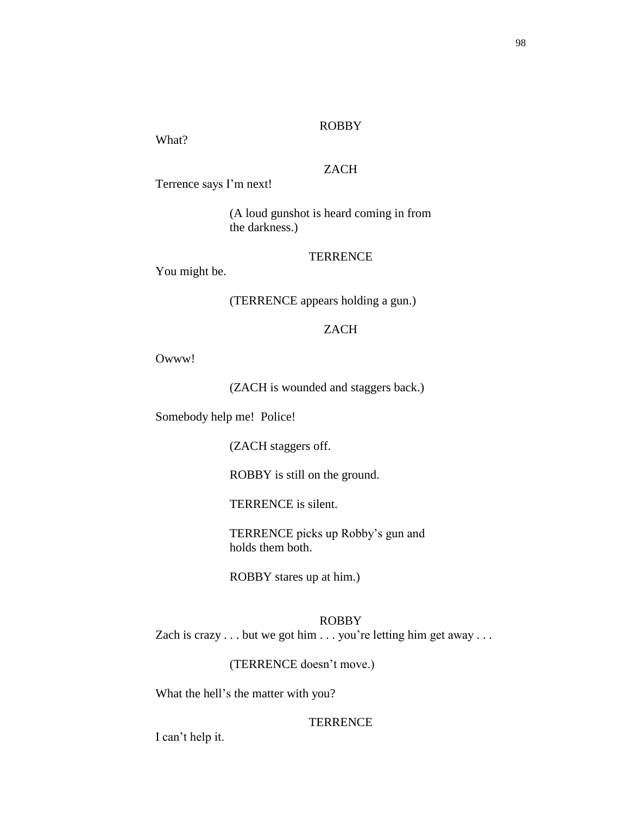What?

# ZACH

Terrence says I'm next!

(A loud gunshot is heard coming in from the darkness.)

# **TERRENCE**

You might be.

(TERRENCE appears holding a gun.)

# ZACH

Owww!

(ZACH is wounded and staggers back.)

Somebody help me! Police!

(ZACH staggers off.

ROBBY is still on the ground.

TERRENCE is silent.

TERRENCE picks up Robby's gun and holds them both.

ROBBY stares up at him.)

# ROBBY

Zach is crazy . . . but we got him . . . you're letting him get away . . .

(TERRENCE doesn't move.)

What the hell's the matter with you?

### **TERRENCE**

I can't help it.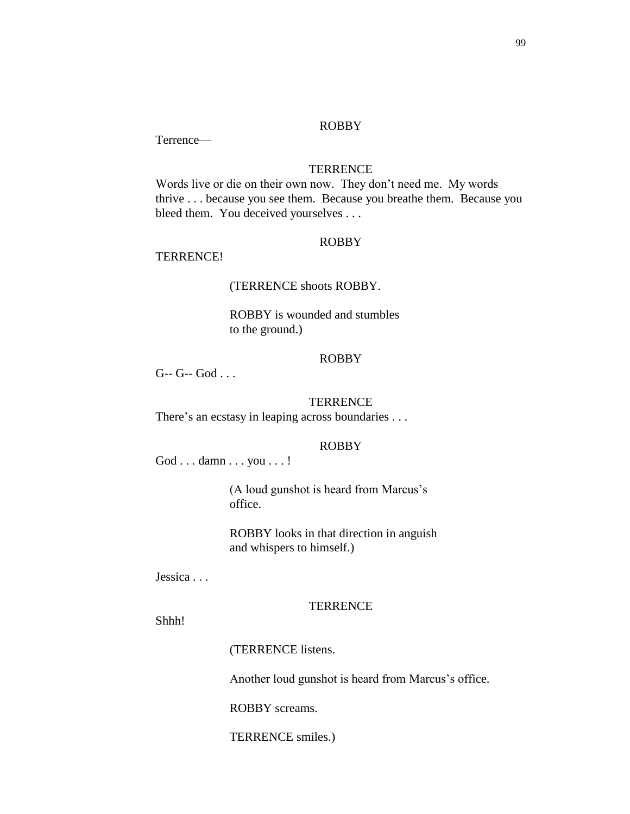Terrence—

### **TERRENCE**

Words live or die on their own now. They don't need me. My words thrive . . . because you see them. Because you breathe them. Because you bleed them. You deceived yourselves . . .

### ROBBY

### TERRENCE!

#### (TERRENCE shoots ROBBY.

ROBBY is wounded and stumbles to the ground.)

#### ROBBY

 $G- G- God...$ 

### **TERRENCE**

There's an ecstasy in leaping across boundaries . . .

#### ROBBY

God . . . damn . . . you . . . !

(A loud gunshot is heard from Marcus's office.

ROBBY looks in that direction in anguish and whispers to himself.)

Jessica . . .

#### **TERRENCE**

Shhh!

(TERRENCE listens.

Another loud gunshot is heard from Marcus's office.

ROBBY screams.

TERRENCE smiles.)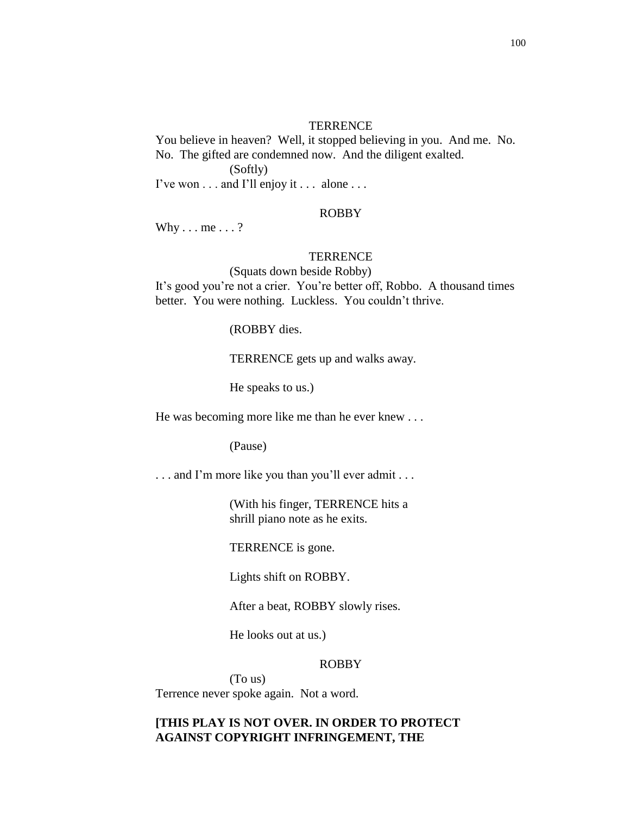#### **TERRENCE**

You believe in heaven? Well, it stopped believing in you. And me. No. No. The gifted are condemned now. And the diligent exalted. (Softly)

I've won . . . and I'll enjoy it . . . alone . . .

#### ROBBY

Why  $\ldots$  me  $\ldots$  ?

#### **TERRENCE**

(Squats down beside Robby) It's good you're not a crier. You're better off, Robbo. A thousand times better. You were nothing. Luckless. You couldn't thrive.

(ROBBY dies.

TERRENCE gets up and walks away.

He speaks to us.)

He was becoming more like me than he ever knew . . .

(Pause)

. . . and I'm more like you than you'll ever admit . . .

(With his finger, TERRENCE hits a shrill piano note as he exits.

TERRENCE is gone.

Lights shift on ROBBY.

After a beat, ROBBY slowly rises.

He looks out at us.)

#### ROBBY

(To us) Terrence never spoke again. Not a word.

# **[THIS PLAY IS NOT OVER. IN ORDER TO PROTECT AGAINST COPYRIGHT INFRINGEMENT, THE**